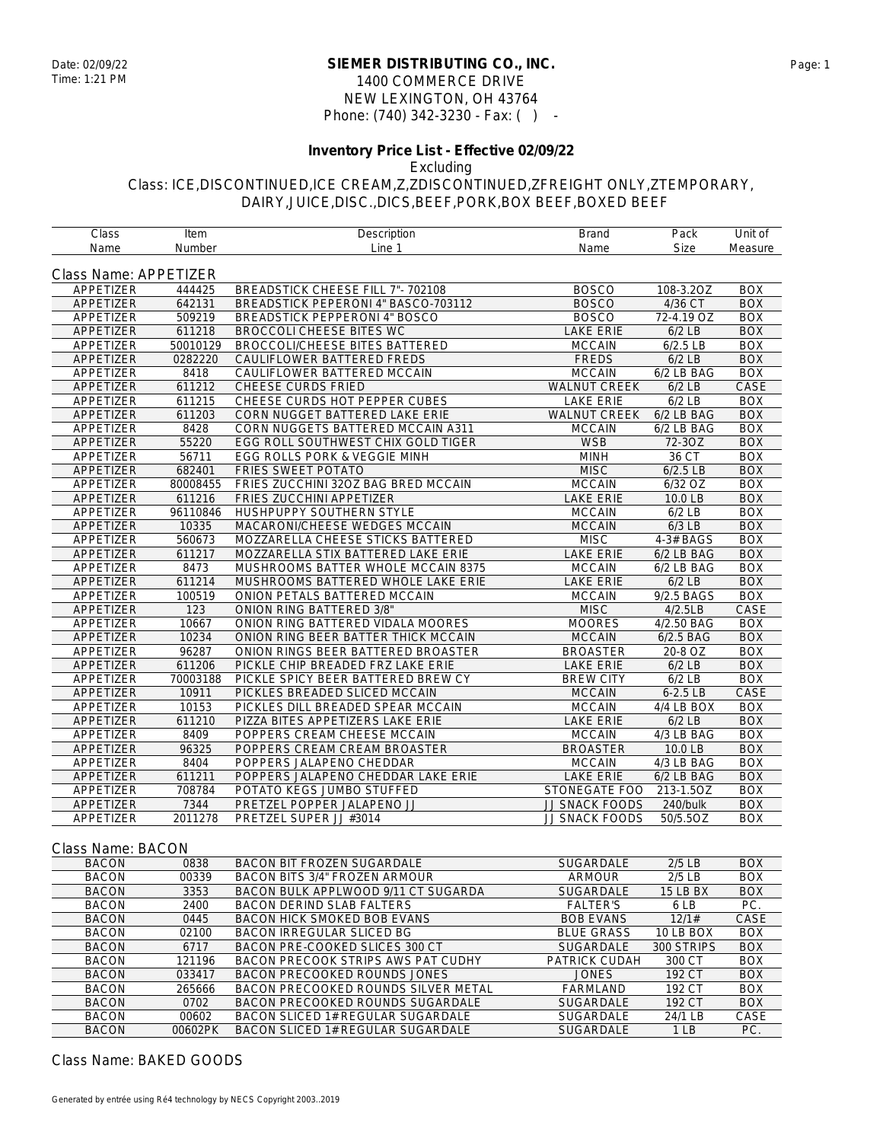### **SIEMER DISTRIBUTING CO., INC.** Date: 02/09/22 Page: 1 1400 COMMERCE DRIVE NEW LEXINGTON, OH 43764 Phone: (740) 342-3230 - Fax: ( ) -

#### **Inventory Price List - Effective 02/09/22**

Excluding

Class: ICE,DISCONTINUED,ICE CREAM,Z,ZDISCONTINUED,ZFREIGHT ONLY,ZTEMPORARY, DAIRY,JUICE,DISC.,DICS,BEEF,PORK,BOX BEEF,BOXED BEEF

| Class                 | Item     | Description                           | <b>Brand</b>        | Pack         | Unit of    |
|-----------------------|----------|---------------------------------------|---------------------|--------------|------------|
| Name                  | Number   | Line 1                                | Name                | <b>Size</b>  | Measure    |
| Class Name: APPETIZER |          |                                       |                     |              |            |
| APPETIZER             | 444425   | BREADSTICK CHEESE FILL 7"- 702108     | <b>BOSCO</b>        | 108-3.2OZ    | <b>BOX</b> |
| APPETIZER             | 642131   | BREADSTICK PEPERONI 4" BASCO-703112   | <b>BOSCO</b>        | 4/36 CT      | <b>BOX</b> |
| APPETIZER             | 509219   | <b>BREADSTICK PEPPERONI 4" BOSCO</b>  | <b>BOSCO</b>        | 72-4.19 OZ   | <b>BOX</b> |
| APPETIZER             | 611218   | <b>BROCCOLI CHEESE BITES WC</b>       | <b>LAKE ERIE</b>    | $6/2$ LB     | <b>BOX</b> |
| APPETIZER             | 50010129 | <b>BROCCOLI/CHEESE BITES BATTERED</b> | <b>MCCAIN</b>       | $6/2.5$ LB   | <b>BOX</b> |
| APPETIZER             | 0282220  | CAULIFLOWER BATTERED FREDS            | <b>FREDS</b>        | $6/2$ LB     | <b>BOX</b> |
| APPETIZER             | 8418     | CAULIFLOWER BATTERED MCCAIN           | <b>MCCAIN</b>       | 6/2 LB BAG   | <b>BOX</b> |
| APPETIZER             | 611212   | <b>CHEESE CURDS FRIED</b>             | <b>WALNUT CREEK</b> | $6/2$ LB     | CASE       |
| APPETIZER             | 611215   | CHEESE CURDS HOT PEPPER CUBES         | <b>LAKE ERIE</b>    | $6/2$ LB     | <b>BOX</b> |
| APPETIZER             | 611203   | CORN NUGGET BATTERED LAKE ERIE        | WALNUT CREEK        | 6/2 LB BAG   | <b>BOX</b> |
| APPETIZER             | 8428     | CORN NUGGETS BATTERED MCCAIN A311     | <b>MCCAIN</b>       | 6/2 LB BAG   | <b>BOX</b> |
| APPETIZER             | 55220    | EGG ROLL SOUTHWEST CHIX GOLD TIGER    | <b>WSB</b>          | 72-30Z       | <b>BOX</b> |
| APPETIZER             | 56711    | EGG ROLLS PORK & VEGGIE MINH          | <b>MINH</b>         | 36 CT        | <b>BOX</b> |
| APPETIZER             | 682401   | FRIES SWEET POTATO                    | <b>MISC</b>         | $6/2.5$ LB   | <b>BOX</b> |
| APPETIZER             | 80008455 | FRIES ZUCCHINI 32OZ BAG BRED MCCAIN   | <b>MCCAIN</b>       | 6/32 OZ      | <b>BOX</b> |
| APPETIZER             | 611216   | FRIES ZUCCHINI APPETIZER              | <b>LAKE ERIE</b>    | 10.0 LB      | <b>BOX</b> |
| APPETIZER             | 96110846 | HUSHPUPPY SOUTHERN STYLE              | <b>MCCAIN</b>       | $6/2$ LB     | <b>BOX</b> |
| APPETIZER             | 10335    | MACARONI/CHEESE WEDGES MCCAIN         | <b>MCCAIN</b>       | $6/3$ LB     | <b>BOX</b> |
| APPETIZER             | 560673   | MOZZARELLA CHEESE STICKS BATTERED     | <b>MISC</b>         | 4-3# BAGS    | <b>BOX</b> |
| APPETIZER             | 611217   | MOZZARELLA STIX BATTERED LAKE ERIE    | <b>LAKE ERIE</b>    | 6/2 LB BAG   | <b>BOX</b> |
| APPETIZER             | 8473     | MUSHROOMS BATTER WHOLE MCCAIN 8375    | <b>MCCAIN</b>       | 6/2 LB BAG   | <b>BOX</b> |
| APPETIZER             | 611214   | MUSHROOMS BATTERED WHOLE LAKE ERIE    | <b>LAKE ERIE</b>    | $6/2$ LB     | <b>BOX</b> |
| APPETIZER             | 100519   | ONION PETALS BATTERED MCCAIN          | <b>MCCAIN</b>       | 9/2.5 BAGS   | <b>BOX</b> |
| APPETIZER             | 123      | <b>ONION RING BATTERED 3/8"</b>       | <b>MISC</b>         | 4/2.5LB      | CASE       |
| APPETIZER             | 10667    | ONION RING BATTERED VIDALA MOORES     | <b>MOORES</b>       | 4/2.50 BAG   | <b>BOX</b> |
| APPETIZER             | 10234    | ONION RING BEER BATTER THICK MCCAIN   | <b>MCCAIN</b>       | 6/2.5 BAG    | <b>BOX</b> |
| APPETIZER             | 96287    | ONION RINGS BEER BATTERED BROASTER    | <b>BROASTER</b>     | 20-8 OZ      | <b>BOX</b> |
| APPETIZER             | 611206   | PICKLE CHIP BREADED FRZ LAKE ERIE     | <b>LAKE ERIE</b>    | $6/2$ LB     | <b>BOX</b> |
| APPETIZER             | 70003188 | PICKLE SPICY BEER BATTERED BREW CY    | <b>BREW CITY</b>    | $6/2$ LB     | <b>BOX</b> |
| APPETIZER             | 10911    | PICKLES BREADED SLICED MCCAIN         | <b>MCCAIN</b>       | $6-2.5LB$    | CASE       |
| APPETIZER             | 10153    | PICKLES DILL BREADED SPEAR MCCAIN     | <b>MCCAIN</b>       | 4/4 LB BOX   | <b>BOX</b> |
| APPETIZER             | 611210   | PIZZA BITES APPETIZERS LAKE ERIE      | <b>LAKE ERIE</b>    | $6/2$ LB     | <b>BOX</b> |
| APPETIZER             | 8409     | POPPERS CREAM CHEESE MCCAIN           | <b>MCCAIN</b>       | 4/3 LB BAG   | <b>BOX</b> |
| APPETIZER             | 96325    | POPPERS CREAM CREAM BROASTER          | <b>BROASTER</b>     | 10.0 LB      | <b>BOX</b> |
| APPETIZER             | 8404     | POPPERS JALAPENO CHEDDAR              | <b>MCCAIN</b>       | $4/3$ LB BAG | <b>BOX</b> |
| APPETIZER             | 611211   | POPPERS JALAPENO CHEDDAR LAKE ERIE    | <b>LAKE ERIE</b>    | 6/2 LB BAG   | <b>BOX</b> |
| APPETIZER             | 708784   | POTATO KEGS JUMBO STUFFED             | STONEGATE FOO       | 213-1.5OZ    | <b>BOX</b> |
| APPETIZER             | 7344     | PRETZEL POPPER JALAPENO JJ            | JJ SNACK FOODS      | 240/bulk     | <b>BOX</b> |
| APPETIZER             | 2011278  | PRETZEL SUPER JJ #3014                | JJ SNACK FOODS      | 50/5.5OZ     | <b>BOX</b> |
| Closs Name: DACON     |          |                                       |                     |              |            |

#### Class Name: BACON BACON 0838 BACON BIT FROZEN SUGARDALE SUGARDALE 2/5 LB BOX BACON 00339 BACON BITS 3/4" FROZEN ARMOUR ARMOUR 2/5 LB BOX BACON 3353 BACON BULK APPLWOOD 9/11 CT SUGARDA SUGARDALE 15 LB BX BACON 2400 BACON DERIND SLAB FALTERS FALTER'S 6 LB PC BACON 0445 BACON HICK SMOKED BOB EVANS BOB EVANS 12/1# CASE BACON 02100 BACON IRREGULAR SLICED BG BLUE GRASS 10 LB BOX BOX BACON 6717 BACON PRE-COOKED SLICES 300 CT SUGARDALE 300 STRIPS BOX<br>BACON 121196 BACON PRECOOK STRIPS AWS PAT CUDHY PATRICK CUDAH 300 CT BOX BACON 121196 BACON PRECOOK STRIPS AWS PAT CUDHY PATRICK CUDAH 300 CT BOX<br>BACON 033417 BACON PRECOOKED ROUNDS JONES JONES 192 CT BOX BACON PRECOOKED ROUNDS JONES BACON 265666 BACON PRECOOKED ROUNDS SILVER METAL FARMLAND 192 CT BOX<br>BACON 0702 BACON PRECOOKED ROUNDS SUGARDALE SUGARDALE 192 CT BOX BACON 0702 BACON PRECOOKED ROUNDS SUGARDALE SUGARDALE 192 CT BOX BACON 00602 BACON SLICED 1# REGULAR SUGARDALE SUGARDALE 24/1 LB CASE BACON 00602PK BACON SLICED 1# REGULAR SUGARDALE SUGARDALE 1 LB PC.

Class Name: BAKED GOODS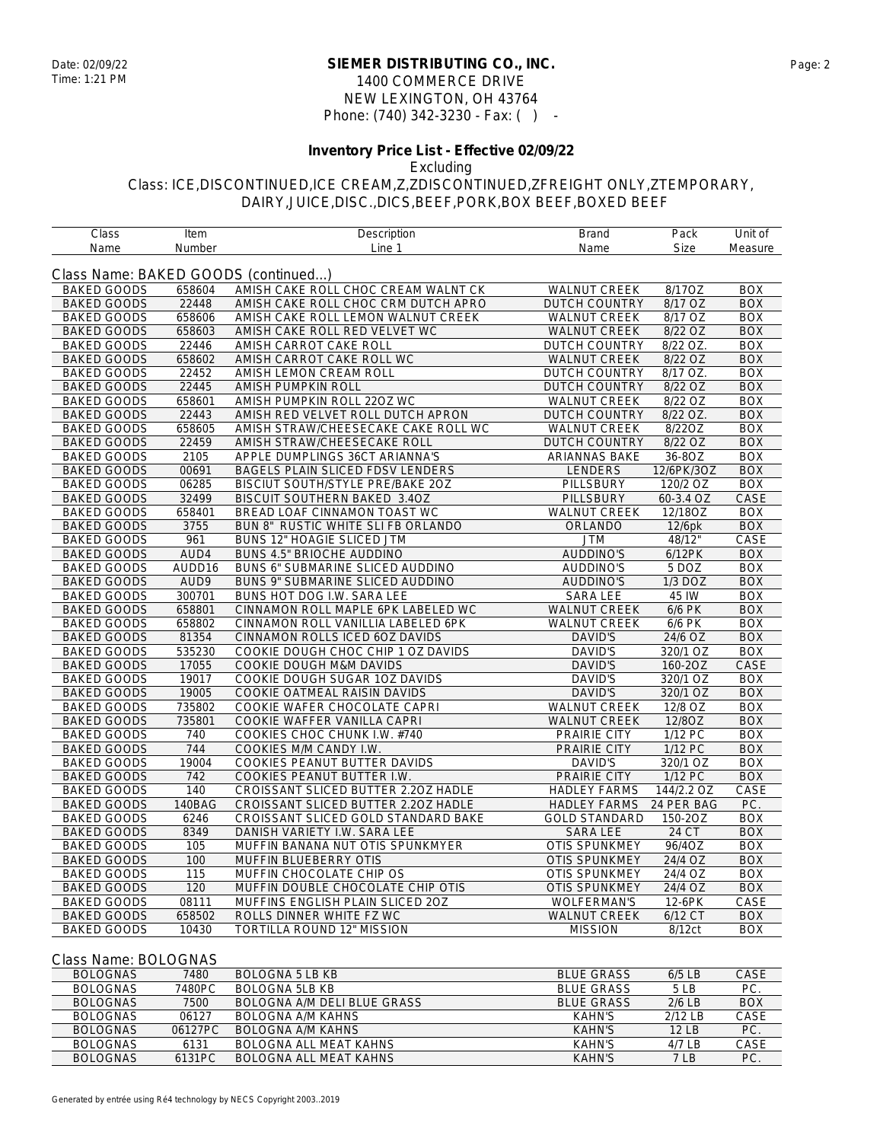### **SIEMER DISTRIBUTING CO., INC.** Date: 02/09/22 Page: 2 1400 COMMERCE DRIVE NEW LEXINGTON, OH 43764 Phone: (740) 342-3230 - Fax: ( ) -

## **Inventory Price List - Effective 02/09/22**

Excluding

Class: ICE,DISCONTINUED,ICE CREAM,Z,ZDISCONTINUED,ZFREIGHT ONLY,ZTEMPORARY, DAIRY,JUICE,DISC.,DICS,BEEF,PORK,BOX BEEF,BOXED BEEF

| Class                               | Item   | Description                             | <b>Brand</b>         | Pack       | Unit of    |
|-------------------------------------|--------|-----------------------------------------|----------------------|------------|------------|
| Name                                | Number | Line 1                                  | Name                 | Size       | Measure    |
| Class Name: BAKED GOODS (continued) |        |                                         |                      |            |            |
| <b>BAKED GOODS</b>                  | 658604 | AMISH CAKE ROLL CHOC CREAM WALNT CK     | <b>WALNUT CREEK</b>  | 8/17OZ     | <b>BOX</b> |
| <b>BAKED GOODS</b>                  | 22448  | AMISH CAKE ROLL CHOC CRM DUTCH APRO     | <b>DUTCH COUNTRY</b> | 8/17 OZ    | <b>BOX</b> |
| <b>BAKED GOODS</b>                  | 658606 | AMISH CAKE ROLL LEMON WALNUT CREEK      | <b>WALNUT CREEK</b>  | 8/17 OZ    | <b>BOX</b> |
| <b>BAKED GOODS</b>                  | 658603 | AMISH CAKE ROLL RED VELVET WC           | <b>WALNUT CREEK</b>  | 8/22 OZ    | <b>BOX</b> |
| <b>BAKED GOODS</b>                  | 22446  | AMISH CARROT CAKE ROLL                  | <b>DUTCH COUNTRY</b> | 8/22 OZ.   | <b>BOX</b> |
| <b>BAKED GOODS</b>                  | 658602 | AMISH CARROT CAKE ROLL WC               | <b>WALNUT CREEK</b>  | 8/22 OZ    | <b>BOX</b> |
| <b>BAKED GOODS</b>                  | 22452  | AMISH LEMON CREAM ROLL                  | <b>DUTCH COUNTRY</b> | 8/17 OZ.   | <b>BOX</b> |
| <b>BAKED GOODS</b>                  | 22445  | AMISH PUMPKIN ROLL                      | DUTCH COUNTRY        | 8/22 OZ    | <b>BOX</b> |
| <b>BAKED GOODS</b>                  | 658601 | AMISH PUMPKIN ROLL 220Z WC              | <b>WALNUT CREEK</b>  | 8/22 OZ    | <b>BOX</b> |
| <b>BAKED GOODS</b>                  | 22443  | AMISH RED VELVET ROLL DUTCH APRON       | <b>DUTCH COUNTRY</b> | 8/22 OZ.   | <b>BOX</b> |
| <b>BAKED GOODS</b>                  | 658605 | AMISH STRAW/CHEESECAKE CAKE ROLL WC     | <b>WALNUT CREEK</b>  | 8/22OZ     | <b>BOX</b> |
| <b>BAKED GOODS</b>                  | 22459  | AMISH STRAW/CHEESECAKE ROLL             | DUTCH COUNTRY        | 8/22 OZ    | <b>BOX</b> |
| <b>BAKED GOODS</b>                  | 2105   | APPLE DUMPLINGS 36CT ARIANNA'S          | <b>ARIANNAS BAKE</b> | 36-8OZ     | <b>BOX</b> |
| <b>BAKED GOODS</b>                  | 00691  | BAGELS PLAIN SLICED FDSV LENDERS        | LENDERS              | 12/6PK/3OZ | <b>BOX</b> |
| <b>BAKED GOODS</b>                  | 06285  | BISCIUT SOUTH/STYLE PRE/BAKE 20Z        | <b>PILLSBURY</b>     | 120/2 OZ   | <b>BOX</b> |
| <b>BAKED GOODS</b>                  | 32499  | <b>BISCUIT SOUTHERN BAKED 3.4OZ</b>     | <b>PILLSBURY</b>     | 60-3.4 OZ  | CASE       |
| <b>BAKED GOODS</b>                  | 658401 | BREAD LOAF CINNAMON TOAST WC            | <b>WALNUT CREEK</b>  | 12/18OZ    | <b>BOX</b> |
| <b>BAKED GOODS</b>                  | 3755   | BUN 8" RUSTIC WHITE SLI FB ORLANDO      | ORLANDO              | 12/6pk     | <b>BOX</b> |
| <b>BAKED GOODS</b>                  | 961    | <b>BUNS 12" HOAGIE SLICED JTM</b>       | <b>JTM</b>           | 48/12"     | CASE       |
| <b>BAKED GOODS</b>                  | AUD4   | <b>BUNS 4.5" BRIOCHE AUDDINO</b>        | AUDDINO'S            | 6/12PK     | <b>BOX</b> |
| <b>BAKED GOODS</b>                  | AUDD16 | <b>BUNS 6" SUBMARINE SLICED AUDDINO</b> | AUDDINO'S            | 5 DOZ      | <b>BOX</b> |
| <b>BAKED GOODS</b>                  | AUD9   | BUNS 9" SUBMARINE SLICED AUDDINO        | <b>AUDDINO'S</b>     | 1/3 DOZ    | <b>BOX</b> |
| <b>BAKED GOODS</b>                  | 300701 | BUNS HOT DOG I.W. SARA LEE              | <b>SARA LEE</b>      | 45 IW      | <b>BOX</b> |
| <b>BAKED GOODS</b>                  | 658801 | CINNAMON ROLL MAPLE 6PK LABELED WC      | <b>WALNUT CREEK</b>  | 6/6 PK     | <b>BOX</b> |
| <b>BAKED GOODS</b>                  | 658802 | CINNAMON ROLL VANILLIA LABELED 6PK      | <b>WALNUT CREEK</b>  | 6/6 PK     | <b>BOX</b> |
| <b>BAKED GOODS</b>                  | 81354  | CINNAMON ROLLS ICED 6OZ DAVIDS          | <b>DAVID'S</b>       | 24/6 OZ    | <b>BOX</b> |
| <b>BAKED GOODS</b>                  | 535230 | COOKIE DOUGH CHOC CHIP 1 OZ DAVIDS      | <b>DAVID'S</b>       | 320/1 OZ   | <b>BOX</b> |
| <b>BAKED GOODS</b>                  | 17055  | COOKIE DOUGH M&M DAVIDS                 | DAVID'S              | 160-2OZ    | CASE       |
| <b>BAKED GOODS</b>                  | 19017  | COOKIE DOUGH SUGAR 10Z DAVIDS           | DAVID'S              | 320/1 OZ   | <b>BOX</b> |
| <b>BAKED GOODS</b>                  | 19005  | COOKIE OATMEAL RAISIN DAVIDS            | <b>DAVID'S</b>       | 320/1 OZ   | <b>BOX</b> |
| <b>BAKED GOODS</b>                  | 735802 | COOKIE WAFER CHOCOLATE CAPRI            | <b>WALNUT CREEK</b>  | 12/8 OZ    | <b>BOX</b> |
| <b>BAKED GOODS</b>                  | 735801 | COOKIE WAFFER VANILLA CAPRI             | <b>WALNUT CREEK</b>  | 12/8OZ     | <b>BOX</b> |
| <b>BAKED GOODS</b>                  | 740    | COOKIES CHOC CHUNK I.W. #740            | PRAIRIE CITY         | 1/12 PC    | <b>BOX</b> |
| <b>BAKED GOODS</b>                  | 744    | COOKIES M/M CANDY I.W.                  | PRAIRIE CITY         | 1/12 PC    | <b>BOX</b> |
| <b>BAKED GOODS</b>                  | 19004  | COOKIES PEANUT BUTTER DAVIDS            | DAVID'S              | 320/1 OZ   | <b>BOX</b> |
| <b>BAKED GOODS</b>                  | 742    | COOKIES PEANUT BUTTER I.W.              | PRAIRIE CITY         | 1/12 PC    | <b>BOX</b> |
| <b>BAKED GOODS</b>                  | 140    | CROISSANT SLICED BUTTER 2.20Z HADLE     | <b>HADLEY FARMS</b>  | 144/2.2 OZ | CASE       |
| <b>BAKED GOODS</b>                  | 140BAG | CROISSANT SLICED BUTTER 2.20Z HADLE     | <b>HADLEY FARMS</b>  | 24 PER BAG | PC.        |
| <b>BAKED GOODS</b>                  | 6246   | CROISSANT SLICED GOLD STANDARD BAKE     | <b>GOLD STANDARD</b> | 150-2OZ    | <b>BOX</b> |
| <b>BAKED GOODS</b>                  | 8349   | DANISH VARIETY I.W. SARA LEE            | <b>SARA LEE</b>      | 24 CT      | <b>BOX</b> |
| <b>BAKED GOODS</b>                  | 105    | MUFFIN BANANA NUT OTIS SPUNKMYER        | <b>OTIS SPUNKMEY</b> | 96/4OZ     | <b>BOX</b> |
| <b>BAKED GOODS</b>                  | 100    | <b>MUFFIN BLUEBERRY OTIS</b>            | <b>OTIS SPUNKMEY</b> | 24/4 OZ    | <b>BOX</b> |
| <b>BAKED GOODS</b>                  | 115    | MUFFIN CHOCOLATE CHIP OS                | <b>OTIS SPUNKMEY</b> | 24/4 OZ    | <b>BOX</b> |
| <b>BAKED GOODS</b>                  | 120    | MUFFIN DOUBLE CHOCOLATE CHIP OTIS       | <b>OTIS SPUNKMEY</b> | 24/4 OZ    | <b>BOX</b> |
| <b>BAKED GOODS</b>                  | 08111  | MUFFINS ENGLISH PLAIN SLICED 20Z        | <b>WOLFERMAN'S</b>   | 12-6PK     | CASE       |
| <b>BAKED GOODS</b>                  | 658502 | ROLLS DINNER WHITE FZ WC                | WALNUT CREEK         | 6/12 CT    | <b>BOX</b> |
| <b>BAKED GOODS</b>                  | 10430  | TORTILLA ROUND 12" MISSION              | <b>MISSION</b>       | 8/12ct     | <b>BOX</b> |
|                                     |        |                                         |                      |            |            |

#### Class Name: BOLOGNAS

| <b>BOLOGNAS</b> | 7480    | BOLOGNA 5 LB KB            | <b>BLUE GRASS</b> | $6/5$ LB  | CASE       |
|-----------------|---------|----------------------------|-------------------|-----------|------------|
| <b>BOLOGNAS</b> | 7480PC  | BOLOGNA 5LB KB             | <b>BLUE GRASS</b> | 5 I B     | PC.        |
| BOLOGNAS        | 7500    | BOLOGNA A/M DELLBLUE GRASS | <b>BLUE GRASS</b> | $2/6$ LB  | <b>BOX</b> |
| <b>BOLOGNAS</b> | 06127   | BOLOGNA A/M KAHNS          | KAHN'S            | $2/12$ IB | CASE       |
| BOLOGNAS        | 06127PC | BOLOGNA A/M KAHNS          | KAHN'S            | 12IB      | PC.        |
| <b>BOLOGNAS</b> | 6131    | BOLOGNA ALL MEAT KAHNS     | KAHN'S            | $4/7$ LB  | CASE       |
| BOLOGNAS        | 6131PC. | BOLOGNA ALL MEAT KAHNS     | KAHN'S            | 7 LB      | PC.        |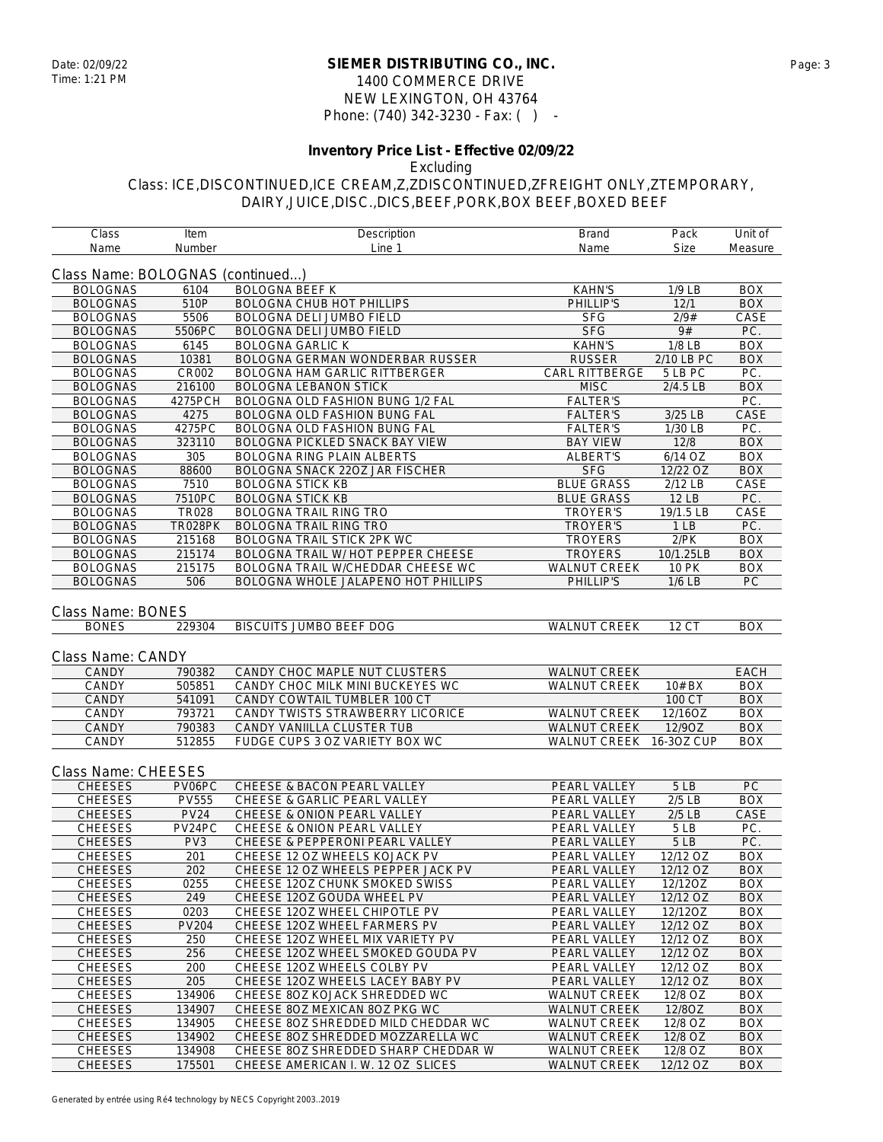### **SIEMER DISTRIBUTING CO., INC.** Date: 02/09/22 Page: 3 1400 COMMERCE DRIVE NEW LEXINGTON, OH 43764 Phone: (740) 342-3230 - Fax: ( ) -

# **Inventory Price List - Effective 02/09/22**

Excluding

| Class                            | Item            | Description                               | <b>Brand</b>            | Pack         | Unit of    |
|----------------------------------|-----------------|-------------------------------------------|-------------------------|--------------|------------|
| Name                             | Number          | Line 1                                    | Name                    | <b>Size</b>  | Measure    |
| Class Name: BOLOGNAS (continued) |                 |                                           |                         |              |            |
| <b>BOLOGNAS</b>                  | 6104            | <b>BOLOGNA BEEF K</b>                     | <b>KAHN'S</b>           | $1/9$ LB     | <b>BOX</b> |
| <b>BOLOGNAS</b>                  | 510P            | <b>BOLOGNA CHUB HOT PHILLIPS</b>          | PHILLIP'S               | 12/1         | <b>BOX</b> |
| <b>BOLOGNAS</b>                  | 5506            | BOLOGNA DELI JUMBO FIELD                  | <b>SFG</b>              | 2/9#         | CASE       |
| <b>BOLOGNAS</b>                  | 5506PC          | <b>BOLOGNA DELI JUMBO FIELD</b>           | <b>SFG</b>              | 9#           | PC.        |
| <b>BOLOGNAS</b>                  | 6145            | <b>BOLOGNA GARLIC K</b>                   | <b>KAHN'S</b>           | $1/8$ LB     | <b>BOX</b> |
| <b>BOLOGNAS</b>                  | 10381           | <b>BOLOGNA GERMAN WONDERBAR RUSSER</b>    | <b>RUSSER</b>           | 2/10 LB PC   | <b>BOX</b> |
| <b>BOLOGNAS</b>                  | CR002           | BOLOGNA HAM GARLIC RITTBERGER             | CARL RITTBERGE          | 5 LB PC      | PC.        |
| <b>BOLOGNAS</b>                  | 216100          | <b>BOLOGNA LEBANON STICK</b>              | <b>MISC</b>             | $2/4.5$ LB   | <b>BOX</b> |
| <b>BOLOGNAS</b>                  | 4275PCH         | BOLOGNA OLD FASHION BUNG 1/2 FAL          | <b>FALTER'S</b>         |              | PC.        |
| <b>BOLOGNAS</b>                  | 4275            | BOLOGNA OLD FASHION BUNG FAL              | <b>FALTER'S</b>         | 3/25 LB      | CASE       |
| <b>BOLOGNAS</b>                  | 4275PC          | <b>BOLOGNA OLD FASHION BUNG FAL</b>       | <b>FALTER'S</b>         | 1/30 LB      | PC.        |
| <b>BOLOGNAS</b>                  | 323110          | BOLOGNA PICKLED SNACK BAY VIEW            | <b>BAY VIEW</b>         | 12/8         | <b>BOX</b> |
| <b>BOLOGNAS</b>                  | 305             | <b>BOLOGNA RING PLAIN ALBERTS</b>         | <b>ALBERT'S</b>         | 6/14 OZ      | BOX        |
| <b>BOLOGNAS</b>                  | 88600           | BOLOGNA SNACK 22OZ JAR FISCHER            | <b>SFG</b>              | 12/22 OZ     | <b>BOX</b> |
| <b>BOLOGNAS</b>                  | 7510            | <b>BOLOGNA STICK KB</b>                   | <b>BLUE GRASS</b>       | 2/12 LB      | CASE       |
| <b>BOLOGNAS</b>                  | 7510PC          | <b>BOLOGNA STICK KB</b>                   | <b>BLUE GRASS</b>       | 12 LB        | PC.        |
| <b>BOLOGNAS</b>                  | <b>TR028</b>    | <b>BOLOGNA TRAIL RING TRO</b>             | <b>TROYER'S</b>         | 19/1.5 LB    | CASE       |
| <b>BOLOGNAS</b>                  | TR028PK         | <b>BOLOGNA TRAIL RING TRO</b>             | <b>TROYER'S</b>         | 1LB          | PC.        |
| <b>BOLOGNAS</b>                  | 215168          | BOLOGNA TRAIL STICK 2PK WC                | <b>TROYERS</b>          | $2$ / $PK$   | <b>BOX</b> |
| <b>BOLOGNAS</b>                  | 215174          | <b>BOLOGNA TRAIL W/ HOT PEPPER CHEESE</b> | <b>TROYERS</b>          | 10/1.25LB    | <b>BOX</b> |
| <b>BOLOGNAS</b>                  | 215175          | BOLOGNA TRAIL W/CHEDDAR CHEESE WC         | WALNUT CREEK            | <b>10 PK</b> | <b>BOX</b> |
| <b>BOLOGNAS</b>                  | 506             | BOLOGNA WHOLE JALAPENO HOT PHILLIPS       | PHILLIP'S               | $1/6$ LB     | PC         |
|                                  |                 |                                           |                         |              |            |
| <b>Class Name: BONES</b>         |                 |                                           |                         |              |            |
| <b>BONES</b>                     | 229304          | BISCUITS JUMBO BEEF DOG                   | <b>WALNUT CREEK</b>     | 12 CT        | <b>BOX</b> |
|                                  |                 |                                           |                         |              |            |
| Class Name: CANDY                |                 |                                           |                         |              |            |
| <b>CANDY</b>                     | 790382          | CANDY CHOC MAPLE NUT CLUSTERS             | <b>WALNUT CREEK</b>     |              | EACH       |
| CANDY                            | 505851          | CANDY CHOC MILK MINI BUCKEYES WC          | <b>WALNUT CREEK</b>     | 10# BX       | <b>BOX</b> |
| CANDY                            | 541091          | CANDY COWTAIL TUMBLER 100 CT              |                         | 100 CT       | <b>BOX</b> |
| CANDY                            | 793721          | CANDY TWISTS STRAWBERRY LICORICE          | <b>WALNUT CREEK</b>     | 12/16OZ      | <b>BOX</b> |
| CANDY                            | 790383          | CANDY VANIILLA CLUSTER TUB                | <b>WALNUT CREEK</b>     | 12/9OZ       | <b>BOX</b> |
| CANDY                            | 512855          | FUDGE CUPS 3 OZ VARIETY BOX WC            | WALNUT CREEK 16-3OZ CUP |              | BOX        |
|                                  |                 |                                           |                         |              |            |
| Class Name: CHEESES              |                 |                                           |                         |              |            |
| <b>CHEESES</b>                   | PV06PC          | CHEESE & BACON PEARL VALLEY               | PEARL VALLEY            | 5LB          | PC         |
| <b>CHEESES</b>                   | <b>PV555</b>    | <b>CHEESE &amp; GARLIC PEARL VALLEY</b>   | PEARL VALLEY            | $2/5$ LB     | <b>BOX</b> |
| <b>CHEESES</b>                   | <b>PV24</b>     | CHEESE & ONION PEARL VALLEY               | PEARL VALLEY            | $2/5$ LB     | CASE       |
| <b>CHEESES</b>                   | PV24PC          | CHEESE & ONION PEARL VALLEY               | PEARL VALLEY            | 5LB          | PC.        |
| <b>CHEESES</b>                   | PV <sub>3</sub> | CHEESE & PEPPERONI PEARL VALLEY           | PEARL VALLEY            | 5LB          | PC.        |
| <b>CHEESES</b>                   | 201             | CHEESE 12 OZ WHEELS KOJACK PV             | PEARL VALLEY            | 12/12 OZ     | <b>BOX</b> |
| <b>CHEESES</b>                   | 202             | CHEESE 12 OZ WHEELS PEPPER JACK PV        | PEARL VALLEY            | 12/12 OZ     | <b>BOX</b> |
| <b>CHEESES</b>                   | 0255            | CHEESE 12OZ CHUNK SMOKED SWISS            | PEARL VALLEY            | 12/12OZ      | BOX        |
| <b>CHEESES</b>                   | 249             | CHEESE 120Z GOUDA WHEEL PV                | PEARL VALLEY            | 12/12 OZ     | BOX        |
| CHEESES                          | 0203            | CHEESE 120Z WHEEL CHIPOTLE PV             | PEARL VALLEY            | 12/12OZ      | <b>BOX</b> |
| <b>CHEESES</b>                   | <b>PV204</b>    | CHEESE 120Z WHEEL FARMERS PV              | PEARL VALLEY            | 12/12 OZ     | <b>BOX</b> |
| <b>CHEESES</b>                   | 250             | CHEESE 120Z WHEEL MIX VARIETY PV          | PEARL VALLEY            | 12/12 OZ     | <b>BOX</b> |
| <b>CHEESES</b>                   | 256             | CHEESE 120Z WHEEL SMOKED GOUDA PV         | PEARL VALLEY            | 12/12 OZ     | <b>BOX</b> |
| <b>CHEESES</b>                   | 200             | CHEESE 120Z WHEELS COLBY PV               | PEARL VALLEY            | 12/12 OZ     | BOX        |
| <b>CHEESES</b>                   | 205             | CHEESE 120Z WHEELS LACEY BABY PV          | PEARL VALLEY            | 12/12 OZ     | <b>BOX</b> |
| <b>CHEESES</b>                   | 134906          | CHEESE 80Z KOJACK SHREDDED WC             | WALNUT CREEK            | 12/8 OZ      | <b>BOX</b> |
| <b>CHEESES</b>                   | 134907          | CHEESE 80Z MEXICAN 80Z PKG WC             | <b>WALNUT CREEK</b>     | 12/8OZ       | <b>BOX</b> |
| <b>CHEESES</b>                   | 134905          | CHEESE 80Z SHREDDED MILD CHEDDAR WC       | WALNUT CREEK            | 12/8 OZ      | BOX        |
| <b>CHEESES</b>                   | 134902          | CHEESE 80Z SHREDDED MOZZARELLA WC         | <b>WALNUT CREEK</b>     | 12/8 OZ      | BOX        |
| CHEESES                          | 134908          | CHEESE 80Z SHREDDED SHARP CHEDDAR W       | WALNUT CREEK            | 12/8 OZ      | BOX        |
| <b>CHEESES</b>                   | 175501          | CHEESE AMERICAN I. W. 12 OZ SLICES        | <b>WALNUT CREEK</b>     | 12/12 OZ     | <b>BOX</b> |
|                                  |                 |                                           |                         |              |            |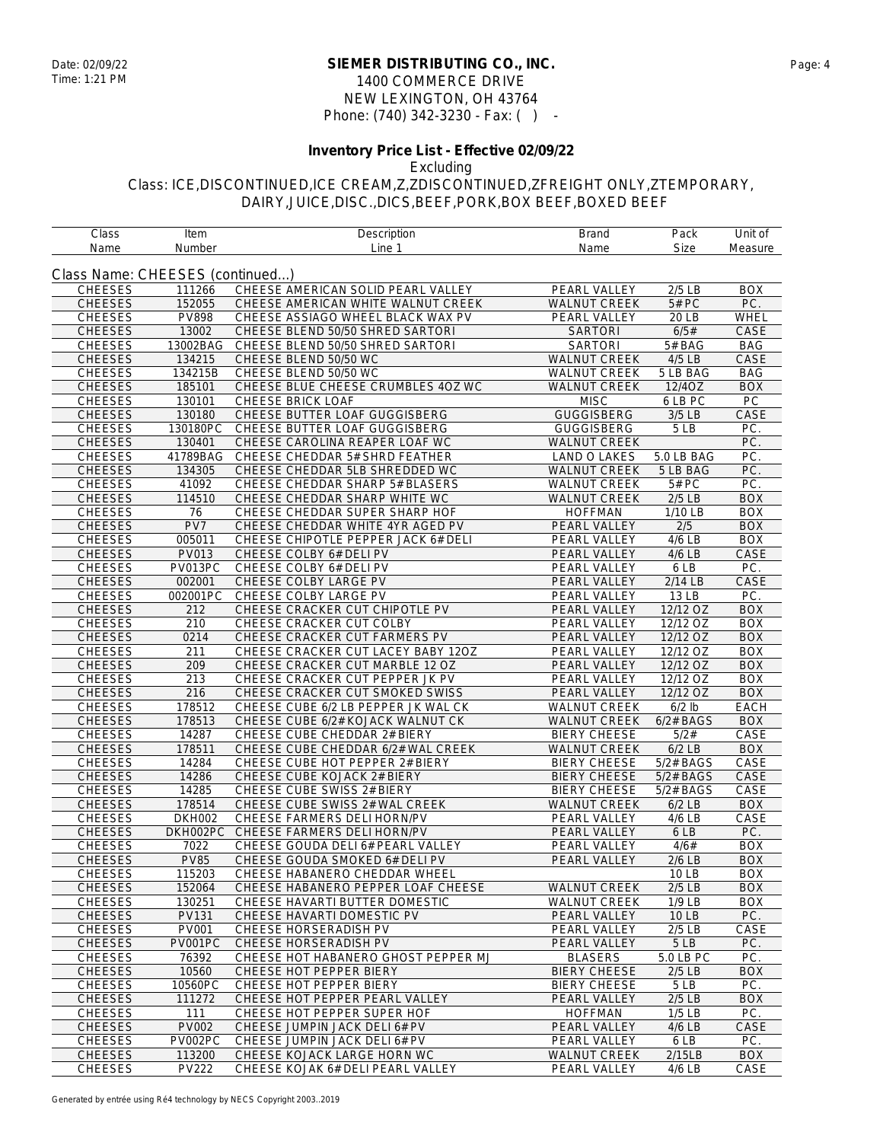### **SIEMER DISTRIBUTING CO., INC.** Date: 02/09/22 Page: 4 1400 COMMERCE DRIVE NEW LEXINGTON, OH 43764 Phone: (740) 342-3230 - Fax: ( ) -

## **Inventory Price List - Effective 02/09/22**

Excluding

| Class                           | Item          | Description                         | Brand               | Pack                | Unit of     |
|---------------------------------|---------------|-------------------------------------|---------------------|---------------------|-------------|
| Name                            | Number        | Line 1                              | Name                | <b>Size</b>         | Measure     |
|                                 |               |                                     |                     |                     |             |
| Class Name: CHEESES (continued) |               |                                     |                     |                     |             |
| <b>CHEESES</b>                  | 111266        | CHEESE AMERICAN SOLID PEARL VALLEY  | PEARL VALLEY        | $2/5$ LB            | <b>BOX</b>  |
| <b>CHEESES</b>                  | 152055        | CHEESE AMERICAN WHITE WALNUT CREEK  | <b>WALNUT CREEK</b> | 5# PC               | PC.         |
| <b>CHEESES</b>                  | <b>PV898</b>  | CHEESE ASSIAGO WHEEL BLACK WAX PV   | PEARL VALLEY        | 20 LB               | WHEL        |
| <b>CHEESES</b>                  | 13002         | CHEESE BLEND 50/50 SHRED SARTORI    | <b>SARTORI</b>      | 6/5#                | CASE        |
| <b>CHEESES</b>                  | 13002BAG      | CHEESE BLEND 50/50 SHRED SARTORI    | <b>SARTORI</b>      | 5# BAG              | <b>BAG</b>  |
| <b>CHEESES</b>                  | 134215        | CHEESE BLEND 50/50 WC               | <b>WALNUT CREEK</b> | 4/5 LB              | CASE        |
| <b>CHEESES</b>                  | 134215B       | CHEESE BLEND 50/50 WC               | WALNUT CREEK        | 5 LB BAG            | <b>BAG</b>  |
| <b>CHEESES</b>                  | 185101        | CHEESE BLUE CHEESE CRUMBLES 4OZ WC  | <b>WALNUT CREEK</b> | 12/4OZ              | <b>BOX</b>  |
| <b>CHEESES</b>                  | 130101        | <b>CHEESE BRICK LOAF</b>            | <b>MISC</b>         | 6 LB PC             | PC          |
| <b>CHEESES</b>                  | 130180        | CHEESE BUTTER LOAF GUGGISBERG       | <b>GUGGISBERG</b>   | $3/5$ LB            | CASE        |
| <b>CHEESES</b>                  | 130180PC      | CHEESE BUTTER LOAF GUGGISBERG       | <b>GUGGISBERG</b>   | 5LB                 | PC.         |
| <b>CHEESES</b>                  | 130401        | CHEESE CAROLINA REAPER LOAF WC      | <b>WALNUT CREEK</b> |                     | PC.         |
| <b>CHEESES</b>                  | 41789BAG      | CHEESE CHEDDAR 5# SHRD FEATHER      | LAND O LAKES        | 5.0 LB BAG          | PC.         |
| <b>CHEESES</b>                  | 134305        | CHEESE CHEDDAR 5LB SHREDDED WC      | <b>WALNUT CREEK</b> | 5 LB BAG            | PC.         |
| <b>CHEESES</b>                  | 41092         | CHEESE CHEDDAR SHARP 5# BLASERS     | <b>WALNUT CREEK</b> | 5# PC               | PC.         |
| <b>CHEESES</b>                  | 114510        | CHEESE CHEDDAR SHARP WHITE WC       | <b>WALNUT CREEK</b> | $2/5$ LB            | <b>BOX</b>  |
| <b>CHEESES</b>                  | 76            | CHEESE CHEDDAR SUPER SHARP HOF      | <b>HOFFMAN</b>      | 1/10 LB             | <b>BOX</b>  |
| <b>CHEESES</b>                  | PV7           | CHEESE CHEDDAR WHITE 4YR AGED PV    | PEARL VALLEY        | 2/5                 | <b>BOX</b>  |
| <b>CHEESES</b>                  | 005011        | CHEESE CHIPOTLE PEPPER JACK 6# DELI | PEARL VALLEY        | $4/6$ LB            | <b>BOX</b>  |
| <b>CHEESES</b>                  | PV013         | CHEESE COLBY 6# DELI PV             | PEARL VALLEY        | 4/6 LB              | CASE        |
| <b>CHEESES</b>                  | PV013PC       | CHEESE COLBY 6# DELI PV             | PEARL VALLEY        | 6 LB                | PC.         |
| <b>CHEESES</b>                  | 002001        | CHEESE COLBY LARGE PV               | PEARL VALLEY        | 2/14 LB             | CASE        |
| <b>CHEESES</b>                  | 002001PC      | CHEESE COLBY LARGE PV               | PEARL VALLEY        | 13 LB               | PC.         |
| <b>CHEESES</b>                  | 212           | CHEESE CRACKER CUT CHIPOTLE PV      | PEARL VALLEY        | 12/12 OZ            | <b>BOX</b>  |
| <b>CHEESES</b>                  | 210           | CHEESE CRACKER CUT COLBY            | PEARL VALLEY        | 12/12 OZ            | <b>BOX</b>  |
| <b>CHEESES</b>                  | 0214          | CHEESE CRACKER CUT FARMERS PV       | PEARL VALLEY        | 12/12 OZ            | <b>BOX</b>  |
| <b>CHEESES</b>                  | 211           | CHEESE CRACKER CUT LACEY BABY 12OZ  | <b>PEARL VALLEY</b> | 12/12 OZ            | <b>BOX</b>  |
| <b>CHEESES</b>                  | 209           | CHEESE CRACKER CUT MARBLE 12 OZ     | PEARL VALLEY        | $12/12$ OZ          | <b>BOX</b>  |
| <b>CHEESES</b>                  | 213           | CHEESE CRACKER CUT PEPPER JK PV     | PEARL VALLEY        | 12/12 OZ            | <b>BOX</b>  |
| <b>CHEESES</b>                  | 216           | CHEESE CRACKER CUT SMOKED SWISS     | PEARL VALLEY        | 12/12 OZ            | <b>BOX</b>  |
| <b>CHEESES</b>                  | 178512        | CHEESE CUBE 6/2 LB PEPPER JK WAL CK | <b>WALNUT CREEK</b> | $6/2$ lb            | <b>EACH</b> |
| <b>CHEESES</b>                  | 178513        | CHEESE CUBE 6/2# KOJACK WALNUT CK   | <b>WALNUT CREEK</b> | $6/2#$ BAGS         | <b>BOX</b>  |
| <b>CHEESES</b>                  | 14287         | CHEESE CUBE CHEDDAR 2# BIERY        | <b>BIERY CHEESE</b> | 5/2#                | CASE        |
| <b>CHEESES</b>                  | 178511        | CHEESE CUBE CHEDDAR 6/2# WAL CREEK  | <b>WALNUT CREEK</b> | $6/2$ LB            | <b>BOX</b>  |
| <b>CHEESES</b>                  | 14284         | CHEESE CUBE HOT PEPPER 2# BIERY     | <b>BIERY CHEESE</b> | 5/2# BAGS           | CASE        |
| <b>CHEESES</b>                  | 14286         | CHEESE CUBE KOJACK 2# BIERY         | <b>BIERY CHEESE</b> | 5/2# BAGS           | CASE        |
| <b>CHEESES</b>                  | 14285         | CHEESE CUBE SWISS 2# BIERY          | <b>BIERY CHEESE</b> | 5/2# BAGS           | CASE        |
| <b>CHEESES</b>                  | 178514        | CHEESE CUBE SWISS 2# WAL CREEK      | <b>WALNUT CREEK</b> | $6/2$ LB            | <b>BOX</b>  |
| <b>CHEESES</b>                  | <b>DKH002</b> | CHEESE FARMERS DELI HORN/PV         | PEARL VALLEY        | $\overline{4/6}$ LB | CASE        |
| <b>CHEESES</b>                  | DKH002PC      | CHEESE FARMERS DELI HORN/PV         | PEARL VALLEY        | 6 LB                | PC.         |
| <b>CHEESES</b>                  | 7022          | CHEESE GOUDA DELI 6# PEARL VALLEY   | PEARL VALLEY        | 4/6#                | <b>BOX</b>  |
| <b>CHEESES</b>                  | <b>PV85</b>   | CHEESE GOUDA SMOKED 6# DELI PV      | <b>PEARL VALLEY</b> | $2/6$ LB            | <b>BOX</b>  |
| <b>CHEESES</b>                  | 115203        | CHEESE HABANERO CHEDDAR WHEEL       |                     | 10 LB               | <b>BOX</b>  |
| CHEESES                         | 152064        | CHEESE HABANERO PEPPER LOAF CHEESE  | <b>WALNUT CREEK</b> | $2/5$ LB            | <b>BOX</b>  |
| <b>CHEESES</b>                  | 130251        | CHEESE HAVARTI BUTTER DOMESTIC      | <b>WALNUT CREEK</b> | $1/9$ LB            | <b>BOX</b>  |
| <b>CHEESES</b>                  | PV131         | CHEESE HAVARTI DOMESTIC PV          | PEARL VALLEY        | 10 LB               | PC.         |
| <b>CHEESES</b>                  | PV001         | CHEESE HORSERADISH PV               | PEARL VALLEY        | $2/5$ LB            | CASE        |
| <b>CHEESES</b>                  | PV001PC       | CHEESE HORSERADISH PV               | PEARL VALLEY        | 5 LB                | PC.         |
| <b>CHEESES</b>                  | 76392         | CHEESE HOT HABANERO GHOST PEPPER MJ | <b>BLASERS</b>      | 5.0 LB PC           | PC.         |
| <b>CHEESES</b>                  | 10560         | CHEESE HOT PEPPER BIERY             | <b>BIERY CHEESE</b> | $2/5$ LB            | <b>BOX</b>  |
| <b>CHEESES</b>                  | 10560PC       | CHEESE HOT PEPPER BIERY             | <b>BIERY CHEESE</b> | 5LB                 | PC.         |
| <b>CHEESES</b>                  | 111272        | CHEESE HOT PEPPER PEARL VALLEY      | PEARL VALLEY        | $2/5$ LB            | <b>BOX</b>  |
| <b>CHEESES</b>                  | 111           | CHEESE HOT PEPPER SUPER HOF         | <b>HOFFMAN</b>      | $1/5$ LB            | PC.         |
| CHEESES                         | <b>PV002</b>  | CHEESE JUMPIN JACK DELI 6# PV       | PEARL VALLEY        | 4/6 LB              | CASE        |
| <b>CHEESES</b>                  | PV002PC       | CHEESE JUMPIN JACK DELI 6# PV       | PEARL VALLEY        | 6 LB                | PC.         |
| <b>CHEESES</b>                  | 113200        | CHEESE KOJACK LARGE HORN WC         | <b>WALNUT CREEK</b> | 2/15LB              | <b>BOX</b>  |
| CHEESES                         | <b>PV222</b>  | CHEESE KOJAK 6# DELI PEARL VALLEY   | PEARL VALLEY        | 4/6 LB              | CASE        |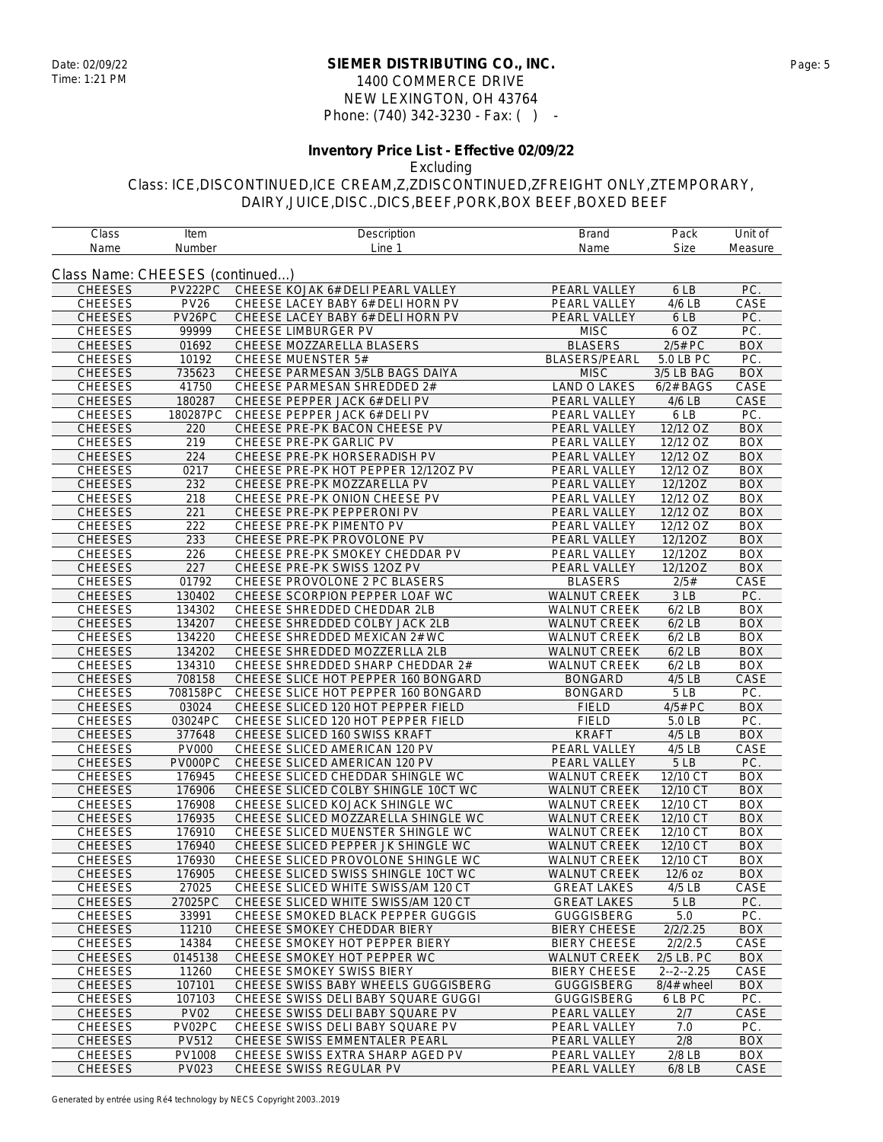### **SIEMER DISTRIBUTING CO., INC.** Date: 02/09/22 Page: 5 1400 COMMERCE DRIVE NEW LEXINGTON, OH 43764 Phone: (740) 342-3230 - Fax: ( ) -

# **Inventory Price List - Effective 02/09/22**

Excluding

| Class Name: CHEESES (continued)<br>PC.<br><b>CHEESES</b><br>PV222PC<br>CHEESE KOJAK 6# DELI PEARL VALLEY<br>PEARL VALLEY<br>6 LB<br><b>PV26</b><br><b>CHEESES</b><br>CHEESE LACEY BABY 6# DELI HORN PV<br>PEARL VALLEY<br>4/6 LB<br>CASE<br>PV26PC<br><b>CHEESES</b><br>CHEESE LACEY BABY 6# DELI HORN PV<br>PEARL VALLEY<br>PC.<br>6 LB<br>PC.<br><b>CHEESES</b><br>99999<br>CHEESE LIMBURGER PV<br><b>MISC</b><br>6 OZ<br><b>CHEESES</b><br>01692<br>CHEESE MOZZARELLA BLASERS<br><b>BLASERS</b><br>2/5# PC<br><b>BOX</b><br>PC.<br>10192<br><b>CHEESE MUENSTER 5#</b><br><b>BLASERS/PEARL</b><br><b>CHEESES</b><br>5.0 LB PC<br><b>CHEESES</b><br>735623<br>CHEESE PARMESAN 3/5LB BAGS DAIYA<br><b>MISC</b><br>3/5 LB BAG<br><b>BOX</b><br>41750<br>CHEESE PARMESAN SHREDDED 2#<br><b>LAND O LAKES</b><br><b>CHEESES</b><br>$6/2#$ BAGS<br>CASE<br><b>CHEESES</b><br>CASE<br>180287<br>CHEESE PEPPER JACK 6# DELI PV<br>PEARL VALLEY<br>4/6 LB<br><b>CHEESES</b><br>180287PC<br>PEARL VALLEY<br>6 LB<br>PC.<br>CHEESE PEPPER JACK 6# DELI PV<br><b>CHEESES</b><br>PEARL VALLEY<br>12/12 OZ<br><b>BOX</b><br>220<br>CHEESE PRE-PK BACON CHEESE PV<br><b>CHEESES</b><br>219<br>CHEESE PRE-PK GARLIC PV<br>12/12 OZ<br><b>BOX</b><br>PEARL VALLEY<br>224<br>CHEESE PRE-PK HORSERADISH PV<br>$\overline{12}/12$ OZ<br><b>CHEESES</b><br>PEARL VALLEY<br><b>BOX</b><br><b>CHEESES</b><br>0217<br>CHEESE PRE-PK HOT PEPPER 12/120Z PV<br>PEARL VALLEY<br>12/12 OZ<br><b>BOX</b><br>12/12OZ<br><b>CHEESES</b><br>232<br>CHEESE PRE-PK MOZZARELLA PV<br>PEARL VALLEY<br><b>BOX</b><br><b>CHEESES</b><br>CHEESE PRE-PK ONION CHEESE PV<br>12/12 OZ<br><b>BOX</b><br>218<br>PEARL VALLEY<br>221<br><b>CHEESES</b><br>CHEESE PRE-PK PEPPERONI PV<br>PEARL VALLEY<br>12/12 OZ<br><b>BOX</b><br><b>CHEESES</b><br>222<br>CHEESE PRE-PK PIMENTO PV<br>12/12 OZ<br><b>BOX</b><br>PEARL VALLEY<br><b>CHEESES</b><br>233<br>CHEESE PRE-PK PROVOLONE PV<br>PEARL VALLEY<br>12/12OZ<br><b>BOX</b><br><b>CHEESES</b><br>226<br>CHEESE PRE-PK SMOKEY CHEDDAR PV<br>PEARL VALLEY<br>12/12OZ<br><b>BOX</b><br>227<br>CHEESE PRE-PK SWISS 120Z PV<br>PEARL VALLEY<br>12/12OZ<br><b>BOX</b><br><b>CHEESES</b><br><b>CHEESES</b><br>01792<br>CHEESE PROVOLONE 2 PC BLASERS<br><b>BLASERS</b><br>2/5#<br>CASE<br><b>CHEESES</b><br>130402<br>CHEESE SCORPION PEPPER LOAF WC<br><b>WALNUT CREEK</b><br>PC.<br>3 LB<br><b>CHEESES</b><br>134302<br>$6/2$ LB<br><b>BOX</b><br>CHEESE SHREDDED CHEDDAR 2LB<br><b>WALNUT CREEK</b><br><b>CHEESES</b><br><b>WALNUT CREEK</b><br>$6/2$ LB<br><b>BOX</b><br>134207<br>CHEESE SHREDDED COLBY JACK 2LB<br><b>CHEESES</b><br>134220<br>CHEESE SHREDDED MEXICAN 2# WC<br>WALNUT CREEK<br><b>BOX</b><br>$6/2$ LB<br><b>CHEESES</b><br>CHEESE SHREDDED MOZZERLLA 2LB<br><b>WALNUT CREEK</b><br><b>BOX</b><br>134202<br>$6/2$ LB<br><b>CHEESES</b><br>134310<br>CHEESE SHREDDED SHARP CHEDDAR 2#<br><b>WALNUT CREEK</b><br><b>BOX</b><br>$6/2$ LB<br><b>CHEESES</b><br>708158<br>CHEESE SLICE HOT PEPPER 160 BONGARD<br>4/5 LB<br>CASE<br><b>BONGARD</b><br>PC.<br><b>CHEESES</b><br>708158PC<br>CHEESE SLICE HOT PEPPER 160 BONGARD<br><b>BONGARD</b><br>5LB<br><b>CHEESES</b><br>CHEESE SLICED 120 HOT PEPPER FIELD<br><b>FIELD</b><br>4/5# PC<br><b>BOX</b><br>03024<br>PC.<br><b>CHEESES</b><br>03024PC<br>CHEESE SLICED 120 HOT PEPPER FIELD<br><b>FIELD</b><br>5.0 LB<br><b>CHEESES</b><br>377648<br>CHEESE SLICED 160 SWISS KRAFT<br><b>KRAFT</b><br>4/5 LB<br><b>BOX</b><br><b>CHEESES</b><br><b>PV000</b><br>CHEESE SLICED AMERICAN 120 PV<br>PEARL VALLEY<br>CASE<br>4/5 LB<br><b>CHEESES</b><br>PV000PC<br>CHEESE SLICED AMERICAN 120 PV<br>PEARL VALLEY<br>5LB<br>PC.<br>12/10 CT<br><b>CHEESES</b><br>176945<br>CHEESE SLICED CHEDDAR SHINGLE WC<br><b>WALNUT CREEK</b><br><b>BOX</b><br><b>CHEESES</b><br>176906<br>CHEESE SLICED COLBY SHINGLE 10CT WC<br><b>WALNUT CREEK</b><br>12/10 CT<br><b>BOX</b><br><b>CHEESES</b><br>$\overline{12/10}$ CT<br>176908<br>CHEESE SLICED KOJACK SHINGLE WC<br><b>WALNUT CREEK</b><br><b>BOX</b><br><b>CHEESES</b><br>176935<br>CHEESE SLICED MOZZARELLA SHINGLE WC<br><b>WALNUT CREEK</b><br>12/10 CT<br><b>BOX</b><br><b>CHEESES</b><br>176910<br>CHEESE SLICED MUENSTER SHINGLE WC<br>WALNUT CREEK<br>12/10 CT<br><b>BOX</b><br>CHEESE SLICED PEPPER JK SHINGLE WC<br><b>WALNUT CREEK</b><br><b>CHEESES</b><br>176940<br>12/10 CT<br><b>BOX</b><br><b>CHEESES</b><br>176930<br>CHEESE SLICED PROVOLONE SHINGLE WC<br><b>WALNUT CREEK</b><br>12/10 CT<br><b>BOX</b><br><b>CHEESES</b><br>CHEESE SLICED SWISS SHINGLE 10CT WC<br><b>BOX</b><br>176905<br><b>WALNUT CREEK</b><br>$12/6$ oz<br>27025<br>CHEESE SLICED WHITE SWISS/AM 120 CT<br>CASE<br><b>CHEESES</b><br><b>GREAT LAKES</b><br>$4/5$ LB<br>PC.<br><b>CHEESES</b><br>27025PC<br>CHEESE SLICED WHITE SWISS/AM 120 CT<br>5LB<br><b>GREAT LAKES</b><br><b>CHEESES</b><br>33991<br>PC.<br>CHEESE SMOKED BLACK PEPPER GUGGIS<br><b>GUGGISBERG</b><br>5.0<br><b>CHEESES</b><br>11210<br>2/2/2.25<br><b>BOX</b><br>CHEESE SMOKEY CHEDDAR BIERY<br><b>BIERY CHEESE</b><br>CASE<br><b>CHEESES</b><br>14384<br>CHEESE SMOKEY HOT PEPPER BIERY<br><b>BIERY CHEESE</b><br>2/2/2.5<br>CHEESES<br>0145138<br>CHEESE SMOKEY HOT PEPPER WC<br><b>WALNUT CREEK</b><br>2/5 LB. PC<br><b>BOX</b><br>11260<br>$2 - 2 - 2.25$<br>CASE<br><b>CHEESES</b><br>CHEESE SMOKEY SWISS BIERY<br><b>BIERY CHEESE</b><br><b>CHEESES</b><br>CHEESE SWISS BABY WHEELS GUGGISBERG<br>107101<br><b>GUGGISBERG</b><br>8/4# wheel<br><b>BOX</b><br><b>CHEESES</b><br>107103<br><b>GUGGISBERG</b><br>PC.<br>CHEESE SWISS DELI BABY SQUARE GUGGI<br>6 LB PC<br>PVO2<br>CASE<br><b>CHEESES</b><br>CHEESE SWISS DELI BABY SQUARE PV<br>PEARL VALLEY<br>2/7<br>PV02PC<br>PC.<br><b>CHEESES</b><br>CHEESE SWISS DELI BABY SQUARE PV<br>PEARL VALLEY<br>7.0<br><b>CHEESES</b><br>CHEESE SWISS EMMENTALER PEARL<br>2/8<br><b>PV512</b><br>PEARL VALLEY<br><b>BOX</b><br><b>CHEESES</b><br>PV1008<br>CHEESE SWISS EXTRA SHARP AGED PV<br><b>BOX</b><br>PEARL VALLEY<br>2/8 LB<br>CASE<br><b>CHEESES</b><br><b>PV023</b><br>CHEESE SWISS REGULAR PV<br>PEARL VALLEY<br>6/8 LB | Class | Item   | Description | Brand | Pack        | Unit of |
|----------------------------------------------------------------------------------------------------------------------------------------------------------------------------------------------------------------------------------------------------------------------------------------------------------------------------------------------------------------------------------------------------------------------------------------------------------------------------------------------------------------------------------------------------------------------------------------------------------------------------------------------------------------------------------------------------------------------------------------------------------------------------------------------------------------------------------------------------------------------------------------------------------------------------------------------------------------------------------------------------------------------------------------------------------------------------------------------------------------------------------------------------------------------------------------------------------------------------------------------------------------------------------------------------------------------------------------------------------------------------------------------------------------------------------------------------------------------------------------------------------------------------------------------------------------------------------------------------------------------------------------------------------------------------------------------------------------------------------------------------------------------------------------------------------------------------------------------------------------------------------------------------------------------------------------------------------------------------------------------------------------------------------------------------------------------------------------------------------------------------------------------------------------------------------------------------------------------------------------------------------------------------------------------------------------------------------------------------------------------------------------------------------------------------------------------------------------------------------------------------------------------------------------------------------------------------------------------------------------------------------------------------------------------------------------------------------------------------------------------------------------------------------------------------------------------------------------------------------------------------------------------------------------------------------------------------------------------------------------------------------------------------------------------------------------------------------------------------------------------------------------------------------------------------------------------------------------------------------------------------------------------------------------------------------------------------------------------------------------------------------------------------------------------------------------------------------------------------------------------------------------------------------------------------------------------------------------------------------------------------------------------------------------------------------------------------------------------------------------------------------------------------------------------------------------------------------------------------------------------------------------------------------------------------------------------------------------------------------------------------------------------------------------------------------------------------------------------------------------------------------------------------------------------------------------------------------------------------------------------------------------------------------------------------------------------------------------------------------------------------------------------------------------------------------------------------------------------------------------------------------------------------------------------------------------------------------------------------------------------------------------------------------------------------------------------------------------------------------------------------------------------------------------------------------------------------------------------------------------------------------------------------------------------------------------------------------------------------------------------------------------------------------------------------------------------------------------------------------------------------------------------------------------------------------------------------------------------------------------------------------------------------------------------------------------------------------------------------------------------------------------------------------------------------------------------------------------------------------------------------------------------------------------------------------------------------------------------------------------------------------------------------------------------------------------------------------------------------------------------------------------------------------------------------------------------------------------------------------------------------------------------------------------------------------------------------------------------------------------------------------------------------------------------------------------------------------------------------------------------------------------------------------|-------|--------|-------------|-------|-------------|---------|
|                                                                                                                                                                                                                                                                                                                                                                                                                                                                                                                                                                                                                                                                                                                                                                                                                                                                                                                                                                                                                                                                                                                                                                                                                                                                                                                                                                                                                                                                                                                                                                                                                                                                                                                                                                                                                                                                                                                                                                                                                                                                                                                                                                                                                                                                                                                                                                                                                                                                                                                                                                                                                                                                                                                                                                                                                                                                                                                                                                                                                                                                                                                                                                                                                                                                                                                                                                                                                                                                                                                                                                                                                                                                                                                                                                                                                                                                                                                                                                                                                                                                                                                                                                                                                                                                                                                                                                                                                                                                                                                                                                                                                                                                                                                                                                                                                                                                                                                                                                                                                                                                                                                                                                                                                                                                                                                                                                                                                                                                                                                                                                                                                                                                                                                                                                                                                                                                                                                                                                                                                                                                                                                                                          | Name  | Number | Line 1      | Name  | <b>Size</b> | Measure |
|                                                                                                                                                                                                                                                                                                                                                                                                                                                                                                                                                                                                                                                                                                                                                                                                                                                                                                                                                                                                                                                                                                                                                                                                                                                                                                                                                                                                                                                                                                                                                                                                                                                                                                                                                                                                                                                                                                                                                                                                                                                                                                                                                                                                                                                                                                                                                                                                                                                                                                                                                                                                                                                                                                                                                                                                                                                                                                                                                                                                                                                                                                                                                                                                                                                                                                                                                                                                                                                                                                                                                                                                                                                                                                                                                                                                                                                                                                                                                                                                                                                                                                                                                                                                                                                                                                                                                                                                                                                                                                                                                                                                                                                                                                                                                                                                                                                                                                                                                                                                                                                                                                                                                                                                                                                                                                                                                                                                                                                                                                                                                                                                                                                                                                                                                                                                                                                                                                                                                                                                                                                                                                                                                          |       |        |             |       |             |         |
|                                                                                                                                                                                                                                                                                                                                                                                                                                                                                                                                                                                                                                                                                                                                                                                                                                                                                                                                                                                                                                                                                                                                                                                                                                                                                                                                                                                                                                                                                                                                                                                                                                                                                                                                                                                                                                                                                                                                                                                                                                                                                                                                                                                                                                                                                                                                                                                                                                                                                                                                                                                                                                                                                                                                                                                                                                                                                                                                                                                                                                                                                                                                                                                                                                                                                                                                                                                                                                                                                                                                                                                                                                                                                                                                                                                                                                                                                                                                                                                                                                                                                                                                                                                                                                                                                                                                                                                                                                                                                                                                                                                                                                                                                                                                                                                                                                                                                                                                                                                                                                                                                                                                                                                                                                                                                                                                                                                                                                                                                                                                                                                                                                                                                                                                                                                                                                                                                                                                                                                                                                                                                                                                                          |       |        |             |       |             |         |
|                                                                                                                                                                                                                                                                                                                                                                                                                                                                                                                                                                                                                                                                                                                                                                                                                                                                                                                                                                                                                                                                                                                                                                                                                                                                                                                                                                                                                                                                                                                                                                                                                                                                                                                                                                                                                                                                                                                                                                                                                                                                                                                                                                                                                                                                                                                                                                                                                                                                                                                                                                                                                                                                                                                                                                                                                                                                                                                                                                                                                                                                                                                                                                                                                                                                                                                                                                                                                                                                                                                                                                                                                                                                                                                                                                                                                                                                                                                                                                                                                                                                                                                                                                                                                                                                                                                                                                                                                                                                                                                                                                                                                                                                                                                                                                                                                                                                                                                                                                                                                                                                                                                                                                                                                                                                                                                                                                                                                                                                                                                                                                                                                                                                                                                                                                                                                                                                                                                                                                                                                                                                                                                                                          |       |        |             |       |             |         |
|                                                                                                                                                                                                                                                                                                                                                                                                                                                                                                                                                                                                                                                                                                                                                                                                                                                                                                                                                                                                                                                                                                                                                                                                                                                                                                                                                                                                                                                                                                                                                                                                                                                                                                                                                                                                                                                                                                                                                                                                                                                                                                                                                                                                                                                                                                                                                                                                                                                                                                                                                                                                                                                                                                                                                                                                                                                                                                                                                                                                                                                                                                                                                                                                                                                                                                                                                                                                                                                                                                                                                                                                                                                                                                                                                                                                                                                                                                                                                                                                                                                                                                                                                                                                                                                                                                                                                                                                                                                                                                                                                                                                                                                                                                                                                                                                                                                                                                                                                                                                                                                                                                                                                                                                                                                                                                                                                                                                                                                                                                                                                                                                                                                                                                                                                                                                                                                                                                                                                                                                                                                                                                                                                          |       |        |             |       |             |         |
|                                                                                                                                                                                                                                                                                                                                                                                                                                                                                                                                                                                                                                                                                                                                                                                                                                                                                                                                                                                                                                                                                                                                                                                                                                                                                                                                                                                                                                                                                                                                                                                                                                                                                                                                                                                                                                                                                                                                                                                                                                                                                                                                                                                                                                                                                                                                                                                                                                                                                                                                                                                                                                                                                                                                                                                                                                                                                                                                                                                                                                                                                                                                                                                                                                                                                                                                                                                                                                                                                                                                                                                                                                                                                                                                                                                                                                                                                                                                                                                                                                                                                                                                                                                                                                                                                                                                                                                                                                                                                                                                                                                                                                                                                                                                                                                                                                                                                                                                                                                                                                                                                                                                                                                                                                                                                                                                                                                                                                                                                                                                                                                                                                                                                                                                                                                                                                                                                                                                                                                                                                                                                                                                                          |       |        |             |       |             |         |
|                                                                                                                                                                                                                                                                                                                                                                                                                                                                                                                                                                                                                                                                                                                                                                                                                                                                                                                                                                                                                                                                                                                                                                                                                                                                                                                                                                                                                                                                                                                                                                                                                                                                                                                                                                                                                                                                                                                                                                                                                                                                                                                                                                                                                                                                                                                                                                                                                                                                                                                                                                                                                                                                                                                                                                                                                                                                                                                                                                                                                                                                                                                                                                                                                                                                                                                                                                                                                                                                                                                                                                                                                                                                                                                                                                                                                                                                                                                                                                                                                                                                                                                                                                                                                                                                                                                                                                                                                                                                                                                                                                                                                                                                                                                                                                                                                                                                                                                                                                                                                                                                                                                                                                                                                                                                                                                                                                                                                                                                                                                                                                                                                                                                                                                                                                                                                                                                                                                                                                                                                                                                                                                                                          |       |        |             |       |             |         |
|                                                                                                                                                                                                                                                                                                                                                                                                                                                                                                                                                                                                                                                                                                                                                                                                                                                                                                                                                                                                                                                                                                                                                                                                                                                                                                                                                                                                                                                                                                                                                                                                                                                                                                                                                                                                                                                                                                                                                                                                                                                                                                                                                                                                                                                                                                                                                                                                                                                                                                                                                                                                                                                                                                                                                                                                                                                                                                                                                                                                                                                                                                                                                                                                                                                                                                                                                                                                                                                                                                                                                                                                                                                                                                                                                                                                                                                                                                                                                                                                                                                                                                                                                                                                                                                                                                                                                                                                                                                                                                                                                                                                                                                                                                                                                                                                                                                                                                                                                                                                                                                                                                                                                                                                                                                                                                                                                                                                                                                                                                                                                                                                                                                                                                                                                                                                                                                                                                                                                                                                                                                                                                                                                          |       |        |             |       |             |         |
|                                                                                                                                                                                                                                                                                                                                                                                                                                                                                                                                                                                                                                                                                                                                                                                                                                                                                                                                                                                                                                                                                                                                                                                                                                                                                                                                                                                                                                                                                                                                                                                                                                                                                                                                                                                                                                                                                                                                                                                                                                                                                                                                                                                                                                                                                                                                                                                                                                                                                                                                                                                                                                                                                                                                                                                                                                                                                                                                                                                                                                                                                                                                                                                                                                                                                                                                                                                                                                                                                                                                                                                                                                                                                                                                                                                                                                                                                                                                                                                                                                                                                                                                                                                                                                                                                                                                                                                                                                                                                                                                                                                                                                                                                                                                                                                                                                                                                                                                                                                                                                                                                                                                                                                                                                                                                                                                                                                                                                                                                                                                                                                                                                                                                                                                                                                                                                                                                                                                                                                                                                                                                                                                                          |       |        |             |       |             |         |
|                                                                                                                                                                                                                                                                                                                                                                                                                                                                                                                                                                                                                                                                                                                                                                                                                                                                                                                                                                                                                                                                                                                                                                                                                                                                                                                                                                                                                                                                                                                                                                                                                                                                                                                                                                                                                                                                                                                                                                                                                                                                                                                                                                                                                                                                                                                                                                                                                                                                                                                                                                                                                                                                                                                                                                                                                                                                                                                                                                                                                                                                                                                                                                                                                                                                                                                                                                                                                                                                                                                                                                                                                                                                                                                                                                                                                                                                                                                                                                                                                                                                                                                                                                                                                                                                                                                                                                                                                                                                                                                                                                                                                                                                                                                                                                                                                                                                                                                                                                                                                                                                                                                                                                                                                                                                                                                                                                                                                                                                                                                                                                                                                                                                                                                                                                                                                                                                                                                                                                                                                                                                                                                                                          |       |        |             |       |             |         |
|                                                                                                                                                                                                                                                                                                                                                                                                                                                                                                                                                                                                                                                                                                                                                                                                                                                                                                                                                                                                                                                                                                                                                                                                                                                                                                                                                                                                                                                                                                                                                                                                                                                                                                                                                                                                                                                                                                                                                                                                                                                                                                                                                                                                                                                                                                                                                                                                                                                                                                                                                                                                                                                                                                                                                                                                                                                                                                                                                                                                                                                                                                                                                                                                                                                                                                                                                                                                                                                                                                                                                                                                                                                                                                                                                                                                                                                                                                                                                                                                                                                                                                                                                                                                                                                                                                                                                                                                                                                                                                                                                                                                                                                                                                                                                                                                                                                                                                                                                                                                                                                                                                                                                                                                                                                                                                                                                                                                                                                                                                                                                                                                                                                                                                                                                                                                                                                                                                                                                                                                                                                                                                                                                          |       |        |             |       |             |         |
|                                                                                                                                                                                                                                                                                                                                                                                                                                                                                                                                                                                                                                                                                                                                                                                                                                                                                                                                                                                                                                                                                                                                                                                                                                                                                                                                                                                                                                                                                                                                                                                                                                                                                                                                                                                                                                                                                                                                                                                                                                                                                                                                                                                                                                                                                                                                                                                                                                                                                                                                                                                                                                                                                                                                                                                                                                                                                                                                                                                                                                                                                                                                                                                                                                                                                                                                                                                                                                                                                                                                                                                                                                                                                                                                                                                                                                                                                                                                                                                                                                                                                                                                                                                                                                                                                                                                                                                                                                                                                                                                                                                                                                                                                                                                                                                                                                                                                                                                                                                                                                                                                                                                                                                                                                                                                                                                                                                                                                                                                                                                                                                                                                                                                                                                                                                                                                                                                                                                                                                                                                                                                                                                                          |       |        |             |       |             |         |
|                                                                                                                                                                                                                                                                                                                                                                                                                                                                                                                                                                                                                                                                                                                                                                                                                                                                                                                                                                                                                                                                                                                                                                                                                                                                                                                                                                                                                                                                                                                                                                                                                                                                                                                                                                                                                                                                                                                                                                                                                                                                                                                                                                                                                                                                                                                                                                                                                                                                                                                                                                                                                                                                                                                                                                                                                                                                                                                                                                                                                                                                                                                                                                                                                                                                                                                                                                                                                                                                                                                                                                                                                                                                                                                                                                                                                                                                                                                                                                                                                                                                                                                                                                                                                                                                                                                                                                                                                                                                                                                                                                                                                                                                                                                                                                                                                                                                                                                                                                                                                                                                                                                                                                                                                                                                                                                                                                                                                                                                                                                                                                                                                                                                                                                                                                                                                                                                                                                                                                                                                                                                                                                                                          |       |        |             |       |             |         |
|                                                                                                                                                                                                                                                                                                                                                                                                                                                                                                                                                                                                                                                                                                                                                                                                                                                                                                                                                                                                                                                                                                                                                                                                                                                                                                                                                                                                                                                                                                                                                                                                                                                                                                                                                                                                                                                                                                                                                                                                                                                                                                                                                                                                                                                                                                                                                                                                                                                                                                                                                                                                                                                                                                                                                                                                                                                                                                                                                                                                                                                                                                                                                                                                                                                                                                                                                                                                                                                                                                                                                                                                                                                                                                                                                                                                                                                                                                                                                                                                                                                                                                                                                                                                                                                                                                                                                                                                                                                                                                                                                                                                                                                                                                                                                                                                                                                                                                                                                                                                                                                                                                                                                                                                                                                                                                                                                                                                                                                                                                                                                                                                                                                                                                                                                                                                                                                                                                                                                                                                                                                                                                                                                          |       |        |             |       |             |         |
|                                                                                                                                                                                                                                                                                                                                                                                                                                                                                                                                                                                                                                                                                                                                                                                                                                                                                                                                                                                                                                                                                                                                                                                                                                                                                                                                                                                                                                                                                                                                                                                                                                                                                                                                                                                                                                                                                                                                                                                                                                                                                                                                                                                                                                                                                                                                                                                                                                                                                                                                                                                                                                                                                                                                                                                                                                                                                                                                                                                                                                                                                                                                                                                                                                                                                                                                                                                                                                                                                                                                                                                                                                                                                                                                                                                                                                                                                                                                                                                                                                                                                                                                                                                                                                                                                                                                                                                                                                                                                                                                                                                                                                                                                                                                                                                                                                                                                                                                                                                                                                                                                                                                                                                                                                                                                                                                                                                                                                                                                                                                                                                                                                                                                                                                                                                                                                                                                                                                                                                                                                                                                                                                                          |       |        |             |       |             |         |
|                                                                                                                                                                                                                                                                                                                                                                                                                                                                                                                                                                                                                                                                                                                                                                                                                                                                                                                                                                                                                                                                                                                                                                                                                                                                                                                                                                                                                                                                                                                                                                                                                                                                                                                                                                                                                                                                                                                                                                                                                                                                                                                                                                                                                                                                                                                                                                                                                                                                                                                                                                                                                                                                                                                                                                                                                                                                                                                                                                                                                                                                                                                                                                                                                                                                                                                                                                                                                                                                                                                                                                                                                                                                                                                                                                                                                                                                                                                                                                                                                                                                                                                                                                                                                                                                                                                                                                                                                                                                                                                                                                                                                                                                                                                                                                                                                                                                                                                                                                                                                                                                                                                                                                                                                                                                                                                                                                                                                                                                                                                                                                                                                                                                                                                                                                                                                                                                                                                                                                                                                                                                                                                                                          |       |        |             |       |             |         |
|                                                                                                                                                                                                                                                                                                                                                                                                                                                                                                                                                                                                                                                                                                                                                                                                                                                                                                                                                                                                                                                                                                                                                                                                                                                                                                                                                                                                                                                                                                                                                                                                                                                                                                                                                                                                                                                                                                                                                                                                                                                                                                                                                                                                                                                                                                                                                                                                                                                                                                                                                                                                                                                                                                                                                                                                                                                                                                                                                                                                                                                                                                                                                                                                                                                                                                                                                                                                                                                                                                                                                                                                                                                                                                                                                                                                                                                                                                                                                                                                                                                                                                                                                                                                                                                                                                                                                                                                                                                                                                                                                                                                                                                                                                                                                                                                                                                                                                                                                                                                                                                                                                                                                                                                                                                                                                                                                                                                                                                                                                                                                                                                                                                                                                                                                                                                                                                                                                                                                                                                                                                                                                                                                          |       |        |             |       |             |         |
|                                                                                                                                                                                                                                                                                                                                                                                                                                                                                                                                                                                                                                                                                                                                                                                                                                                                                                                                                                                                                                                                                                                                                                                                                                                                                                                                                                                                                                                                                                                                                                                                                                                                                                                                                                                                                                                                                                                                                                                                                                                                                                                                                                                                                                                                                                                                                                                                                                                                                                                                                                                                                                                                                                                                                                                                                                                                                                                                                                                                                                                                                                                                                                                                                                                                                                                                                                                                                                                                                                                                                                                                                                                                                                                                                                                                                                                                                                                                                                                                                                                                                                                                                                                                                                                                                                                                                                                                                                                                                                                                                                                                                                                                                                                                                                                                                                                                                                                                                                                                                                                                                                                                                                                                                                                                                                                                                                                                                                                                                                                                                                                                                                                                                                                                                                                                                                                                                                                                                                                                                                                                                                                                                          |       |        |             |       |             |         |
|                                                                                                                                                                                                                                                                                                                                                                                                                                                                                                                                                                                                                                                                                                                                                                                                                                                                                                                                                                                                                                                                                                                                                                                                                                                                                                                                                                                                                                                                                                                                                                                                                                                                                                                                                                                                                                                                                                                                                                                                                                                                                                                                                                                                                                                                                                                                                                                                                                                                                                                                                                                                                                                                                                                                                                                                                                                                                                                                                                                                                                                                                                                                                                                                                                                                                                                                                                                                                                                                                                                                                                                                                                                                                                                                                                                                                                                                                                                                                                                                                                                                                                                                                                                                                                                                                                                                                                                                                                                                                                                                                                                                                                                                                                                                                                                                                                                                                                                                                                                                                                                                                                                                                                                                                                                                                                                                                                                                                                                                                                                                                                                                                                                                                                                                                                                                                                                                                                                                                                                                                                                                                                                                                          |       |        |             |       |             |         |
|                                                                                                                                                                                                                                                                                                                                                                                                                                                                                                                                                                                                                                                                                                                                                                                                                                                                                                                                                                                                                                                                                                                                                                                                                                                                                                                                                                                                                                                                                                                                                                                                                                                                                                                                                                                                                                                                                                                                                                                                                                                                                                                                                                                                                                                                                                                                                                                                                                                                                                                                                                                                                                                                                                                                                                                                                                                                                                                                                                                                                                                                                                                                                                                                                                                                                                                                                                                                                                                                                                                                                                                                                                                                                                                                                                                                                                                                                                                                                                                                                                                                                                                                                                                                                                                                                                                                                                                                                                                                                                                                                                                                                                                                                                                                                                                                                                                                                                                                                                                                                                                                                                                                                                                                                                                                                                                                                                                                                                                                                                                                                                                                                                                                                                                                                                                                                                                                                                                                                                                                                                                                                                                                                          |       |        |             |       |             |         |
|                                                                                                                                                                                                                                                                                                                                                                                                                                                                                                                                                                                                                                                                                                                                                                                                                                                                                                                                                                                                                                                                                                                                                                                                                                                                                                                                                                                                                                                                                                                                                                                                                                                                                                                                                                                                                                                                                                                                                                                                                                                                                                                                                                                                                                                                                                                                                                                                                                                                                                                                                                                                                                                                                                                                                                                                                                                                                                                                                                                                                                                                                                                                                                                                                                                                                                                                                                                                                                                                                                                                                                                                                                                                                                                                                                                                                                                                                                                                                                                                                                                                                                                                                                                                                                                                                                                                                                                                                                                                                                                                                                                                                                                                                                                                                                                                                                                                                                                                                                                                                                                                                                                                                                                                                                                                                                                                                                                                                                                                                                                                                                                                                                                                                                                                                                                                                                                                                                                                                                                                                                                                                                                                                          |       |        |             |       |             |         |
|                                                                                                                                                                                                                                                                                                                                                                                                                                                                                                                                                                                                                                                                                                                                                                                                                                                                                                                                                                                                                                                                                                                                                                                                                                                                                                                                                                                                                                                                                                                                                                                                                                                                                                                                                                                                                                                                                                                                                                                                                                                                                                                                                                                                                                                                                                                                                                                                                                                                                                                                                                                                                                                                                                                                                                                                                                                                                                                                                                                                                                                                                                                                                                                                                                                                                                                                                                                                                                                                                                                                                                                                                                                                                                                                                                                                                                                                                                                                                                                                                                                                                                                                                                                                                                                                                                                                                                                                                                                                                                                                                                                                                                                                                                                                                                                                                                                                                                                                                                                                                                                                                                                                                                                                                                                                                                                                                                                                                                                                                                                                                                                                                                                                                                                                                                                                                                                                                                                                                                                                                                                                                                                                                          |       |        |             |       |             |         |
|                                                                                                                                                                                                                                                                                                                                                                                                                                                                                                                                                                                                                                                                                                                                                                                                                                                                                                                                                                                                                                                                                                                                                                                                                                                                                                                                                                                                                                                                                                                                                                                                                                                                                                                                                                                                                                                                                                                                                                                                                                                                                                                                                                                                                                                                                                                                                                                                                                                                                                                                                                                                                                                                                                                                                                                                                                                                                                                                                                                                                                                                                                                                                                                                                                                                                                                                                                                                                                                                                                                                                                                                                                                                                                                                                                                                                                                                                                                                                                                                                                                                                                                                                                                                                                                                                                                                                                                                                                                                                                                                                                                                                                                                                                                                                                                                                                                                                                                                                                                                                                                                                                                                                                                                                                                                                                                                                                                                                                                                                                                                                                                                                                                                                                                                                                                                                                                                                                                                                                                                                                                                                                                                                          |       |        |             |       |             |         |
|                                                                                                                                                                                                                                                                                                                                                                                                                                                                                                                                                                                                                                                                                                                                                                                                                                                                                                                                                                                                                                                                                                                                                                                                                                                                                                                                                                                                                                                                                                                                                                                                                                                                                                                                                                                                                                                                                                                                                                                                                                                                                                                                                                                                                                                                                                                                                                                                                                                                                                                                                                                                                                                                                                                                                                                                                                                                                                                                                                                                                                                                                                                                                                                                                                                                                                                                                                                                                                                                                                                                                                                                                                                                                                                                                                                                                                                                                                                                                                                                                                                                                                                                                                                                                                                                                                                                                                                                                                                                                                                                                                                                                                                                                                                                                                                                                                                                                                                                                                                                                                                                                                                                                                                                                                                                                                                                                                                                                                                                                                                                                                                                                                                                                                                                                                                                                                                                                                                                                                                                                                                                                                                                                          |       |        |             |       |             |         |
|                                                                                                                                                                                                                                                                                                                                                                                                                                                                                                                                                                                                                                                                                                                                                                                                                                                                                                                                                                                                                                                                                                                                                                                                                                                                                                                                                                                                                                                                                                                                                                                                                                                                                                                                                                                                                                                                                                                                                                                                                                                                                                                                                                                                                                                                                                                                                                                                                                                                                                                                                                                                                                                                                                                                                                                                                                                                                                                                                                                                                                                                                                                                                                                                                                                                                                                                                                                                                                                                                                                                                                                                                                                                                                                                                                                                                                                                                                                                                                                                                                                                                                                                                                                                                                                                                                                                                                                                                                                                                                                                                                                                                                                                                                                                                                                                                                                                                                                                                                                                                                                                                                                                                                                                                                                                                                                                                                                                                                                                                                                                                                                                                                                                                                                                                                                                                                                                                                                                                                                                                                                                                                                                                          |       |        |             |       |             |         |
|                                                                                                                                                                                                                                                                                                                                                                                                                                                                                                                                                                                                                                                                                                                                                                                                                                                                                                                                                                                                                                                                                                                                                                                                                                                                                                                                                                                                                                                                                                                                                                                                                                                                                                                                                                                                                                                                                                                                                                                                                                                                                                                                                                                                                                                                                                                                                                                                                                                                                                                                                                                                                                                                                                                                                                                                                                                                                                                                                                                                                                                                                                                                                                                                                                                                                                                                                                                                                                                                                                                                                                                                                                                                                                                                                                                                                                                                                                                                                                                                                                                                                                                                                                                                                                                                                                                                                                                                                                                                                                                                                                                                                                                                                                                                                                                                                                                                                                                                                                                                                                                                                                                                                                                                                                                                                                                                                                                                                                                                                                                                                                                                                                                                                                                                                                                                                                                                                                                                                                                                                                                                                                                                                          |       |        |             |       |             |         |
|                                                                                                                                                                                                                                                                                                                                                                                                                                                                                                                                                                                                                                                                                                                                                                                                                                                                                                                                                                                                                                                                                                                                                                                                                                                                                                                                                                                                                                                                                                                                                                                                                                                                                                                                                                                                                                                                                                                                                                                                                                                                                                                                                                                                                                                                                                                                                                                                                                                                                                                                                                                                                                                                                                                                                                                                                                                                                                                                                                                                                                                                                                                                                                                                                                                                                                                                                                                                                                                                                                                                                                                                                                                                                                                                                                                                                                                                                                                                                                                                                                                                                                                                                                                                                                                                                                                                                                                                                                                                                                                                                                                                                                                                                                                                                                                                                                                                                                                                                                                                                                                                                                                                                                                                                                                                                                                                                                                                                                                                                                                                                                                                                                                                                                                                                                                                                                                                                                                                                                                                                                                                                                                                                          |       |        |             |       |             |         |
|                                                                                                                                                                                                                                                                                                                                                                                                                                                                                                                                                                                                                                                                                                                                                                                                                                                                                                                                                                                                                                                                                                                                                                                                                                                                                                                                                                                                                                                                                                                                                                                                                                                                                                                                                                                                                                                                                                                                                                                                                                                                                                                                                                                                                                                                                                                                                                                                                                                                                                                                                                                                                                                                                                                                                                                                                                                                                                                                                                                                                                                                                                                                                                                                                                                                                                                                                                                                                                                                                                                                                                                                                                                                                                                                                                                                                                                                                                                                                                                                                                                                                                                                                                                                                                                                                                                                                                                                                                                                                                                                                                                                                                                                                                                                                                                                                                                                                                                                                                                                                                                                                                                                                                                                                                                                                                                                                                                                                                                                                                                                                                                                                                                                                                                                                                                                                                                                                                                                                                                                                                                                                                                                                          |       |        |             |       |             |         |
|                                                                                                                                                                                                                                                                                                                                                                                                                                                                                                                                                                                                                                                                                                                                                                                                                                                                                                                                                                                                                                                                                                                                                                                                                                                                                                                                                                                                                                                                                                                                                                                                                                                                                                                                                                                                                                                                                                                                                                                                                                                                                                                                                                                                                                                                                                                                                                                                                                                                                                                                                                                                                                                                                                                                                                                                                                                                                                                                                                                                                                                                                                                                                                                                                                                                                                                                                                                                                                                                                                                                                                                                                                                                                                                                                                                                                                                                                                                                                                                                                                                                                                                                                                                                                                                                                                                                                                                                                                                                                                                                                                                                                                                                                                                                                                                                                                                                                                                                                                                                                                                                                                                                                                                                                                                                                                                                                                                                                                                                                                                                                                                                                                                                                                                                                                                                                                                                                                                                                                                                                                                                                                                                                          |       |        |             |       |             |         |
|                                                                                                                                                                                                                                                                                                                                                                                                                                                                                                                                                                                                                                                                                                                                                                                                                                                                                                                                                                                                                                                                                                                                                                                                                                                                                                                                                                                                                                                                                                                                                                                                                                                                                                                                                                                                                                                                                                                                                                                                                                                                                                                                                                                                                                                                                                                                                                                                                                                                                                                                                                                                                                                                                                                                                                                                                                                                                                                                                                                                                                                                                                                                                                                                                                                                                                                                                                                                                                                                                                                                                                                                                                                                                                                                                                                                                                                                                                                                                                                                                                                                                                                                                                                                                                                                                                                                                                                                                                                                                                                                                                                                                                                                                                                                                                                                                                                                                                                                                                                                                                                                                                                                                                                                                                                                                                                                                                                                                                                                                                                                                                                                                                                                                                                                                                                                                                                                                                                                                                                                                                                                                                                                                          |       |        |             |       |             |         |
|                                                                                                                                                                                                                                                                                                                                                                                                                                                                                                                                                                                                                                                                                                                                                                                                                                                                                                                                                                                                                                                                                                                                                                                                                                                                                                                                                                                                                                                                                                                                                                                                                                                                                                                                                                                                                                                                                                                                                                                                                                                                                                                                                                                                                                                                                                                                                                                                                                                                                                                                                                                                                                                                                                                                                                                                                                                                                                                                                                                                                                                                                                                                                                                                                                                                                                                                                                                                                                                                                                                                                                                                                                                                                                                                                                                                                                                                                                                                                                                                                                                                                                                                                                                                                                                                                                                                                                                                                                                                                                                                                                                                                                                                                                                                                                                                                                                                                                                                                                                                                                                                                                                                                                                                                                                                                                                                                                                                                                                                                                                                                                                                                                                                                                                                                                                                                                                                                                                                                                                                                                                                                                                                                          |       |        |             |       |             |         |
|                                                                                                                                                                                                                                                                                                                                                                                                                                                                                                                                                                                                                                                                                                                                                                                                                                                                                                                                                                                                                                                                                                                                                                                                                                                                                                                                                                                                                                                                                                                                                                                                                                                                                                                                                                                                                                                                                                                                                                                                                                                                                                                                                                                                                                                                                                                                                                                                                                                                                                                                                                                                                                                                                                                                                                                                                                                                                                                                                                                                                                                                                                                                                                                                                                                                                                                                                                                                                                                                                                                                                                                                                                                                                                                                                                                                                                                                                                                                                                                                                                                                                                                                                                                                                                                                                                                                                                                                                                                                                                                                                                                                                                                                                                                                                                                                                                                                                                                                                                                                                                                                                                                                                                                                                                                                                                                                                                                                                                                                                                                                                                                                                                                                                                                                                                                                                                                                                                                                                                                                                                                                                                                                                          |       |        |             |       |             |         |
|                                                                                                                                                                                                                                                                                                                                                                                                                                                                                                                                                                                                                                                                                                                                                                                                                                                                                                                                                                                                                                                                                                                                                                                                                                                                                                                                                                                                                                                                                                                                                                                                                                                                                                                                                                                                                                                                                                                                                                                                                                                                                                                                                                                                                                                                                                                                                                                                                                                                                                                                                                                                                                                                                                                                                                                                                                                                                                                                                                                                                                                                                                                                                                                                                                                                                                                                                                                                                                                                                                                                                                                                                                                                                                                                                                                                                                                                                                                                                                                                                                                                                                                                                                                                                                                                                                                                                                                                                                                                                                                                                                                                                                                                                                                                                                                                                                                                                                                                                                                                                                                                                                                                                                                                                                                                                                                                                                                                                                                                                                                                                                                                                                                                                                                                                                                                                                                                                                                                                                                                                                                                                                                                                          |       |        |             |       |             |         |
|                                                                                                                                                                                                                                                                                                                                                                                                                                                                                                                                                                                                                                                                                                                                                                                                                                                                                                                                                                                                                                                                                                                                                                                                                                                                                                                                                                                                                                                                                                                                                                                                                                                                                                                                                                                                                                                                                                                                                                                                                                                                                                                                                                                                                                                                                                                                                                                                                                                                                                                                                                                                                                                                                                                                                                                                                                                                                                                                                                                                                                                                                                                                                                                                                                                                                                                                                                                                                                                                                                                                                                                                                                                                                                                                                                                                                                                                                                                                                                                                                                                                                                                                                                                                                                                                                                                                                                                                                                                                                                                                                                                                                                                                                                                                                                                                                                                                                                                                                                                                                                                                                                                                                                                                                                                                                                                                                                                                                                                                                                                                                                                                                                                                                                                                                                                                                                                                                                                                                                                                                                                                                                                                                          |       |        |             |       |             |         |
|                                                                                                                                                                                                                                                                                                                                                                                                                                                                                                                                                                                                                                                                                                                                                                                                                                                                                                                                                                                                                                                                                                                                                                                                                                                                                                                                                                                                                                                                                                                                                                                                                                                                                                                                                                                                                                                                                                                                                                                                                                                                                                                                                                                                                                                                                                                                                                                                                                                                                                                                                                                                                                                                                                                                                                                                                                                                                                                                                                                                                                                                                                                                                                                                                                                                                                                                                                                                                                                                                                                                                                                                                                                                                                                                                                                                                                                                                                                                                                                                                                                                                                                                                                                                                                                                                                                                                                                                                                                                                                                                                                                                                                                                                                                                                                                                                                                                                                                                                                                                                                                                                                                                                                                                                                                                                                                                                                                                                                                                                                                                                                                                                                                                                                                                                                                                                                                                                                                                                                                                                                                                                                                                                          |       |        |             |       |             |         |
|                                                                                                                                                                                                                                                                                                                                                                                                                                                                                                                                                                                                                                                                                                                                                                                                                                                                                                                                                                                                                                                                                                                                                                                                                                                                                                                                                                                                                                                                                                                                                                                                                                                                                                                                                                                                                                                                                                                                                                                                                                                                                                                                                                                                                                                                                                                                                                                                                                                                                                                                                                                                                                                                                                                                                                                                                                                                                                                                                                                                                                                                                                                                                                                                                                                                                                                                                                                                                                                                                                                                                                                                                                                                                                                                                                                                                                                                                                                                                                                                                                                                                                                                                                                                                                                                                                                                                                                                                                                                                                                                                                                                                                                                                                                                                                                                                                                                                                                                                                                                                                                                                                                                                                                                                                                                                                                                                                                                                                                                                                                                                                                                                                                                                                                                                                                                                                                                                                                                                                                                                                                                                                                                                          |       |        |             |       |             |         |
|                                                                                                                                                                                                                                                                                                                                                                                                                                                                                                                                                                                                                                                                                                                                                                                                                                                                                                                                                                                                                                                                                                                                                                                                                                                                                                                                                                                                                                                                                                                                                                                                                                                                                                                                                                                                                                                                                                                                                                                                                                                                                                                                                                                                                                                                                                                                                                                                                                                                                                                                                                                                                                                                                                                                                                                                                                                                                                                                                                                                                                                                                                                                                                                                                                                                                                                                                                                                                                                                                                                                                                                                                                                                                                                                                                                                                                                                                                                                                                                                                                                                                                                                                                                                                                                                                                                                                                                                                                                                                                                                                                                                                                                                                                                                                                                                                                                                                                                                                                                                                                                                                                                                                                                                                                                                                                                                                                                                                                                                                                                                                                                                                                                                                                                                                                                                                                                                                                                                                                                                                                                                                                                                                          |       |        |             |       |             |         |
|                                                                                                                                                                                                                                                                                                                                                                                                                                                                                                                                                                                                                                                                                                                                                                                                                                                                                                                                                                                                                                                                                                                                                                                                                                                                                                                                                                                                                                                                                                                                                                                                                                                                                                                                                                                                                                                                                                                                                                                                                                                                                                                                                                                                                                                                                                                                                                                                                                                                                                                                                                                                                                                                                                                                                                                                                                                                                                                                                                                                                                                                                                                                                                                                                                                                                                                                                                                                                                                                                                                                                                                                                                                                                                                                                                                                                                                                                                                                                                                                                                                                                                                                                                                                                                                                                                                                                                                                                                                                                                                                                                                                                                                                                                                                                                                                                                                                                                                                                                                                                                                                                                                                                                                                                                                                                                                                                                                                                                                                                                                                                                                                                                                                                                                                                                                                                                                                                                                                                                                                                                                                                                                                                          |       |        |             |       |             |         |
|                                                                                                                                                                                                                                                                                                                                                                                                                                                                                                                                                                                                                                                                                                                                                                                                                                                                                                                                                                                                                                                                                                                                                                                                                                                                                                                                                                                                                                                                                                                                                                                                                                                                                                                                                                                                                                                                                                                                                                                                                                                                                                                                                                                                                                                                                                                                                                                                                                                                                                                                                                                                                                                                                                                                                                                                                                                                                                                                                                                                                                                                                                                                                                                                                                                                                                                                                                                                                                                                                                                                                                                                                                                                                                                                                                                                                                                                                                                                                                                                                                                                                                                                                                                                                                                                                                                                                                                                                                                                                                                                                                                                                                                                                                                                                                                                                                                                                                                                                                                                                                                                                                                                                                                                                                                                                                                                                                                                                                                                                                                                                                                                                                                                                                                                                                                                                                                                                                                                                                                                                                                                                                                                                          |       |        |             |       |             |         |
|                                                                                                                                                                                                                                                                                                                                                                                                                                                                                                                                                                                                                                                                                                                                                                                                                                                                                                                                                                                                                                                                                                                                                                                                                                                                                                                                                                                                                                                                                                                                                                                                                                                                                                                                                                                                                                                                                                                                                                                                                                                                                                                                                                                                                                                                                                                                                                                                                                                                                                                                                                                                                                                                                                                                                                                                                                                                                                                                                                                                                                                                                                                                                                                                                                                                                                                                                                                                                                                                                                                                                                                                                                                                                                                                                                                                                                                                                                                                                                                                                                                                                                                                                                                                                                                                                                                                                                                                                                                                                                                                                                                                                                                                                                                                                                                                                                                                                                                                                                                                                                                                                                                                                                                                                                                                                                                                                                                                                                                                                                                                                                                                                                                                                                                                                                                                                                                                                                                                                                                                                                                                                                                                                          |       |        |             |       |             |         |
|                                                                                                                                                                                                                                                                                                                                                                                                                                                                                                                                                                                                                                                                                                                                                                                                                                                                                                                                                                                                                                                                                                                                                                                                                                                                                                                                                                                                                                                                                                                                                                                                                                                                                                                                                                                                                                                                                                                                                                                                                                                                                                                                                                                                                                                                                                                                                                                                                                                                                                                                                                                                                                                                                                                                                                                                                                                                                                                                                                                                                                                                                                                                                                                                                                                                                                                                                                                                                                                                                                                                                                                                                                                                                                                                                                                                                                                                                                                                                                                                                                                                                                                                                                                                                                                                                                                                                                                                                                                                                                                                                                                                                                                                                                                                                                                                                                                                                                                                                                                                                                                                                                                                                                                                                                                                                                                                                                                                                                                                                                                                                                                                                                                                                                                                                                                                                                                                                                                                                                                                                                                                                                                                                          |       |        |             |       |             |         |
|                                                                                                                                                                                                                                                                                                                                                                                                                                                                                                                                                                                                                                                                                                                                                                                                                                                                                                                                                                                                                                                                                                                                                                                                                                                                                                                                                                                                                                                                                                                                                                                                                                                                                                                                                                                                                                                                                                                                                                                                                                                                                                                                                                                                                                                                                                                                                                                                                                                                                                                                                                                                                                                                                                                                                                                                                                                                                                                                                                                                                                                                                                                                                                                                                                                                                                                                                                                                                                                                                                                                                                                                                                                                                                                                                                                                                                                                                                                                                                                                                                                                                                                                                                                                                                                                                                                                                                                                                                                                                                                                                                                                                                                                                                                                                                                                                                                                                                                                                                                                                                                                                                                                                                                                                                                                                                                                                                                                                                                                                                                                                                                                                                                                                                                                                                                                                                                                                                                                                                                                                                                                                                                                                          |       |        |             |       |             |         |
|                                                                                                                                                                                                                                                                                                                                                                                                                                                                                                                                                                                                                                                                                                                                                                                                                                                                                                                                                                                                                                                                                                                                                                                                                                                                                                                                                                                                                                                                                                                                                                                                                                                                                                                                                                                                                                                                                                                                                                                                                                                                                                                                                                                                                                                                                                                                                                                                                                                                                                                                                                                                                                                                                                                                                                                                                                                                                                                                                                                                                                                                                                                                                                                                                                                                                                                                                                                                                                                                                                                                                                                                                                                                                                                                                                                                                                                                                                                                                                                                                                                                                                                                                                                                                                                                                                                                                                                                                                                                                                                                                                                                                                                                                                                                                                                                                                                                                                                                                                                                                                                                                                                                                                                                                                                                                                                                                                                                                                                                                                                                                                                                                                                                                                                                                                                                                                                                                                                                                                                                                                                                                                                                                          |       |        |             |       |             |         |
|                                                                                                                                                                                                                                                                                                                                                                                                                                                                                                                                                                                                                                                                                                                                                                                                                                                                                                                                                                                                                                                                                                                                                                                                                                                                                                                                                                                                                                                                                                                                                                                                                                                                                                                                                                                                                                                                                                                                                                                                                                                                                                                                                                                                                                                                                                                                                                                                                                                                                                                                                                                                                                                                                                                                                                                                                                                                                                                                                                                                                                                                                                                                                                                                                                                                                                                                                                                                                                                                                                                                                                                                                                                                                                                                                                                                                                                                                                                                                                                                                                                                                                                                                                                                                                                                                                                                                                                                                                                                                                                                                                                                                                                                                                                                                                                                                                                                                                                                                                                                                                                                                                                                                                                                                                                                                                                                                                                                                                                                                                                                                                                                                                                                                                                                                                                                                                                                                                                                                                                                                                                                                                                                                          |       |        |             |       |             |         |
|                                                                                                                                                                                                                                                                                                                                                                                                                                                                                                                                                                                                                                                                                                                                                                                                                                                                                                                                                                                                                                                                                                                                                                                                                                                                                                                                                                                                                                                                                                                                                                                                                                                                                                                                                                                                                                                                                                                                                                                                                                                                                                                                                                                                                                                                                                                                                                                                                                                                                                                                                                                                                                                                                                                                                                                                                                                                                                                                                                                                                                                                                                                                                                                                                                                                                                                                                                                                                                                                                                                                                                                                                                                                                                                                                                                                                                                                                                                                                                                                                                                                                                                                                                                                                                                                                                                                                                                                                                                                                                                                                                                                                                                                                                                                                                                                                                                                                                                                                                                                                                                                                                                                                                                                                                                                                                                                                                                                                                                                                                                                                                                                                                                                                                                                                                                                                                                                                                                                                                                                                                                                                                                                                          |       |        |             |       |             |         |
|                                                                                                                                                                                                                                                                                                                                                                                                                                                                                                                                                                                                                                                                                                                                                                                                                                                                                                                                                                                                                                                                                                                                                                                                                                                                                                                                                                                                                                                                                                                                                                                                                                                                                                                                                                                                                                                                                                                                                                                                                                                                                                                                                                                                                                                                                                                                                                                                                                                                                                                                                                                                                                                                                                                                                                                                                                                                                                                                                                                                                                                                                                                                                                                                                                                                                                                                                                                                                                                                                                                                                                                                                                                                                                                                                                                                                                                                                                                                                                                                                                                                                                                                                                                                                                                                                                                                                                                                                                                                                                                                                                                                                                                                                                                                                                                                                                                                                                                                                                                                                                                                                                                                                                                                                                                                                                                                                                                                                                                                                                                                                                                                                                                                                                                                                                                                                                                                                                                                                                                                                                                                                                                                                          |       |        |             |       |             |         |
|                                                                                                                                                                                                                                                                                                                                                                                                                                                                                                                                                                                                                                                                                                                                                                                                                                                                                                                                                                                                                                                                                                                                                                                                                                                                                                                                                                                                                                                                                                                                                                                                                                                                                                                                                                                                                                                                                                                                                                                                                                                                                                                                                                                                                                                                                                                                                                                                                                                                                                                                                                                                                                                                                                                                                                                                                                                                                                                                                                                                                                                                                                                                                                                                                                                                                                                                                                                                                                                                                                                                                                                                                                                                                                                                                                                                                                                                                                                                                                                                                                                                                                                                                                                                                                                                                                                                                                                                                                                                                                                                                                                                                                                                                                                                                                                                                                                                                                                                                                                                                                                                                                                                                                                                                                                                                                                                                                                                                                                                                                                                                                                                                                                                                                                                                                                                                                                                                                                                                                                                                                                                                                                                                          |       |        |             |       |             |         |
|                                                                                                                                                                                                                                                                                                                                                                                                                                                                                                                                                                                                                                                                                                                                                                                                                                                                                                                                                                                                                                                                                                                                                                                                                                                                                                                                                                                                                                                                                                                                                                                                                                                                                                                                                                                                                                                                                                                                                                                                                                                                                                                                                                                                                                                                                                                                                                                                                                                                                                                                                                                                                                                                                                                                                                                                                                                                                                                                                                                                                                                                                                                                                                                                                                                                                                                                                                                                                                                                                                                                                                                                                                                                                                                                                                                                                                                                                                                                                                                                                                                                                                                                                                                                                                                                                                                                                                                                                                                                                                                                                                                                                                                                                                                                                                                                                                                                                                                                                                                                                                                                                                                                                                                                                                                                                                                                                                                                                                                                                                                                                                                                                                                                                                                                                                                                                                                                                                                                                                                                                                                                                                                                                          |       |        |             |       |             |         |
|                                                                                                                                                                                                                                                                                                                                                                                                                                                                                                                                                                                                                                                                                                                                                                                                                                                                                                                                                                                                                                                                                                                                                                                                                                                                                                                                                                                                                                                                                                                                                                                                                                                                                                                                                                                                                                                                                                                                                                                                                                                                                                                                                                                                                                                                                                                                                                                                                                                                                                                                                                                                                                                                                                                                                                                                                                                                                                                                                                                                                                                                                                                                                                                                                                                                                                                                                                                                                                                                                                                                                                                                                                                                                                                                                                                                                                                                                                                                                                                                                                                                                                                                                                                                                                                                                                                                                                                                                                                                                                                                                                                                                                                                                                                                                                                                                                                                                                                                                                                                                                                                                                                                                                                                                                                                                                                                                                                                                                                                                                                                                                                                                                                                                                                                                                                                                                                                                                                                                                                                                                                                                                                                                          |       |        |             |       |             |         |
|                                                                                                                                                                                                                                                                                                                                                                                                                                                                                                                                                                                                                                                                                                                                                                                                                                                                                                                                                                                                                                                                                                                                                                                                                                                                                                                                                                                                                                                                                                                                                                                                                                                                                                                                                                                                                                                                                                                                                                                                                                                                                                                                                                                                                                                                                                                                                                                                                                                                                                                                                                                                                                                                                                                                                                                                                                                                                                                                                                                                                                                                                                                                                                                                                                                                                                                                                                                                                                                                                                                                                                                                                                                                                                                                                                                                                                                                                                                                                                                                                                                                                                                                                                                                                                                                                                                                                                                                                                                                                                                                                                                                                                                                                                                                                                                                                                                                                                                                                                                                                                                                                                                                                                                                                                                                                                                                                                                                                                                                                                                                                                                                                                                                                                                                                                                                                                                                                                                                                                                                                                                                                                                                                          |       |        |             |       |             |         |
|                                                                                                                                                                                                                                                                                                                                                                                                                                                                                                                                                                                                                                                                                                                                                                                                                                                                                                                                                                                                                                                                                                                                                                                                                                                                                                                                                                                                                                                                                                                                                                                                                                                                                                                                                                                                                                                                                                                                                                                                                                                                                                                                                                                                                                                                                                                                                                                                                                                                                                                                                                                                                                                                                                                                                                                                                                                                                                                                                                                                                                                                                                                                                                                                                                                                                                                                                                                                                                                                                                                                                                                                                                                                                                                                                                                                                                                                                                                                                                                                                                                                                                                                                                                                                                                                                                                                                                                                                                                                                                                                                                                                                                                                                                                                                                                                                                                                                                                                                                                                                                                                                                                                                                                                                                                                                                                                                                                                                                                                                                                                                                                                                                                                                                                                                                                                                                                                                                                                                                                                                                                                                                                                                          |       |        |             |       |             |         |
|                                                                                                                                                                                                                                                                                                                                                                                                                                                                                                                                                                                                                                                                                                                                                                                                                                                                                                                                                                                                                                                                                                                                                                                                                                                                                                                                                                                                                                                                                                                                                                                                                                                                                                                                                                                                                                                                                                                                                                                                                                                                                                                                                                                                                                                                                                                                                                                                                                                                                                                                                                                                                                                                                                                                                                                                                                                                                                                                                                                                                                                                                                                                                                                                                                                                                                                                                                                                                                                                                                                                                                                                                                                                                                                                                                                                                                                                                                                                                                                                                                                                                                                                                                                                                                                                                                                                                                                                                                                                                                                                                                                                                                                                                                                                                                                                                                                                                                                                                                                                                                                                                                                                                                                                                                                                                                                                                                                                                                                                                                                                                                                                                                                                                                                                                                                                                                                                                                                                                                                                                                                                                                                                                          |       |        |             |       |             |         |
|                                                                                                                                                                                                                                                                                                                                                                                                                                                                                                                                                                                                                                                                                                                                                                                                                                                                                                                                                                                                                                                                                                                                                                                                                                                                                                                                                                                                                                                                                                                                                                                                                                                                                                                                                                                                                                                                                                                                                                                                                                                                                                                                                                                                                                                                                                                                                                                                                                                                                                                                                                                                                                                                                                                                                                                                                                                                                                                                                                                                                                                                                                                                                                                                                                                                                                                                                                                                                                                                                                                                                                                                                                                                                                                                                                                                                                                                                                                                                                                                                                                                                                                                                                                                                                                                                                                                                                                                                                                                                                                                                                                                                                                                                                                                                                                                                                                                                                                                                                                                                                                                                                                                                                                                                                                                                                                                                                                                                                                                                                                                                                                                                                                                                                                                                                                                                                                                                                                                                                                                                                                                                                                                                          |       |        |             |       |             |         |
|                                                                                                                                                                                                                                                                                                                                                                                                                                                                                                                                                                                                                                                                                                                                                                                                                                                                                                                                                                                                                                                                                                                                                                                                                                                                                                                                                                                                                                                                                                                                                                                                                                                                                                                                                                                                                                                                                                                                                                                                                                                                                                                                                                                                                                                                                                                                                                                                                                                                                                                                                                                                                                                                                                                                                                                                                                                                                                                                                                                                                                                                                                                                                                                                                                                                                                                                                                                                                                                                                                                                                                                                                                                                                                                                                                                                                                                                                                                                                                                                                                                                                                                                                                                                                                                                                                                                                                                                                                                                                                                                                                                                                                                                                                                                                                                                                                                                                                                                                                                                                                                                                                                                                                                                                                                                                                                                                                                                                                                                                                                                                                                                                                                                                                                                                                                                                                                                                                                                                                                                                                                                                                                                                          |       |        |             |       |             |         |
|                                                                                                                                                                                                                                                                                                                                                                                                                                                                                                                                                                                                                                                                                                                                                                                                                                                                                                                                                                                                                                                                                                                                                                                                                                                                                                                                                                                                                                                                                                                                                                                                                                                                                                                                                                                                                                                                                                                                                                                                                                                                                                                                                                                                                                                                                                                                                                                                                                                                                                                                                                                                                                                                                                                                                                                                                                                                                                                                                                                                                                                                                                                                                                                                                                                                                                                                                                                                                                                                                                                                                                                                                                                                                                                                                                                                                                                                                                                                                                                                                                                                                                                                                                                                                                                                                                                                                                                                                                                                                                                                                                                                                                                                                                                                                                                                                                                                                                                                                                                                                                                                                                                                                                                                                                                                                                                                                                                                                                                                                                                                                                                                                                                                                                                                                                                                                                                                                                                                                                                                                                                                                                                                                          |       |        |             |       |             |         |
|                                                                                                                                                                                                                                                                                                                                                                                                                                                                                                                                                                                                                                                                                                                                                                                                                                                                                                                                                                                                                                                                                                                                                                                                                                                                                                                                                                                                                                                                                                                                                                                                                                                                                                                                                                                                                                                                                                                                                                                                                                                                                                                                                                                                                                                                                                                                                                                                                                                                                                                                                                                                                                                                                                                                                                                                                                                                                                                                                                                                                                                                                                                                                                                                                                                                                                                                                                                                                                                                                                                                                                                                                                                                                                                                                                                                                                                                                                                                                                                                                                                                                                                                                                                                                                                                                                                                                                                                                                                                                                                                                                                                                                                                                                                                                                                                                                                                                                                                                                                                                                                                                                                                                                                                                                                                                                                                                                                                                                                                                                                                                                                                                                                                                                                                                                                                                                                                                                                                                                                                                                                                                                                                                          |       |        |             |       |             |         |
|                                                                                                                                                                                                                                                                                                                                                                                                                                                                                                                                                                                                                                                                                                                                                                                                                                                                                                                                                                                                                                                                                                                                                                                                                                                                                                                                                                                                                                                                                                                                                                                                                                                                                                                                                                                                                                                                                                                                                                                                                                                                                                                                                                                                                                                                                                                                                                                                                                                                                                                                                                                                                                                                                                                                                                                                                                                                                                                                                                                                                                                                                                                                                                                                                                                                                                                                                                                                                                                                                                                                                                                                                                                                                                                                                                                                                                                                                                                                                                                                                                                                                                                                                                                                                                                                                                                                                                                                                                                                                                                                                                                                                                                                                                                                                                                                                                                                                                                                                                                                                                                                                                                                                                                                                                                                                                                                                                                                                                                                                                                                                                                                                                                                                                                                                                                                                                                                                                                                                                                                                                                                                                                                                          |       |        |             |       |             |         |
|                                                                                                                                                                                                                                                                                                                                                                                                                                                                                                                                                                                                                                                                                                                                                                                                                                                                                                                                                                                                                                                                                                                                                                                                                                                                                                                                                                                                                                                                                                                                                                                                                                                                                                                                                                                                                                                                                                                                                                                                                                                                                                                                                                                                                                                                                                                                                                                                                                                                                                                                                                                                                                                                                                                                                                                                                                                                                                                                                                                                                                                                                                                                                                                                                                                                                                                                                                                                                                                                                                                                                                                                                                                                                                                                                                                                                                                                                                                                                                                                                                                                                                                                                                                                                                                                                                                                                                                                                                                                                                                                                                                                                                                                                                                                                                                                                                                                                                                                                                                                                                                                                                                                                                                                                                                                                                                                                                                                                                                                                                                                                                                                                                                                                                                                                                                                                                                                                                                                                                                                                                                                                                                                                          |       |        |             |       |             |         |
|                                                                                                                                                                                                                                                                                                                                                                                                                                                                                                                                                                                                                                                                                                                                                                                                                                                                                                                                                                                                                                                                                                                                                                                                                                                                                                                                                                                                                                                                                                                                                                                                                                                                                                                                                                                                                                                                                                                                                                                                                                                                                                                                                                                                                                                                                                                                                                                                                                                                                                                                                                                                                                                                                                                                                                                                                                                                                                                                                                                                                                                                                                                                                                                                                                                                                                                                                                                                                                                                                                                                                                                                                                                                                                                                                                                                                                                                                                                                                                                                                                                                                                                                                                                                                                                                                                                                                                                                                                                                                                                                                                                                                                                                                                                                                                                                                                                                                                                                                                                                                                                                                                                                                                                                                                                                                                                                                                                                                                                                                                                                                                                                                                                                                                                                                                                                                                                                                                                                                                                                                                                                                                                                                          |       |        |             |       |             |         |
|                                                                                                                                                                                                                                                                                                                                                                                                                                                                                                                                                                                                                                                                                                                                                                                                                                                                                                                                                                                                                                                                                                                                                                                                                                                                                                                                                                                                                                                                                                                                                                                                                                                                                                                                                                                                                                                                                                                                                                                                                                                                                                                                                                                                                                                                                                                                                                                                                                                                                                                                                                                                                                                                                                                                                                                                                                                                                                                                                                                                                                                                                                                                                                                                                                                                                                                                                                                                                                                                                                                                                                                                                                                                                                                                                                                                                                                                                                                                                                                                                                                                                                                                                                                                                                                                                                                                                                                                                                                                                                                                                                                                                                                                                                                                                                                                                                                                                                                                                                                                                                                                                                                                                                                                                                                                                                                                                                                                                                                                                                                                                                                                                                                                                                                                                                                                                                                                                                                                                                                                                                                                                                                                                          |       |        |             |       |             |         |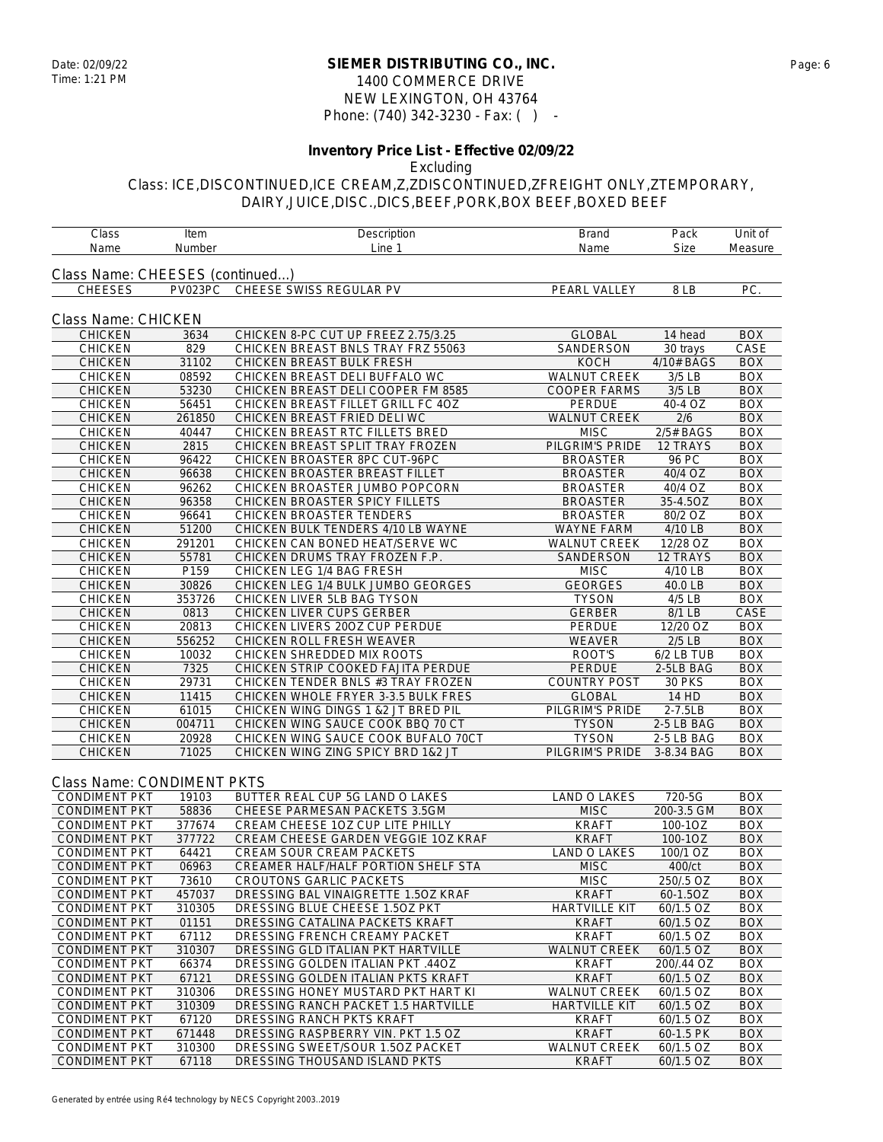### **SIEMER DISTRIBUTING CO., INC.** Date: 02/09/22 Page: 6 1400 COMMERCE DRIVE NEW LEXINGTON, OH 43764 Phone: (740) 342-3230 - Fax: ( ) -

# **Inventory Price List - Effective 02/09/22**

#### Excluding

| Class                            | Item           | Description                                                 | <b>Brand</b>                        | Pack                 | Unit of                  |
|----------------------------------|----------------|-------------------------------------------------------------|-------------------------------------|----------------------|--------------------------|
| Name                             | Number         | Line 1                                                      | Name                                | <b>Size</b>          | Measure                  |
| Class Name: CHEESES (continued)  |                |                                                             |                                     |                      |                          |
| <b>CHEESES</b>                   | PV023PC        | CHEESE SWISS REGULAR PV                                     | PEARL VALLEY                        | 8LB                  | PC.                      |
|                                  |                |                                                             |                                     |                      |                          |
|                                  |                |                                                             |                                     |                      |                          |
| Class Name: CHICKEN              |                |                                                             |                                     |                      |                          |
| <b>CHICKEN</b>                   | 3634           | CHICKEN 8-PC CUT UP FREEZ 2.75/3.25                         | <b>GLOBAL</b>                       | 14 head              | <b>BOX</b>               |
| <b>CHICKEN</b>                   | 829            | CHICKEN BREAST BNLS TRAY FRZ 55063                          | SANDERSON                           | 30 trays             | CASE                     |
| <b>CHICKEN</b>                   | 31102<br>08592 | CHICKEN BREAST BULK FRESH<br>CHICKEN BREAST DELI BUFFALO WC | <b>KOCH</b>                         | 4/10# BAGS           | <b>BOX</b><br><b>BOX</b> |
| <b>CHICKEN</b>                   | 53230          | CHICKEN BREAST DELI COOPER FM 8585                          | WALNUT CREEK<br><b>COOPER FARMS</b> | 3/5 LB<br>$3/5$ LB   | <b>BOX</b>               |
| <b>CHICKEN</b><br><b>CHICKEN</b> | 56451          | CHICKEN BREAST FILLET GRILL FC 4OZ                          | <b>PERDUE</b>                       | 40-4 OZ              | <b>BOX</b>               |
| <b>CHICKEN</b>                   | 261850         | CHICKEN BREAST FRIED DELI WC                                | <b>WALNUT CREEK</b>                 | 2/6                  | <b>BOX</b>               |
| CHICKEN                          | 40447          | CHICKEN BREAST RTC FILLETS BRED                             | <b>MISC</b>                         | 2/5# BAGS            | <b>BOX</b>               |
| <b>CHICKEN</b>                   | 2815           | CHICKEN BREAST SPLIT TRAY FROZEN                            | PILGRIM'S PRIDE                     | 12 TRAYS             | <b>BOX</b>               |
| CHICKEN                          | 96422          | CHICKEN BROASTER 8PC CUT-96PC                               | <b>BROASTER</b>                     | 96 PC                | <b>BOX</b>               |
| <b>CHICKEN</b>                   | 96638          | CHICKEN BROASTER BREAST FILLET                              | <b>BROASTER</b>                     | 40/4 OZ              | <b>BOX</b>               |
| CHICKEN                          | 96262          | CHICKEN BROASTER JUMBO POPCORN                              | <b>BROASTER</b>                     | 40/4 OZ              | <b>BOX</b>               |
| <b>CHICKEN</b>                   | 96358          | CHICKEN BROASTER SPICY FILLETS                              | <b>BROASTER</b>                     | 35-4.5OZ             | <b>BOX</b>               |
| <b>CHICKEN</b>                   | 96641          | CHICKEN BROASTER TENDERS                                    | <b>BROASTER</b>                     | 80/2 OZ              | <b>BOX</b>               |
| <b>CHICKEN</b>                   | 51200          | CHICKEN BULK TENDERS 4/10 LB WAYNE                          | <b>WAYNE FARM</b>                   | 4/10 LB              | <b>BOX</b>               |
| <b>CHICKEN</b>                   | 291201         | CHICKEN CAN BONED HEAT/SERVE WC                             | <b>WALNUT CREEK</b>                 | 12/28 OZ             | BOX                      |
| <b>CHICKEN</b>                   | 55781          | CHICKEN DRUMS TRAY FROZEN F.P.                              | SANDERSON                           | 12 TRAYS             | <b>BOX</b>               |
| <b>CHICKEN</b>                   | P159           | CHICKEN LEG 1/4 BAG FRESH                                   | <b>MISC</b>                         | $\overline{4/10}$ LB | <b>BOX</b>               |
| <b>CHICKEN</b>                   | 30826          | CHICKEN LEG 1/4 BULK JUMBO GEORGES                          | <b>GEORGES</b>                      | 40.0 LB              | <b>BOX</b>               |
| <b>CHICKEN</b>                   | 353726         | CHICKEN LIVER 5LB BAG TYSON                                 | <b>TYSON</b>                        | $4/5$ LB             | <b>BOX</b>               |
| <b>CHICKEN</b>                   | 0813           | CHICKEN LIVER CUPS GERBER                                   | <b>GERBER</b>                       | 8/1 LB               | CASE                     |
| CHICKEN                          | 20813          | CHICKEN LIVERS 200Z CUP PERDUE                              | PERDUE                              | 12/20 OZ             | <b>BOX</b>               |
| <b>CHICKEN</b>                   | 556252         | CHICKEN ROLL FRESH WEAVER                                   | WEAVER                              | $2/5$ LB             | <b>BOX</b>               |
| CHICKEN                          | 10032          | CHICKEN SHREDDED MIX ROOTS                                  | ROOT'S                              | 6/2 LB TUB           | <b>BOX</b>               |
| <b>CHICKEN</b>                   | 7325           | CHICKEN STRIP COOKED FAJITA PERDUE                          | <b>PERDUE</b>                       | 2-5LB BAG            | <b>BOX</b>               |
| CHICKEN                          | 29731          | CHICKEN TENDER BNLS #3 TRAY FROZEN                          | <b>COUNTRY POST</b>                 | <b>30 PKS</b>        | <b>BOX</b>               |
| <b>CHICKEN</b>                   | 11415          | CHICKEN WHOLE FRYER 3-3.5 BULK FRES                         | <b>GLOBAL</b>                       | 14 HD                | <b>BOX</b>               |
| <b>CHICKEN</b>                   | 61015          | CHICKEN WING DINGS 1 &2 JT BRED PIL                         | PILGRIM'S PRIDE                     | $2-7.5LB$            | <b>BOX</b>               |
| <b>CHICKEN</b>                   | 004711         | CHICKEN WING SAUCE COOK BBQ 70 CT                           | <b>TYSON</b>                        | 2-5 LB BAG           | <b>BOX</b>               |
| <b>CHICKEN</b>                   | 20928          | CHICKEN WING SAUCE COOK BUFALO 70CT                         | <b>TYSON</b>                        | 2-5 LB BAG           | <b>BOX</b>               |
| <b>CHICKEN</b>                   | 71025          | CHICKEN WING ZING SPICY BRD 1&2 JT                          | PILGRIM'S PRIDE                     | 3-8.34 BAG           | <b>BOX</b>               |
|                                  |                |                                                             |                                     |                      |                          |
| Class Name: CONDIMENT PKTS       |                |                                                             |                                     |                      |                          |
| <b>CONDIMENT PKT</b>             | 19103          | BUTTER REAL CUP 5G LAND O LAKES                             | LAND O LAKES                        | 720-5G               | <b>BOX</b>               |
| <b>CONDIMENT PKT</b>             | 58836          | CHEESE PARMESAN PACKETS 3.5GM                               | <b>MISC</b>                         | 200-3.5 GM           | <b>BOX</b>               |
| <b>CONDIMENT PKT</b>             | 377674         | CREAM CHEESE 10Z CUP LITE PHILLY                            | <b>KRAFT</b>                        | 100-1OZ              | <b>BOX</b>               |
| <b>CONDIMENT PKT</b>             | 377722         | CREAM CHEESE GARDEN VEGGIE 10Z KRAF                         | <b>KRAFT</b>                        | 100-1OZ              | <b>BOX</b>               |
| <b>CONDIMENT PKT</b>             | 64421          | CREAM SOUR CREAM PACKETS                                    | <b>LAND O LAKES</b>                 | 100/1 OZ             | <b>BOX</b>               |
| <b>CONDIMENT PKT</b>             | 06963          | CREAMER HALF/HALF PORTION SHELF STA                         | <b>MISC</b>                         | 400/ct               | <b>BOX</b>               |
| <b>CONDIMENT PKT</b>             | 73610          | CROUTONS GARLIC PACKETS                                     | <b>MISC</b>                         | 250/.5 OZ            | BOX                      |
| <b>CONDIMENT PKT</b>             | 457037         | DRESSING BAL VINAIGRETTE 1.50Z KRAF                         | <b>KRAFT</b>                        | 60-1.5OZ             | <b>BOX</b>               |
| <b>CONDIMENT PKT</b>             | 310305         | DRESSING BLUE CHEESE 1.50Z PKT                              | <b>HARTVILLE KIT</b>                | 60/1.5 OZ            | <b>BOX</b>               |
| <b>CONDIMENT PKT</b>             | 01151          | DRESSING CATALINA PACKETS KRAFT                             | <b>KRAFT</b>                        | 60/1.5 OZ            | <b>BOX</b>               |
| <b>CONDIMENT PKT</b>             | 67112          | DRESSING FRENCH CREAMY PACKET                               | <b>KRAFT</b>                        | 60/1.5 OZ            | BOX                      |
| <b>CONDIMENT PKT</b>             | 310307         | DRESSING GLD ITALIAN PKT HARTVILLE                          | WALNUT CREEK                        | 60/1.5 OZ            | <b>BOX</b>               |
| <b>CONDIMENT PKT</b>             | 66374          | DRESSING GOLDEN ITALIAN PKT .44OZ                           | <b>KRAFT</b>                        | 200/.44 OZ           | <b>BOX</b>               |
| <b>CONDIMENT PKT</b>             | 67121          | DRESSING GOLDEN ITALIAN PKTS KRAFT                          | <b>KRAFT</b>                        | 60/1.5 OZ            | <b>BOX</b>               |
| <b>CONDIMENT PKT</b>             | 310306         | DRESSING HONEY MUSTARD PKT HART KI                          | <b>WALNUT CREEK</b>                 | 60/1.5 OZ            | <b>BOX</b>               |
| <b>CONDIMENT PKT</b>             | 310309         | DRESSING RANCH PACKET 1.5 HARTVILLE                         | <b>HARTVILLE KIT</b>                | 60/1.5 OZ            | <b>BOX</b>               |
| <b>CONDIMENT PKT</b>             | 67120          | DRESSING RANCH PKTS KRAFT                                   | <b>KRAFT</b>                        | 60/1.5 OZ            | BOX                      |
| <b>CONDIMENT PKT</b>             | 671448         | DRESSING RASPBERRY VIN. PKT 1.5 OZ                          | <b>KRAFT</b>                        | 60-1.5 PK            | <b>BOX</b>               |
| <b>CONDIMENT PKT</b>             | 310300         | DRESSING SWEET/SOUR 1.50Z PACKET                            | <b>WALNUT CREEK</b>                 | 60/1.5 OZ            | <b>BOX</b>               |
| <b>CONDIMENT PKT</b>             | 67118          | DRESSING THOUSAND ISLAND PKTS                               | <b>KRAFT</b>                        | 60/1.5 OZ            | <b>BOX</b>               |
|                                  |                |                                                             |                                     |                      |                          |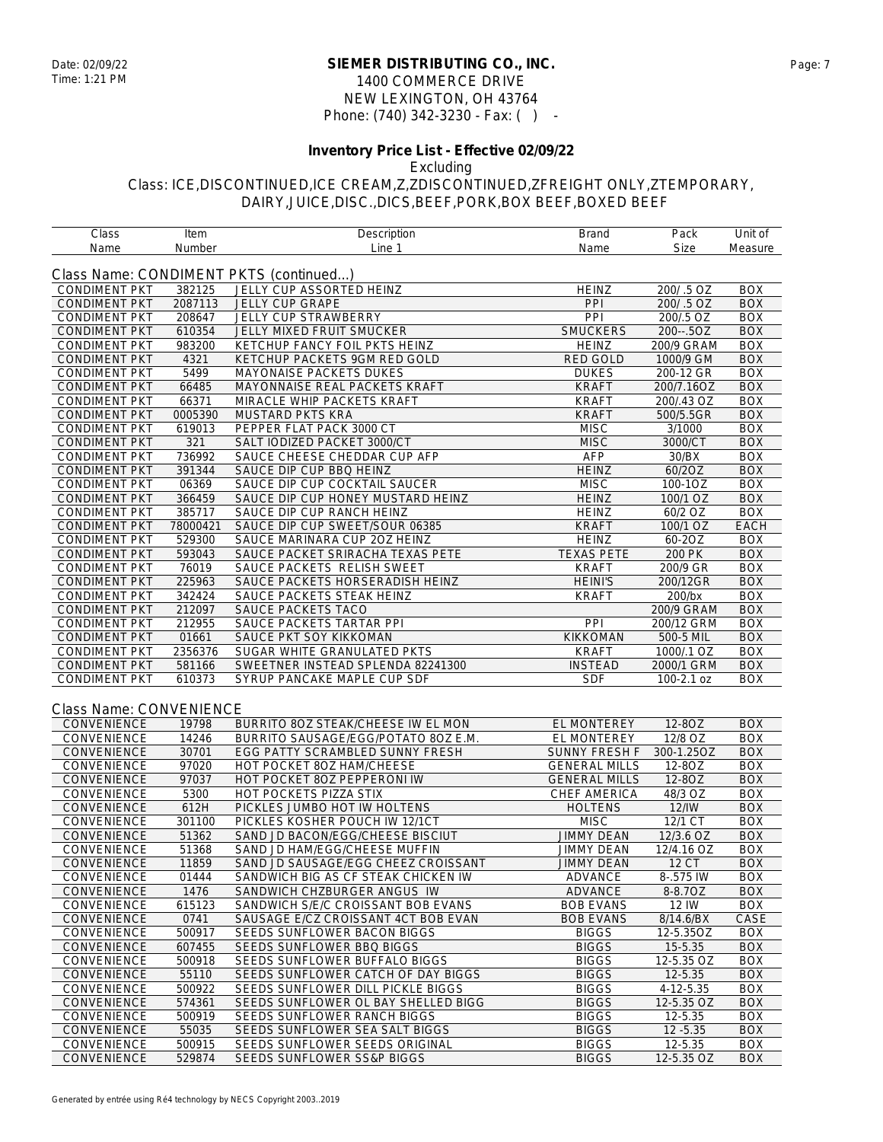#### **SIEMER DISTRIBUTING CO., INC.** Date: 02/09/22 Page: 7 1400 COMMERCE DRIVE NEW LEXINGTON, OH 43764 Phone: (740) 342-3230 - Fax: ( ) -

## **Inventory Price List - Effective 02/09/22**

Excluding

| Class                   | Item     | Description                            | Brand                | Pack        | Unit of     |
|-------------------------|----------|----------------------------------------|----------------------|-------------|-------------|
| Name                    | Number   | Line 1                                 | Name                 | <b>Size</b> | Measure     |
|                         |          | Class Name: CONDIMENT PKTS (continued) |                      |             |             |
| <b>CONDIMENT PKT</b>    | 382125   | JELLY CUP ASSORTED HEINZ               | <b>HEINZ</b>         | 200/.5 OZ   | <b>BOX</b>  |
| <b>CONDIMENT PKT</b>    | 2087113  | <b>JELLY CUP GRAPE</b>                 | PPI                  | 200/ .5 OZ  | <b>BOX</b>  |
| <b>CONDIMENT PKT</b>    | 208647   | JELLY CUP STRAWBERRY                   | PPI                  | 200/.5 OZ   | <b>BOX</b>  |
| <b>CONDIMENT PKT</b>    | 610354   | <b>JELLY MIXED FRUIT SMUCKER</b>       | <b>SMUCKERS</b>      | 200--.5OZ   | <b>BOX</b>  |
| <b>CONDIMENT PKT</b>    | 983200   | KETCHUP FANCY FOIL PKTS HEINZ          | <b>HEINZ</b>         | 200/9 GRAM  | <b>BOX</b>  |
| <b>CONDIMENT PKT</b>    | 4321     | KETCHUP PACKETS 9GM RED GOLD           | RED GOLD             | 1000/9 GM   | <b>BOX</b>  |
| <b>CONDIMENT PKT</b>    | 5499     | MAYONAISE PACKETS DUKES                | <b>DUKES</b>         | 200-12 GR   | <b>BOX</b>  |
| <b>CONDIMENT PKT</b>    | 66485    | MAYONNAISE REAL PACKETS KRAFT          | <b>KRAFT</b>         | 200/7.16OZ  | <b>BOX</b>  |
| <b>CONDIMENT PKT</b>    | 66371    | MIRACLE WHIP PACKETS KRAFT             | <b>KRAFT</b>         | 200/.43 OZ  | <b>BOX</b>  |
| <b>CONDIMENT PKT</b>    | 0005390  | MUSTARD PKTS KRA                       | <b>KRAFT</b>         | 500/5.5GR   | <b>BOX</b>  |
| <b>CONDIMENT PKT</b>    | 619013   | PEPPER FLAT PACK 3000 CT               | <b>MISC</b>          | 3/1000      | <b>BOX</b>  |
| <b>CONDIMENT PKT</b>    | 321      | SALT IODIZED PACKET 3000/CT            | <b>MISC</b>          | 3000/CT     | <b>BOX</b>  |
| <b>CONDIMENT PKT</b>    | 736992   | SAUCE CHEESE CHEDDAR CUP AFP           | AFP                  | 30/BX       | <b>BOX</b>  |
| <b>CONDIMENT PKT</b>    | 391344   | SAUCE DIP CUP BBQ HEINZ                | <b>HEINZ</b>         | 60/2OZ      | <b>BOX</b>  |
| <b>CONDIMENT PKT</b>    | 06369    | SAUCE DIP CUP COCKTAIL SAUCER          | <b>MISC</b>          | 100-1OZ     | <b>BOX</b>  |
| <b>CONDIMENT PKT</b>    | 366459   | SAUCE DIP CUP HONEY MUSTARD HEINZ      | <b>HEINZ</b>         | 100/1 OZ    | <b>BOX</b>  |
| <b>CONDIMENT PKT</b>    | 385717   | SAUCE DIP CUP RANCH HEINZ              | <b>HEINZ</b>         | 60/2 OZ     | <b>BOX</b>  |
| <b>CONDIMENT PKT</b>    | 78000421 | SAUCE DIP CUP SWEET/SOUR 06385         | <b>KRAFT</b>         | 100/1 OZ    | <b>EACH</b> |
| <b>CONDIMENT PKT</b>    | 529300   | SAUCE MARINARA CUP 20Z HEINZ           | <b>HEINZ</b>         | 60-20Z      | <b>BOX</b>  |
| <b>CONDIMENT PKT</b>    | 593043   | SAUCE PACKET SRIRACHA TEXAS PETE       | <b>TEXAS PETE</b>    | 200 PK      | <b>BOX</b>  |
| <b>CONDIMENT PKT</b>    | 76019    | SAUCE PACKETS RELISH SWEET             | <b>KRAFT</b>         | 200/9 GR    | <b>BOX</b>  |
| <b>CONDIMENT PKT</b>    | 225963   | SAUCE PACKETS HORSERADISH HEINZ        | <b>HEINI'S</b>       | 200/12GR    | <b>BOX</b>  |
| <b>CONDIMENT PKT</b>    | 342424   | SAUCE PACKETS STEAK HEINZ              | <b>KRAFT</b>         | 200/bx      | <b>BOX</b>  |
| <b>CONDIMENT PKT</b>    | 212097   | SAUCE PACKETS TACO                     |                      | 200/9 GRAM  | <b>BOX</b>  |
| <b>CONDIMENT PKT</b>    | 212955   | SAUCE PACKETS TARTAR PPI               | PPI                  | 200/12 GRM  | <b>BOX</b>  |
| <b>CONDIMENT PKT</b>    | 01661    | SAUCE PKT SOY KIKKOMAN                 | KIKKOMAN             | 500-5 MIL   | <b>BOX</b>  |
| <b>CONDIMENT PKT</b>    | 2356376  | SUGAR WHITE GRANULATED PKTS            | <b>KRAFT</b>         | 1000/.1 OZ  | <b>BOX</b>  |
| <b>CONDIMENT PKT</b>    | 581166   | SWEETNER INSTEAD SPLENDA 82241300      | <b>INSTEAD</b>       | 2000/1 GRM  | <b>BOX</b>  |
| <b>CONDIMENT PKT</b>    | 610373   | SYRUP PANCAKE MAPLE CUP SDF            | <b>SDF</b>           | 100-2.1 oz  | BOX         |
|                         |          |                                        |                      |             |             |
| Class Name: CONVENIENCE |          |                                        |                      |             |             |
| CONVENIENCE             | 19798    | BURRITO 80Z STEAK/CHEESE IW EL MON     | EL MONTEREY          | 12-80Z      | <b>BOX</b>  |
| CONVENIENCE             | 14246    | BURRITO SAUSAGE/EGG/POTATO 8OZ E.M.    | EL MONTEREY          | 12/8 OZ     | <b>BOX</b>  |
| CONVENIENCE             | 30701    | EGG PATTY SCRAMBLED SUNNY FRESH        | <b>SUNNY FRESH F</b> | 300-1.25OZ  | <b>BOX</b>  |
| CONVENIENCE             | 97020    | HOT POCKET 80Z HAM/CHEESE              | <b>GENERAL MILLS</b> | 12-8OZ      | <b>BOX</b>  |
| CONVENIENCE             | 97037    | HOT POCKET 80Z PEPPERONI IW            | <b>GENERAL MILLS</b> | 12-80Z      | <b>BOX</b>  |
| <b>CONVENIENCE</b>      | 5300     | HOT POCKETS PIZZA STIX                 | CHEF AMERICA         | 48/3 OZ     | <b>BOX</b>  |
| CONVENIENCE             | 612H     | PICKLES JUMBO HOT IW HOLTENS           | <b>HOLTENS</b>       | 12/1W       | <b>BOX</b>  |
| CONVENIENCE             | 301100   | PICKLES KOSHER POUCH IW 12/1CT         | <b>MISC</b>          | 12/1 CT     | <b>BOX</b>  |
| CONVENIENCE             | 51362    | SAND JD BACON/EGG/CHEESE BISCIUT       | <b>JIMMY DEAN</b>    | 12/3.6 OZ   | <b>BOX</b>  |
| CONVENIENCE             | 51368    | SAND JD HAM/EGG/CHEESE MUFFIN          | <b>JIMMY DEAN</b>    | 12/4.16 OZ  | <b>BOX</b>  |
| <b>CONVENIENCE</b>      | 11859    | SAND JD SAUSAGE/EGG CHEEZ CROISSANT    | <b>JIMMY DEAN</b>    | 12 CT       | <b>BOX</b>  |
| <b>CONVENIENCE</b>      | 01444    | SANDWICH BIG AS CF STEAK CHICKEN IW    | ADVANCE              | 8-.575 IW   | <b>BOX</b>  |
| CONVENIENCE             | 1476     | SANDWICH CHZBURGER ANGUS IW            | ADVANCE              | 8-8.7OZ     | <b>BOX</b>  |
| CONVENIENCE             | 615123   | SANDWICH S/E/C CROISSANT BOB EVANS     | <b>BOB EVANS</b>     | 12 IW       | <b>BOX</b>  |
| CONVENIENCE             | 0741     | SAUSAGE E/CZ CROISSANT 4CT BOB EVAN    | <b>BOB EVANS</b>     | 8/14.6/BX   | CASE        |
| <b>CONVENIENCE</b>      | 500917   | SEEDS SUNFLOWER BACON BIGGS            | <b>BIGGS</b>         | 12-5.35OZ   | <b>BOX</b>  |
| CONVENIENCE             | 607455   | SEEDS SUNFLOWER BBQ BIGGS              | <b>BIGGS</b>         | 15-5.35     | <b>BOX</b>  |
| <b>CONVENIENCE</b>      | 500918   | SEEDS SUNFLOWER BUFFALO BIGGS          | <b>BIGGS</b>         | 12-5.35 OZ  | <b>BOX</b>  |
| CONVENIENCE             | 55110    | SEEDS SUNFLOWER CATCH OF DAY BIGGS     | <b>BIGGS</b>         | 12-5.35     | <b>BOX</b>  |
| <b>CONVENIENCE</b>      | 500922   | SEEDS SUNFLOWER DILL PICKLE BIGGS      | <b>BIGGS</b>         | 4-12-5.35   | <b>BOX</b>  |
| CONVENIENCE             | 574361   | SEEDS SUNFLOWER OL BAY SHELLED BIGG    | <b>BIGGS</b>         | 12-5.35 OZ  | <b>BOX</b>  |
| CONVENIENCE             | 500919   | SEEDS SUNFLOWER RANCH BIGGS            | <b>BIGGS</b>         | 12-5.35     | <b>BOX</b>  |
| <b>CONVENIENCE</b>      | 55035    | SEEDS SUNFLOWER SEA SALT BIGGS         | <b>BIGGS</b>         | $12 - 5.35$ | <b>BOX</b>  |
| CONVENIENCE             | 500915   | SEEDS SUNFLOWER SEEDS ORIGINAL         | <b>BIGGS</b>         | 12-5.35     | <b>BOX</b>  |
| CONVENIENCE             | 529874   | SEEDS SUNFLOWER SS&P BIGGS             | <b>BIGGS</b>         | 12-5.35 OZ  | <b>BOX</b>  |
|                         |          |                                        |                      |             |             |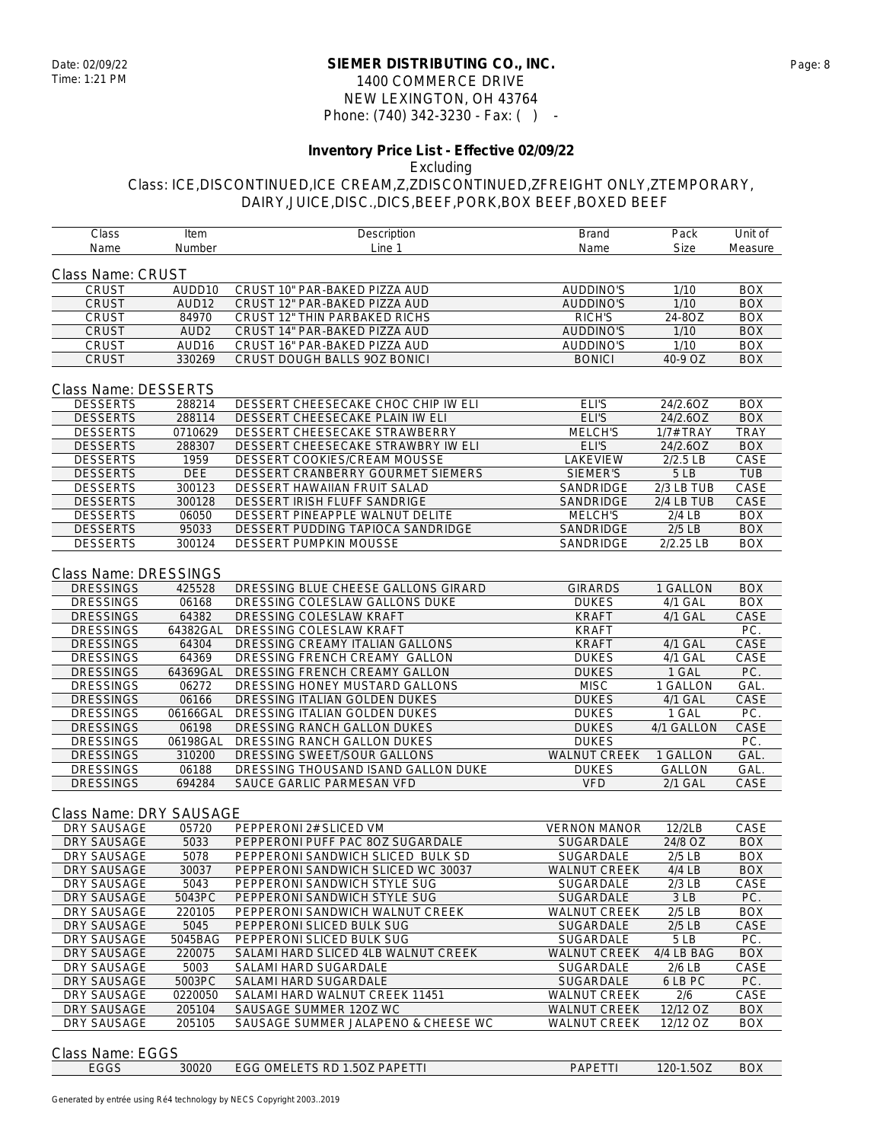### **SIEMER DISTRIBUTING CO., INC.** Date: 02/09/22 Page: 8 1400 COMMERCE DRIVE NEW LEXINGTON, OH 43764 Phone: (740) 342-3230 - Fax: ( ) -

#### **Inventory Price List - Effective 02/09/22** Excluding

| Class                   | Item              | Description                         | Brand               | Pack             | Unit of     |
|-------------------------|-------------------|-------------------------------------|---------------------|------------------|-------------|
| Name                    | Number            | Line 1                              | Name                | <b>Size</b>      | Measure     |
|                         |                   |                                     |                     |                  |             |
| Class Name: CRUST       |                   |                                     |                     |                  |             |
| <b>CRUST</b>            | AUDD10            | CRUST 10" PAR-BAKED PIZZA AUD       | AUDDINO'S           | 1/10             | <b>BOX</b>  |
| CRUST                   | AUD12             | CRUST 12" PAR-BAKED PIZZA AUD       | <b>AUDDINO'S</b>    | 1/10             | <b>BOX</b>  |
| CRUST                   | 84970             | CRUST 12" THIN PARBAKED RICHS       | <b>RICH'S</b>       | 24-8OZ           | <b>BOX</b>  |
| <b>CRUST</b>            | AUD <sub>2</sub>  | CRUST 14" PAR-BAKED PIZZA AUD       | <b>AUDDINO'S</b>    | 1/10             | <b>BOX</b>  |
| CRUST                   | AUD <sub>16</sub> | CRUST 16" PAR-BAKED PIZZA AUD       | AUDDINO'S           | 1/10             | <b>BOX</b>  |
| <b>CRUST</b>            | 330269            | CRUST DOUGH BALLS 90Z BONICI        | <b>BONICI</b>       | 40-9 OZ          | <b>BOX</b>  |
|                         |                   |                                     |                     |                  |             |
| Class Name: DESSERTS    |                   |                                     |                     |                  |             |
| <b>DESSERTS</b>         | 288214            | DESSERT CHEESECAKE CHOC CHIP IW ELI | ELI'S               | 24/2.6OZ         | <b>BOX</b>  |
| <b>DESSERTS</b>         | 288114            | DESSERT CHEESECAKE PLAIN IW ELI     | ELI'S               | 24/2.6OZ         | <b>BOX</b>  |
| <b>DESSERTS</b>         | 0710629           | DESSERT CHEESECAKE STRAWBERRY       | MELCH'S             | <b>1/7# TRAY</b> | <b>TRAY</b> |
| <b>DESSERTS</b>         | 288307            | DESSERT CHEESECAKE STRAWBRY IW ELI  | ELI'S               | 24/2.6OZ         | <b>BOX</b>  |
| <b>DESSERTS</b>         | 1959              | DESSERT COOKIES/CREAM MOUSSE        | LAKEVIEW            | 2/2.5 LB         | CASE        |
| <b>DESSERTS</b>         | DEE               | DESSERT CRANBERRY GOURMET SIEMERS   | SIEMER'S            | 5 LB             | <b>TUB</b>  |
| <b>DESSERTS</b>         | 300123            | DESSERT HAWAIIAN FRUIT SALAD        | SANDRIDGE           | 2/3 LB TUB       | CASE        |
| <b>DESSERTS</b>         | 300128            | DESSERT IRISH FLUFF SANDRIGE        | SANDRIDGE           | 2/4 LB TUB       | CASE        |
| <b>DESSERTS</b>         | 06050             | DESSERT PINEAPPLE WALNUT DELITE     | <b>MELCH'S</b>      | $2/4$ LB         | <b>BOX</b>  |
| <b>DESSERTS</b>         | 95033             | DESSERT PUDDING TAPIOCA SANDRIDGE   | SANDRIDGE           | $2/5$ LB         | <b>BOX</b>  |
| <b>DESSERTS</b>         | 300124            | DESSERT PUMPKIN MOUSSE              | SANDRIDGE           | 2/2.25 LB        | <b>BOX</b>  |
|                         |                   |                                     |                     |                  |             |
| Class Name: DRESSINGS   |                   |                                     |                     |                  |             |
| <b>DRESSINGS</b>        | 425528            | DRESSING BLUE CHEESE GALLONS GIRARD | <b>GIRARDS</b>      | 1 GALLON         | <b>BOX</b>  |
| <b>DRESSINGS</b>        | 06168             | DRESSING COLESLAW GALLONS DUKE      | <b>DUKES</b>        | 4/1 GAL          | <b>BOX</b>  |
| <b>DRESSINGS</b>        | 64382             | DRESSING COLESLAW KRAFT             | <b>KRAFT</b>        | 4/1 GAL          | CASE        |
| <b>DRESSINGS</b>        | 64382GAL          | DRESSING COLESLAW KRAFT             | <b>KRAFT</b>        |                  | PC.         |
| <b>DRESSINGS</b>        | 64304             | DRESSING CREAMY ITALIAN GALLONS     | <b>KRAFT</b>        | 4/1 GAL          | CASE        |
| <b>DRESSINGS</b>        | 64369             | DRESSING FRENCH CREAMY GALLON       | <b>DUKES</b>        | 4/1 GAL          | CASE        |
| <b>DRESSINGS</b>        | 64369GAL          | DRESSING FRENCH CREAMY GALLON       | <b>DUKES</b>        | 1 GAL            | PC.         |
| <b>DRESSINGS</b>        | 06272             | DRESSING HONEY MUSTARD GALLONS      | <b>MISC</b>         | 1 GALLON         | GAL.        |
| <b>DRESSINGS</b>        | 06166             | DRESSING ITALIAN GOLDEN DUKES       | <b>DUKES</b>        | 4/1 GAL          | CASE        |
| <b>DRESSINGS</b>        | 06166GAL          | DRESSING ITALIAN GOLDEN DUKES       | <b>DUKES</b>        | 1 GAL            | PC.         |
| <b>DRESSINGS</b>        | 06198             | DRESSING RANCH GALLON DUKES         | <b>DUKES</b>        | 4/1 GALLON       | CASE        |
| <b>DRESSINGS</b>        | 06198GAL          | DRESSING RANCH GALLON DUKES         | <b>DUKES</b>        |                  | PC.         |
| <b>DRESSINGS</b>        | 310200            | DRESSING SWEET/SOUR GALLONS         | <b>WALNUT CREEK</b> | 1 GALLON         | GAL.        |
| <b>DRESSINGS</b>        | 06188             | DRESSING THOUSAND ISAND GALLON DUKE | <b>DUKES</b>        | <b>GALLON</b>    | GAL.        |
| <b>DRESSINGS</b>        | 694284            | SAUCE GARLIC PARMESAN VFD           | <b>VFD</b>          | <b>2/1 GAL</b>   | CASE        |
|                         |                   |                                     |                     |                  |             |
|                         |                   |                                     |                     |                  |             |
| Class Name: DRY SAUSAGE |                   |                                     |                     |                  |             |
| DRY SAUSAGE             | 05720             | PEPPERONI 2# SLICED VM              | <b>VERNON MANOR</b> | 12/2LB           | CASE        |
| <b>DRY SAUSAGE</b>      | 5033              | PEPPERONI PUFF PAC 80Z SUGARDALE    | SUGARDALE           | 24/8 OZ          | <b>BOX</b>  |
| DRY SAUSAGE             | 5078              | PEPPERONI SANDWICH SLICED BULK SD   | SUGARDALE           | $2/5$ LB         | <b>BOX</b>  |
| <b>DRY SAUSAGE</b>      | 30037             | PEPPERONI SANDWICH SLICED WC 30037  | <b>WALNUT CREEK</b> | 4/4 LB           | <b>BOX</b>  |
| DRY SAUSAGE             | 5043              | PEPPERONI SANDWICH STYLE SUG        | SUGARDALE           | $2/3$ LB         | CASE        |
| DRY SAUSAGE             | 5043PC            | PEPPERONI SANDWICH STYLE SUG        | SUGARDALE           | 3 <sub>LB</sub>  | PC.         |
| DRY SAUSAGE             | 220105            | PEPPERONI SANDWICH WALNUT CREEK     | <b>WALNUT CREEK</b> | $2/5$ LB         | <b>BOX</b>  |
| DRY SAUSAGE             | 5045              | PEPPERONI SLICED BULK SUG           | SUGARDALE           | $2/5$ LB         | CASE        |
| DRY SAUSAGE             | 5045BAG           | PEPPERONI SLICED BULK SUG           | SUGARDALE           | 5LB              | PC.         |
| DRY SAUSAGE             | 220075            | SALAMI HARD SLICED 4LB WALNUT CREEK | <b>WALNUT CREEK</b> | 4/4 LB BAG       | <b>BOX</b>  |
| DRY SAUSAGE             | 5003              | SALAMI HARD SUGARDALE               | SUGARDALE           | $2/6$ LB         | CASE        |
| DRY SAUSAGE             | 5003PC            | SALAMI HARD SUGARDALE               | SUGARDALE           | 6 LB PC          | PC.         |
| DRY SAUSAGE             | 0220050           | SALAMI HARD WALNUT CREEK 11451      | <b>WALNUT CREEK</b> | 2/6              | CASE        |
| DRY SAUSAGE             | 205104            | SAUSAGE SUMMER 120Z WC              | <b>WALNUT CREEK</b> | 12/12 OZ         | <b>BOX</b>  |
| DRY SAUSAGE             | 205105            | SAUSAGE SUMMER JALAPENO & CHEESE WC | <b>WALNUT CREEK</b> | 12/12 OZ         | <b>BOX</b>  |
|                         |                   |                                     |                     |                  |             |
| Class Namo: ECCS        |                   |                                     |                     |                  |             |

| Scblo-<br>планне. | coos  |                                                               |      |                     |            |
|-------------------|-------|---------------------------------------------------------------|------|---------------------|------------|
| <b>EGGS</b>       | 30020 | OMELETS RD<br>$\bigcap$ $\bigcap$<br>PAPETTI<br>EGG<br>1.5OZ. | PAPE | $-1.5OZ$<br>$120 -$ | <b>BOX</b> |
|                   |       |                                                               |      |                     |            |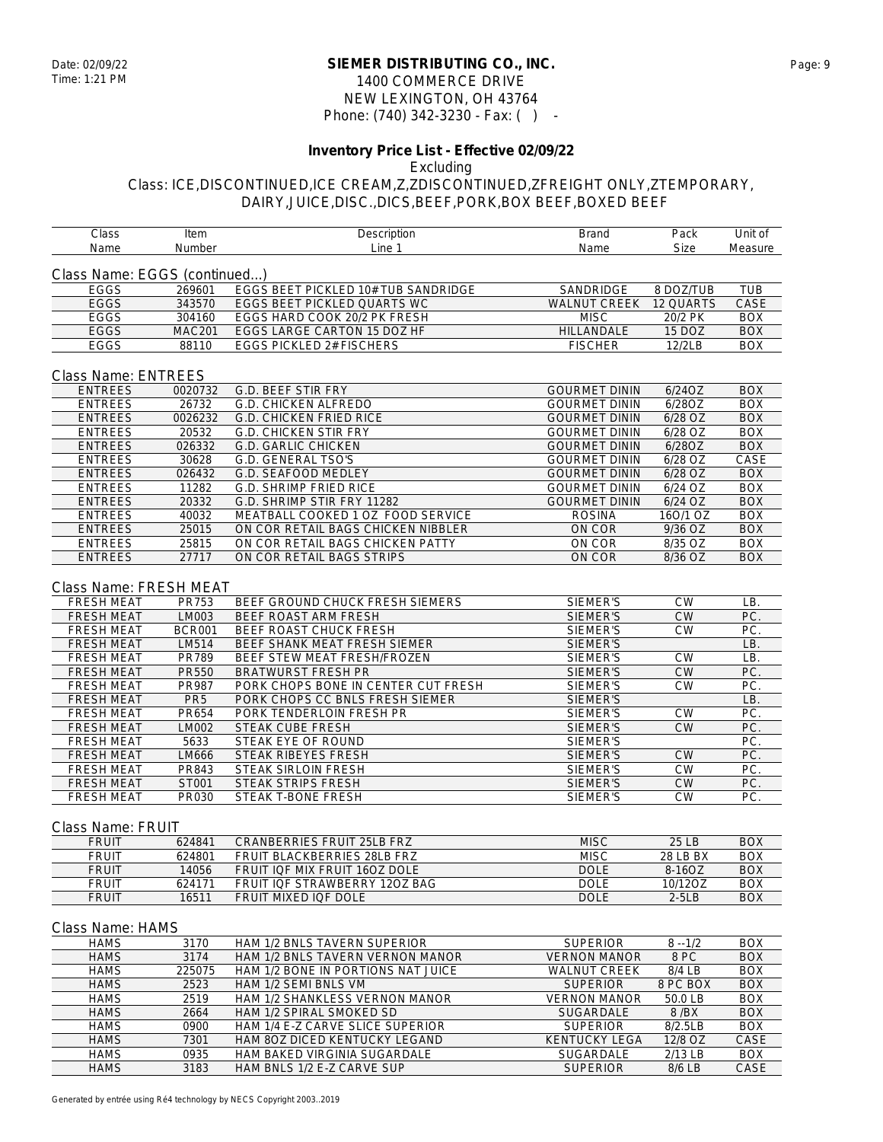### **SIEMER DISTRIBUTING CO., INC.** Date: 02/09/22 Page: 9 1400 COMMERCE DRIVE NEW LEXINGTON, OH 43764 Phone: (740) 342-3230 - Fax: ( ) -

# **Inventory Price List - Effective 02/09/22**

## Excluding

#### Class: ICE,DISCONTINUED,ICE CREAM,Z,ZDISCONTINUED,ZFREIGHT ONLY,ZTEMPORARY, DAIRY,JUICE,DISC.,DICS,BEEF,PORK,BOX BEEF,BOXED BEEF

| Class                        | Item            | Description                          | <b>Brand</b>         | Pack      | Unit of     |
|------------------------------|-----------------|--------------------------------------|----------------------|-----------|-------------|
| Name                         | Number          | Line 1                               | Name                 | Size      | Measure     |
|                              |                 |                                      |                      |           |             |
| Class Name: EGGS (continued) |                 |                                      |                      |           |             |
| EGGS                         | 269601          | EGGS BEET PICKLED 10# TUB SANDRIDGE  | SANDRIDGE            | 8 DOZ/TUB | <b>TUB</b>  |
| EGGS                         | 343570          | <b>EGGS BEET PICKLED QUARTS WC</b>   | <b>WALNUT CREEK</b>  | 12 QUARTS | <b>CASE</b> |
| <b>EGGS</b>                  | 304160          | EGGS HARD COOK 20/2 PK FRESH         | <b>MISC</b>          | 20/2 PK   | <b>BOX</b>  |
| EGGS                         | <b>MAC201</b>   | EGGS LARGE CARTON 15 DOZ HF          | HILLANDALE           | 15 DOZ    | <b>BOX</b>  |
| <b>EGGS</b>                  | 88110           | EGGS PICKLED 2# FISCHERS             | <b>FISCHER</b>       | 12/2LB    | <b>BOX</b>  |
|                              |                 |                                      |                      |           |             |
|                              |                 |                                      |                      |           |             |
| <b>Class Name: ENTREES</b>   |                 |                                      |                      |           |             |
| <b>ENTREES</b>               | 0020732         | G.D. BEEF STIR FRY                   | <b>GOURMET DININ</b> | 6/24OZ    | <b>BOX</b>  |
| <b>ENTREES</b>               | 26732           | G.D. CHICKEN ALFREDO                 | <b>GOURMET DININ</b> | 6/28OZ    | <b>BOX</b>  |
| <b>ENTREES</b>               | 0026232         | <b>G.D. CHICKEN FRIED RICE</b>       | <b>GOURMET DININ</b> | 6/28 OZ   | <b>BOX</b>  |
| <b>ENTREES</b>               | 20532           | <b>G.D. CHICKEN STIR FRY</b>         | <b>GOURMET DININ</b> | 6/28 OZ   | <b>BOX</b>  |
| <b>ENTREES</b>               | 026332          | <b>G.D. GARLIC CHICKEN</b>           | <b>GOURMET DININ</b> | 6/28OZ    | <b>BOX</b>  |
| <b>ENTREES</b>               | 30628           | G.D. GENERAL TSO'S                   | <b>GOURMET DININ</b> | 6/28 OZ   | CASE        |
| <b>ENTREES</b>               | 026432          | G.D. SEAFOOD MEDLEY                  | <b>GOURMET DININ</b> | $6/28$ OZ | <b>BOX</b>  |
| <b>ENTREES</b>               | 11282           | G.D. SHRIMP FRIED RICE               | <b>GOURMET DININ</b> | 6/24 OZ   | <b>BOX</b>  |
| <b>ENTREES</b>               | 20332           | G.D. SHRIMP STIR FRY 11282           | <b>GOURMET DININ</b> | 6/24 OZ   | <b>BOX</b>  |
| <b>ENTREES</b>               | 40032           | MEATBALL COOKED 1 OZ FOOD SERVICE    | <b>ROSINA</b>        | 160/1 OZ  | <b>BOX</b>  |
| <b>ENTREES</b>               | 25015           | ON COR RETAIL BAGS CHICKEN NIBBLER   | ON COR               | 9/36 OZ   | <b>BOX</b>  |
| <b>ENTREES</b>               | 25815           | ON COR RETAIL BAGS CHICKEN PATTY     | ON COR               | 8/35 OZ   | <b>BOX</b>  |
| <b>ENTREES</b>               | 27717           | ON COR RETAIL BAGS STRIPS            | ON COR               | 8/36 OZ   | <b>BOX</b>  |
|                              |                 |                                      |                      |           |             |
|                              |                 |                                      |                      |           |             |
| Class Name: FRESH MEAT       |                 |                                      |                      |           |             |
| <b>FRESH MEAT</b>            | PR753           | BEEF GROUND CHUCK FRESH SIEMERS      | SIEMER'S             | <b>CW</b> | LB.         |
| <b>FRESH MEAT</b>            | LM003           | BEEF ROAST ARM FRESH                 | SIEMER'S             | <b>CW</b> | PC.         |
| <b>FRESH MEAT</b>            | <b>BCR001</b>   | BEEF ROAST CHUCK FRESH               | SIEMER'S             | <b>CW</b> | PC.         |
| FRESH MEAT                   | LM514           | BEEF SHANK MEAT FRESH SIEMER         | SIEMER'S             |           | LB.         |
| <b>FRESH MEAT</b>            | PR789           | BEEF STEW MEAT FRESH/FROZEN          | SIEMER'S             | <b>CW</b> | LB.         |
| <b>FRESH MEAT</b>            | <b>PR550</b>    | <b>BRATWURST FRESH PR</b>            | SIEMER'S             | <b>CW</b> | PC.         |
| <b>FRESH MEAT</b>            | PR987           | PORK CHOPS BONE IN CENTER CUT FRESH  | SIEMER'S             | <b>CW</b> | PC.         |
| FRESH MEAT                   | PR <sub>5</sub> | PORK CHOPS CC BNLS FRESH SIEMER      | SIEMER'S             |           | LB.         |
| <b>FRESH MEAT</b>            | PR654           | PORK TENDERLOIN FRESH PR             | SIEMER'S             | <b>CW</b> | PC.         |
| <b>FRESH MEAT</b>            | LM002           | STEAK CUBE FRESH                     | SIEMER'S             | <b>CW</b> | PC.         |
| <b>FRESH MEAT</b>            | 5633            | STEAK EYE OF ROUND                   | SIEMER'S             |           | PC.         |
| <b>FRESH MEAT</b>            | LM666           | <b>STEAK RIBEYES FRESH</b>           | SIEMER'S             | <b>CW</b> | PC.         |
| <b>FRESH MEAT</b>            | PR843           | <b>STEAK SIRLOIN FRESH</b>           | SIEMER'S             | <b>CW</b> | PC.         |
| <b>FRESH MEAT</b>            | ST001           | STEAK STRIPS FRESH                   | SIEMER'S             | <b>CW</b> | PC.         |
| <b>FRESH MEAT</b>            | PR030           | STEAK T-BONE FRESH                   | SIEMER'S             | <b>CW</b> | PC.         |
|                              |                 |                                      |                      |           |             |
|                              |                 |                                      |                      |           |             |
| Class Name: FRUIT            |                 |                                      |                      |           |             |
| <b>FRUIT</b>                 | 624841          | <b>CRANBERRIES FRUIT 25LB FRZ</b>    | <b>MISC</b>          | 25 LB     | <b>BOX</b>  |
| <b>FRUIT</b>                 | 624801          | FRUIT BLACKBERRIES 28LB FRZ          | <b>MISC</b>          | 28 LB BX  | <b>BOX</b>  |
| <b>FRUIT</b>                 | 14056           | <b>FRUIT IOF MIX FRUIT 1607 DOLF</b> | <b>DOLE</b>          | 8-16OZ    | <b>BOX</b>  |
| <b>FRUIT</b>                 | 624171          | FRUIT IQF STRAWBERRY 120Z BAG        | <b>DOLE</b>          | 10/12OZ   | <b>BOX</b>  |
| <b>FRUIT</b>                 | 16511           | FRUIT MIXED IQF DOLE                 | <b>DOLE</b>          | $2-5LB$   | <b>BOX</b>  |
|                              |                 |                                      |                      |           |             |
| Class Name: HAMS             |                 |                                      |                      |           |             |
| <b>HAMS</b>                  | 3170            | HAM 1/2 BNLS TAVERN SUPERIOR         | <b>SUPERIOR</b>      | $8 - 1/2$ | BOX         |
| <b>HAMS</b>                  | 3174            | HAM 1/2 BNLS TAVERN VERNON MANOR     | <b>VERNON MANOR</b>  | 8 PC      | <b>BOX</b>  |
|                              |                 |                                      |                      |           |             |
| <b>HAMS</b>                  | 225075          | HAM 1/2 BONE IN PORTIONS NAT JUICE   | <b>WALNUT CREEK</b>  | 8/4 LB    | <b>BOX</b>  |
| <b>HAMS</b>                  | 2523            | HAM 1/2 SEMI BNLS VM                 | <b>SUPERIOR</b>      | 8 PC BOX  | <b>BOX</b>  |
| <b>HAMS</b>                  | 2519            | HAM 1/2 SHANKLESS VERNON MANOR       | <b>VERNON MANOR</b>  | 50.0 LB   | <b>BOX</b>  |
| <b>HAMS</b>                  | 2664            | HAM 1/2 SPIRAL SMOKED SD             | SUGARDALE            | 8/BX      | <b>BOX</b>  |
| <b>HAMS</b>                  | 0900            | HAM 1/4 E-Z CARVE SLICE SUPERIOR     | <b>SUPERIOR</b>      | 8/2.5LB   | <b>BOX</b>  |
| <b>HAMS</b>                  | 7301            | HAM 80Z DICED KENTUCKY LEGAND        | <b>KENTUCKY LEGA</b> | 12/8 OZ   | CASE        |
| <b>HAMS</b>                  | 0935            | HAM BAKED VIRGINIA SUGARDALE         | SUGARDALE            | 2/13 LB   | <b>BOX</b>  |

HAMS 3183 HAM BNLS 1/2 E-Z CARVE SUP SUPERIOR 8/6 LB CASE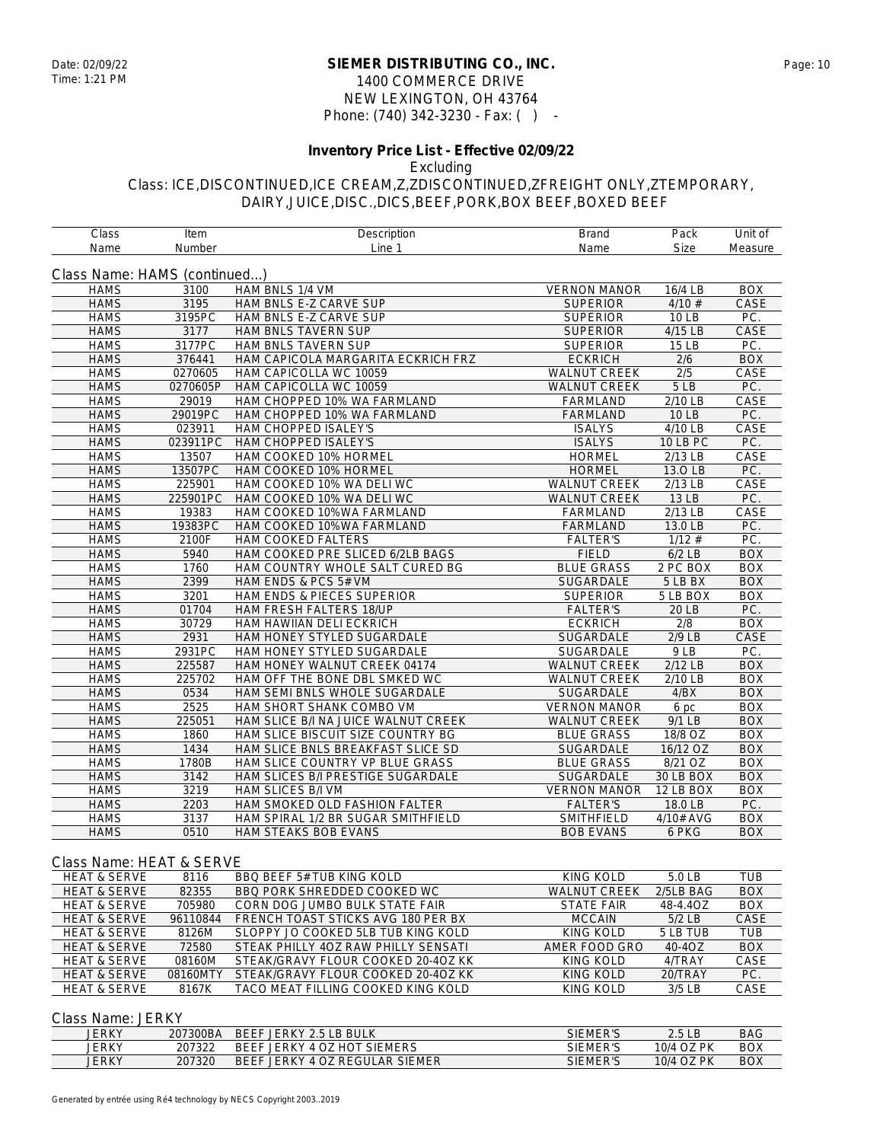#### **SIEMER DISTRIBUTING CO., INC.** Date: 02/09/22 Page: 10 1400 COMMERCE DRIVE NEW LEXINGTON, OH 43764 Phone: (740) 342-3230 - Fax: ( ) -

# **Inventory Price List - Effective 02/09/22**

Excluding

Class: ICE,DISCONTINUED,ICE CREAM,Z,ZDISCONTINUED,ZFREIGHT ONLY,ZTEMPORARY, DAIRY,JUICE,DISC.,DICS,BEEF,PORK,BOX BEEF,BOXED BEEF

| Class                        | Item     | Description                         | <b>Brand</b>        | Pack            | Unit of    |
|------------------------------|----------|-------------------------------------|---------------------|-----------------|------------|
| Name                         | Number   | Line 1                              | Name                | <b>Size</b>     | Measure    |
| Class Name: HAMS (continued) |          |                                     |                     |                 |            |
| <b>HAMS</b>                  | 3100     | HAM BNLS 1/4 VM                     | <b>VERNON MANOR</b> | 16/4 LB         | <b>BOX</b> |
| <b>HAMS</b>                  | 3195     | HAM BNLS E-Z CARVE SUP              | <b>SUPERIOR</b>     | 4/10#           | CASE       |
| <b>HAMS</b>                  | 3195PC   | HAM BNLS E-Z CARVE SUP              | <b>SUPERIOR</b>     | 10 LB           | PC.        |
| <b>HAMS</b>                  | 3177     | HAM BNLS TAVERN SUP                 | <b>SUPERIOR</b>     | 4/15 LB         | CASE       |
| <b>HAMS</b>                  | 3177PC   | HAM BNLS TAVERN SUP                 | <b>SUPERIOR</b>     | 15 LB           | PC.        |
| <b>HAMS</b>                  | 376441   | HAM CAPICOLA MARGARITA ECKRICH FRZ  | <b>ECKRICH</b>      | 2/6             | <b>BOX</b> |
| <b>HAMS</b>                  | 0270605  | HAM CAPICOLLA WC 10059              | <b>WALNUT CREEK</b> | 2/5             | CASE       |
| <b>HAMS</b>                  | 0270605P | HAM CAPICOLLA WC 10059              | <b>WALNUT CREEK</b> | 5LB             | PC.        |
| <b>HAMS</b>                  | 29019    | HAM CHOPPED 10% WA FARMLAND         | FARMLAND            | 2/10 LB         | CASE       |
| <b>HAMS</b>                  | 29019PC  | HAM CHOPPED 10% WA FARMLAND         | <b>FARMLAND</b>     | <b>10 LB</b>    | PC.        |
| <b>HAMS</b>                  | 023911   | HAM CHOPPED ISALEY'S                | <b>ISALYS</b>       | 4/10 LB         | CASE       |
| <b>HAMS</b>                  | 023911PC | HAM CHOPPED ISALEY'S                | <b>ISALYS</b>       | <b>10 LB PC</b> | PC.        |
| <b>HAMS</b>                  | 13507    | HAM COOKED 10% HORMEL               | <b>HORMEL</b>       | 2/13 LB         | CASE       |
| <b>HAMS</b>                  | 13507PC  | HAM COOKED 10% HORMEL               | <b>HORMEL</b>       | 13.0 LB         | PC.        |
| <b>HAMS</b>                  | 225901   | HAM COOKED 10% WA DELI WC           | <b>WALNUT CREEK</b> | 2/13 LB         | CASE       |
| <b>HAMS</b>                  | 225901PC | HAM COOKED 10% WA DELI WC           | <b>WALNUT CREEK</b> | 13 LB           | PC.        |
| <b>HAMS</b>                  | 19383    | HAM COOKED 10%WA FARMLAND           | FARMLAND            | 2/13 LB         | CASE       |
| <b>HAMS</b>                  | 19383PC  | HAM COOKED 10%WA FARMLAND           | <b>FARMLAND</b>     | 13.0 LB         | PC.        |
| <b>HAMS</b>                  | 2100F    | HAM COOKED FALTERS                  | <b>FALTER'S</b>     | $1/12$ #        | PC.        |
| <b>HAMS</b>                  | 5940     | HAM COOKED PRE SLICED 6/2LB BAGS    | <b>FIELD</b>        | $6/2$ LB        | <b>BOX</b> |
| <b>HAMS</b>                  | 1760     | HAM COUNTRY WHOLE SALT CURED BG     | <b>BLUE GRASS</b>   | 2 PC BOX        | <b>BOX</b> |
| <b>HAMS</b>                  | 2399     | HAM ENDS & PCS 5# VM                | SUGARDALE           | 5 LB BX         | <b>BOX</b> |
| <b>HAMS</b>                  | 3201     | HAM ENDS & PIECES SUPERIOR          | <b>SUPERIOR</b>     | 5 LB BOX        | <b>BOX</b> |
| <b>HAMS</b>                  | 01704    | HAM FRESH FALTERS 18/UP             | <b>FALTER'S</b>     | 20 LB           | PC.        |
| <b>HAMS</b>                  | 30729    | HAM HAWIIAN DELI ECKRICH            | <b>ECKRICH</b>      | 2/8             | <b>BOX</b> |
| <b>HAMS</b>                  | 2931     | HAM HONEY STYLED SUGARDALE          | <b>SUGARDALE</b>    | $2/9$ LB        | CASE       |
| <b>HAMS</b>                  | 2931PC   | HAM HONEY STYLED SUGARDALE          | SUGARDALE           | 9LB             | PC.        |
| <b>HAMS</b>                  | 225587   | HAM HONEY WALNUT CREEK 04174        | <b>WALNUT CREEK</b> | 2/12 LB         | <b>BOX</b> |
| <b>HAMS</b>                  | 225702   | HAM OFF THE BONE DBL SMKED WC       | WALNUT CREEK        | 2/10 LB         | <b>BOX</b> |
| <b>HAMS</b>                  | 0534     | HAM SEMI BNLS WHOLE SUGARDALE       | <b>SUGARDALE</b>    | 4/BX            | <b>BOX</b> |
| <b>HAMS</b>                  | 2525     | HAM SHORT SHANK COMBO VM            | <b>VERNON MANOR</b> | 6 pc            | <b>BOX</b> |
| <b>HAMS</b>                  | 225051   | HAM SLICE B/I NA JUICE WALNUT CREEK | <b>WALNUT CREEK</b> | 9/1 LB          | <b>BOX</b> |
| <b>HAMS</b>                  | 1860     | HAM SLICE BISCUIT SIZE COUNTRY BG   | <b>BLUE GRASS</b>   | 18/8 OZ         | <b>BOX</b> |
| <b>HAMS</b>                  | 1434     | HAM SLICE BNLS BREAKFAST SLICE SD   | SUGARDALE           | 16/12 OZ        | <b>BOX</b> |
| <b>HAMS</b>                  | 1780B    | HAM SLICE COUNTRY VP BLUE GRASS     | <b>BLUE GRASS</b>   | 8/21 OZ         | <b>BOX</b> |
| <b>HAMS</b>                  | 3142     | HAM SLICES B/I PRESTIGE SUGARDALE   | SUGARDALE           | 30 LB BOX       | <b>BOX</b> |
| <b>HAMS</b>                  | 3219     | HAM SLICES B/I VM                   | <b>VERNON MANOR</b> | 12 LB BOX       | <b>BOX</b> |
| <b>HAMS</b>                  | 2203     | HAM SMOKED OLD FASHION FALTER       | <b>FALTER'S</b>     | 18.0 LB         | PC.        |
| <b>HAMS</b>                  | 3137     | HAM SPIRAL 1/2 BR SUGAR SMITHFIELD  | SMITHFIELD          | 4/10# AVG       | <b>BOX</b> |
| <b>HAMS</b>                  | 0510     | HAM STEAKS BOB EVANS                | <b>BOB EVANS</b>    | 6 PKG           | <b>BOX</b> |

#### Class Name: HEAT & SERVE

| <b>HEAT &amp; SERVE</b> | 8116     | BBO BEEF 5# TUB KING KOLD           | KING KOLD           | 5.0 LB      | TUB         |
|-------------------------|----------|-------------------------------------|---------------------|-------------|-------------|
| <b>HEAT &amp; SERVE</b> | 82355    | BBO PORK SHREDDED COOKED WC         | <b>WALNUT CREEK</b> | $2/5LB$ BAG | <b>BOX</b>  |
| <b>HEAT &amp; SERVE</b> | 705980   | CORN DOG JUMBO BULK STATE FAIR      | <b>STATE FAIR</b>   | 48-4.4OZ    | <b>BOX</b>  |
| <b>HEAT &amp; SERVE</b> | 96110844 | FRENCH TOAST STICKS AVG 180 PER BX  | <b>MCCAIN</b>       | $5/2$ LB    | <b>CASE</b> |
| <b>HEAT &amp; SERVE</b> | 8126M    | SLOPPY JO COOKED 5LB TUB KING KOLD  | KING KOLD           | 5 LB TUB    | <b>TUB</b>  |
| <b>HEAT &amp; SERVE</b> | 72580    | STEAK PHILLY 40Z RAW PHILLY SENSATI | AMER FOOD GRO       | 40-4OZ      | <b>BOX</b>  |
| <b>HEAT &amp; SERVE</b> | 08160M   | STEAK/GRAVY FLOUR COOKED 20-40Z KK  | KING KOLD           | 4/TRAY      | CASE        |
| <b>HEAT &amp; SERVE</b> | 08160MTY | STEAK/GRAVY FLOUR COOKED 20-40Z KK  | KING KOLD           | 20/TRAY     | PC.         |
| <b>HEAT &amp; SERVE</b> | 8167K    | TACO MEAT FILLING COOKED KING KOLD  | KING KOLD           | $3/5$ LB    | CASE        |

#### Class Name: JERKY

| JERKY | 207300BA | BEEF JERKY 2.5 LB BULK                   | SIEMER'S             | 2.5 <sub>LB</sub> | <b>BAG</b> |
|-------|----------|------------------------------------------|----------------------|-------------------|------------|
| JERKY | 207322   | JERKY 4 OZ HOT<br><b>BEFF</b><br>SIEMERS | SIEMER'S             | 10/4 OZ PK        | <b>BOX</b> |
| JERKY | 207320   | <b>BEEF</b><br>JERKY 4 OZ REGULAR SIEMER | <b>EMER'S</b><br>SIE | 10/4 OZ PK        | <b>BOX</b> |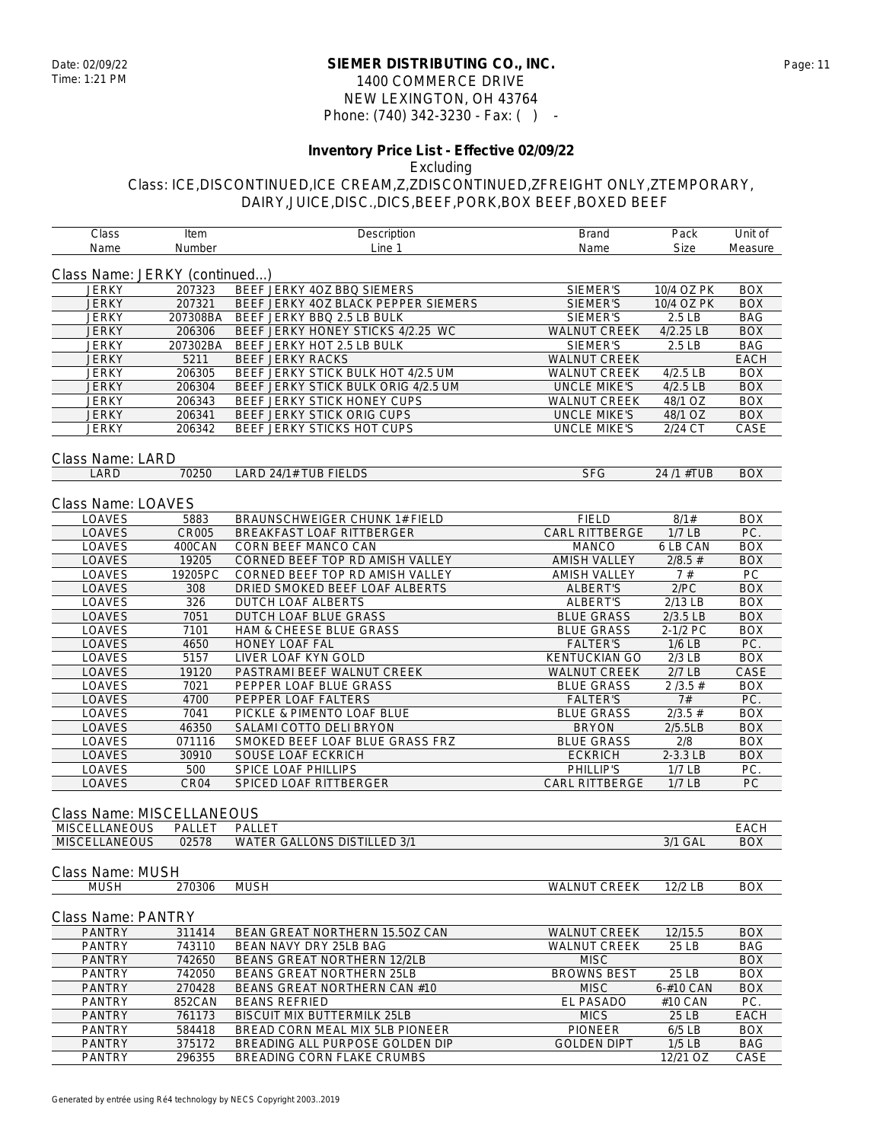### **SIEMER DISTRIBUTING CO., INC.** Date: 02/09/22 Page: 11 1400 COMMERCE DRIVE NEW LEXINGTON, OH 43764 Phone: (740) 342-3230 - Fax: ( ) -

# **Inventory Price List - Effective 02/09/22**

## Excluding

| Class                         | Item             | Description                          | <b>Brand</b>         | Pack       | Unit of     |
|-------------------------------|------------------|--------------------------------------|----------------------|------------|-------------|
| Name                          | Number           | Line 1                               | Name                 | Size       | Measure     |
| Class Name: JERKY (continued) |                  |                                      |                      |            |             |
| <b>JERKY</b>                  | 207323           | BEEF JERKY 4OZ BBQ SIEMERS           | SIEMER'S             | 10/4 OZ PK | <b>BOX</b>  |
| <b>JERKY</b>                  | 207321           | BEEF JERKY 4OZ BLACK PEPPER SIEMERS  | SIEMER'S             | 10/4 OZ PK | <b>BOX</b>  |
|                               |                  |                                      |                      |            |             |
| <b>JERKY</b>                  | 207308BA         | BEEF JERKY BBQ 2.5 LB BULK           | SIEMER'S             | 2.5 LB     | BAG         |
| <b>JERKY</b>                  | 206306           | BEEF JERKY HONEY STICKS 4/2.25 WC    | <b>WALNUT CREEK</b>  | 4/2.25 LB  | <b>BOX</b>  |
| <b>JERKY</b>                  | 207302BA         | BEEF JERKY HOT 2.5 LB BULK           | SIEMER'S             | 2.5 LB     | <b>BAG</b>  |
| <b>JERKY</b>                  | 5211             | BEEF JERKY RACKS                     | WALNUT CREEK         |            | <b>EACH</b> |
| <b>JERKY</b>                  | 206305           | BEEF JERKY STICK BULK HOT 4/2.5 UM   | <b>WALNUT CREEK</b>  | 4/2.5 LB   | <b>BOX</b>  |
| <b>JERKY</b>                  | 206304           | BEEF JERKY STICK BULK ORIG 4/2.5 UM  | <b>UNCLE MIKE'S</b>  | $4/2.5$ LB | <b>BOX</b>  |
| <b>JERKY</b>                  | 206343           | BEEF JERKY STICK HONEY CUPS          | <b>WALNUT CREEK</b>  | 48/1 OZ    | <b>BOX</b>  |
| <b>JERKY</b>                  | 206341           | BEEF JERKY STICK ORIG CUPS           | <b>UNCLE MIKE'S</b>  | 48/1 OZ    | <b>BOX</b>  |
| <b>JERKY</b>                  | 206342           | BEEF JERKY STICKS HOT CUPS           | <b>UNCLE MIKE'S</b>  | 2/24 CT    | CASE        |
| Class Name: LARD              |                  |                                      |                      |            |             |
| LARD                          | 70250            | LARD 24/1# TUB FIELDS                | <b>SFG</b>           | 24 /1 #TUB | <b>BOX</b>  |
|                               |                  |                                      |                      |            |             |
| Class Name: LOAVES            |                  |                                      |                      |            |             |
| <b>LOAVES</b>                 | 5883             | <b>BRAUNSCHWEIGER CHUNK 1# FIELD</b> | <b>FIELD</b>         | 8/1#       | BOX         |
| LOAVES                        | <b>CR005</b>     | BREAKFAST LOAF RITTBERGER            | CARL RITTBERGE       | $1/7$ LB   | PC.         |
| LOAVES                        | 400CAN           | CORN BEEF MANCO CAN                  | <b>MANCO</b>         | 6 LB CAN   | BOX         |
| LOAVES                        | 19205            | CORNED BEEF TOP RD AMISH VALLEY      | <b>AMISH VALLEY</b>  | $2/8.5$ #  | <b>BOX</b>  |
| LOAVES                        | 19205PC          | CORNED BEEF TOP RD AMISH VALLEY      | <b>AMISH VALLEY</b>  | 7#         | PC.         |
| LOAVES                        | 308              | DRIED SMOKED BEEF LOAF ALBERTS       | <b>ALBERT'S</b>      | 2/PC       | <b>BOX</b>  |
| <b>LOAVES</b>                 | 326              | DUTCH LOAF ALBERTS                   | ALBERT'S             | 2/13 LB    | <b>BOX</b>  |
| LOAVES                        | 7051             | DUTCH LOAF BLUE GRASS                | <b>BLUE GRASS</b>    | $2/3.5$ LB | <b>BOX</b>  |
| LOAVES                        | 7101             | HAM & CHEESE BLUE GRASS              | <b>BLUE GRASS</b>    | 2-1/2 PC   | BOX         |
| <b>LOAVES</b>                 | 4650             | <b>HONEY LOAF FAL</b>                | <b>FALTER'S</b>      | $1/6$ LB   | PC.         |
| LOAVES                        | 5157             | LIVER LOAF KYN GOLD                  | <b>KENTUCKIAN GO</b> | $2/3$ LB   | <b>BOX</b>  |
| LOAVES                        | 19120            | PASTRAMI BEEF WALNUT CREEK           | <b>WALNUT CREEK</b>  | $2/7$ LB   | CASE        |
| LOAVES                        | 7021             | PEPPER LOAF BLUE GRASS               | <b>BLUE GRASS</b>    | 2/3.5#     | <b>BOX</b>  |
|                               |                  |                                      |                      |            |             |
| LOAVES                        | 4700             | PEPPER LOAF FALTERS                  | <b>FALTER'S</b>      | 7#         | PC.         |
| LOAVES                        | 7041             | PICKLE & PIMENTO LOAF BLUE           | <b>BLUE GRASS</b>    | $2/3.5$ #  | <b>BOX</b>  |
| LOAVES                        | 46350            | SALAMI COTTO DELI BRYON              | <b>BRYON</b>         | 2/5.5LB    | <b>BOX</b>  |
| LOAVES                        | 071116           | SMOKED BEEF LOAF BLUE GRASS FRZ      | <b>BLUE GRASS</b>    | 2/8        | BOX         |
| LOAVES                        | 30910            | SOUSE LOAF ECKRICH                   | <b>ECKRICH</b>       | 2-3.3 LB   | <b>BOX</b>  |
| LOAVES                        | 500              | SPICE LOAF PHILLIPS                  | PHILLIP'S            | $1/7$ LB   | PC.         |
| LOAVES                        | CR <sub>04</sub> | SPICED LOAF RITTBERGER               | CARL RITTBERGE       | $1/7$ LB   | PC.         |
| Class Name: MISCELLANEOUS     |                  |                                      |                      |            |             |
| <b>MISCELLANEOUS</b>          | PALLET           | PALLET                               |                      |            | <b>EACH</b> |
| <b>MISCELLANEOUS</b>          | 02578            | <b>WATER GALLONS DISTILLED 3/1</b>   |                      | 3/1 GAL    | <b>BOX</b>  |
|                               |                  |                                      |                      |            |             |
| Class Name: MUSH              |                  |                                      |                      |            |             |
| <b>MUSH</b>                   | 270306           | <b>MUSH</b>                          | <b>WALNUT CREEK</b>  | 12/2 LB    | <b>BOX</b>  |
| Class Name: PANTRY            |                  |                                      |                      |            |             |
|                               |                  |                                      |                      |            |             |
| <b>PANTRY</b>                 | 311414           | BEAN GREAT NORTHERN 15.5OZ CAN       | <b>WALNUT CREEK</b>  | 12/15.5    | <b>BOX</b>  |
| <b>PANTRY</b>                 | 743110           | BEAN NAVY DRY 25LB BAG               | WALNUT CREEK         | 25 LB      | <b>BAG</b>  |
| <b>PANTRY</b>                 | 742650           | BEANS GREAT NORTHERN 12/2LB          | <b>MISC</b>          |            | <b>BOX</b>  |
| PANTRY                        | 742050           | <b>BEANS GREAT NORTHERN 25LB</b>     | <b>BROWNS BEST</b>   | 25 LB      | BOX         |
| <b>PANTRY</b>                 | 270428           | BEANS GREAT NORTHERN CAN #10         | <b>MISC</b>          | 6-#10 CAN  | <b>BOX</b>  |
| <b>PANTRY</b>                 | 852CAN           | <b>BEANS REFRIED</b>                 | EL PASADO            | #10 CAN    | PC.         |
| <b>PANTRY</b>                 | 761173           | <b>BISCUIT MIX BUTTERMILK 25LB</b>   | <b>MICS</b>          | 25 LB      | <b>EACH</b> |
| <b>PANTRY</b>                 | 584418           | BREAD CORN MEAL MIX 5LB PIONEER      | <b>PIONEER</b>       | $6/5$ LB   | BOX         |
| <b>PANTRY</b>                 | 375172           | BREADING ALL PURPOSE GOLDEN DIP      | <b>GOLDEN DIPT</b>   | $1/5$ LB   | <b>BAG</b>  |
| <b>PANTRY</b>                 | 296355           | BREADING CORN FLAKE CRUMBS           |                      | 12/21 OZ   | CASE        |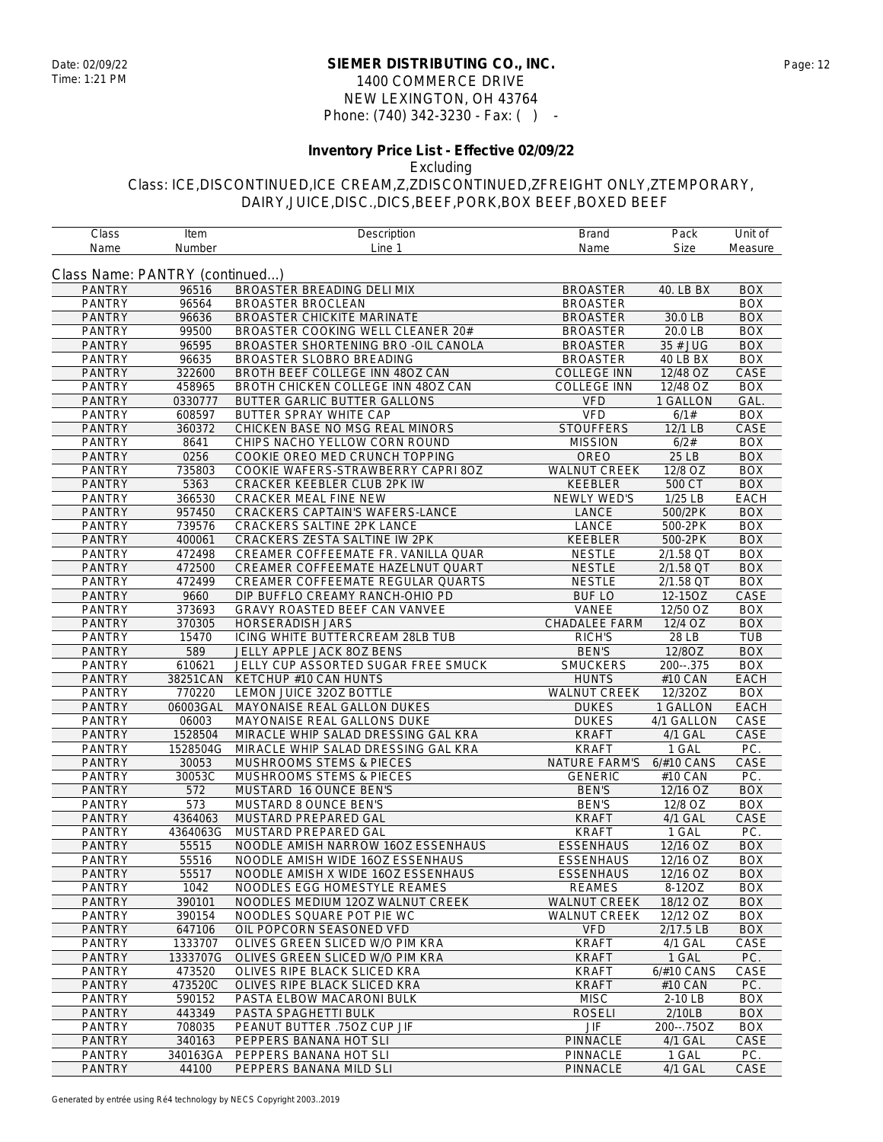#### **SIEMER DISTRIBUTING CO., INC.** Date: 02/09/22 Page: 12 1400 COMMERCE DRIVE NEW LEXINGTON, OH 43764 Phone: (740) 342-3230 - Fax: ( ) -

## **Inventory Price List - Effective 02/09/22**

Excluding

| Class                          | Item     | Description                            | <b>Brand</b>                | Pack                 | Unit of     |
|--------------------------------|----------|----------------------------------------|-----------------------------|----------------------|-------------|
| Name                           | Number   | Line 1                                 | Name                        | Size                 | Measure     |
|                                |          |                                        |                             |                      |             |
| Class Name: PANTRY (continued) |          |                                        |                             |                      |             |
| <b>PANTRY</b>                  | 96516    | BROASTER BREADING DELI MIX             | <b>BROASTER</b>             | 40. LB BX            | <b>BOX</b>  |
| <b>PANTRY</b>                  | 96564    | <b>BROASTER BROCLEAN</b>               | <b>BROASTER</b>             |                      | <b>BOX</b>  |
| <b>PANTRY</b>                  | 96636    | <b>BROASTER CHICKITE MARINATE</b>      | <b>BROASTER</b>             | 30.0 LB              | <b>BOX</b>  |
| <b>PANTRY</b>                  | 99500    | BROASTER COOKING WELL CLEANER 20#      | <b>BROASTER</b>             | 20.0 LB              | <b>BOX</b>  |
| <b>PANTRY</b>                  | 96595    | BROASTER SHORTENING BRO - OIL CANOLA   | <b>BROASTER</b>             | 35 # JUG             | <b>BOX</b>  |
| <b>PANTRY</b>                  | 96635    | BROASTER SLOBRO BREADING               | <b>BROASTER</b>             | 40 LB BX             | <b>BOX</b>  |
| <b>PANTRY</b>                  | 322600   | BROTH BEEF COLLEGE INN 480Z CAN        | <b>COLLEGE INN</b>          | 12/48 OZ             | CASE        |
| <b>PANTRY</b>                  | 458965   | BROTH CHICKEN COLLEGE INN 48OZ CAN     | <b>COLLEGE INN</b>          | 12/48 OZ             | <b>BOX</b>  |
| <b>PANTRY</b>                  | 0330777  | BUTTER GARLIC BUTTER GALLONS           | <b>VFD</b>                  | 1 GALLON             | GAL.        |
| <b>PANTRY</b>                  | 608597   | <b>BUTTER SPRAY WHITE CAP</b>          | <b>VFD</b>                  | 6/1#                 | <b>BOX</b>  |
| <b>PANTRY</b>                  | 360372   | CHICKEN BASE NO MSG REAL MINORS        | <b>STOUFFERS</b>            | 12/1 LB              | CASE        |
| <b>PANTRY</b>                  | 8641     | CHIPS NACHO YELLOW CORN ROUND          | <b>MISSION</b>              | 6/2#                 | <b>BOX</b>  |
| <b>PANTRY</b>                  | 0256     | COOKIE OREO MED CRUNCH TOPPING         | OREO                        | 25 LB                | <b>BOX</b>  |
| <b>PANTRY</b>                  | 735803   | COOKIE WAFERS-STRAWBERRY CAPRI 80Z     | <b>WALNUT CREEK</b>         | 12/8 OZ              | <b>BOX</b>  |
| <b>PANTRY</b>                  | 5363     | CRACKER KEEBLER CLUB 2PK IW            | KEEBLER                     | 500 CT               | <b>BOX</b>  |
| <b>PANTRY</b>                  | 366530   | CRACKER MEAL FINE NEW                  | NEWLY WED'S                 | 1/25 LB              | <b>EACH</b> |
| <b>PANTRY</b>                  | 957450   | <b>CRACKERS CAPTAIN'S WAFERS-LANCE</b> | LANCE                       | 500/2PK              | <b>BOX</b>  |
| <b>PANTRY</b>                  | 739576   | CRACKERS SALTINE 2PK LANCE             | <b>LANCE</b>                | 500-2PK              | <b>BOX</b>  |
| <b>PANTRY</b>                  | 400061   | <b>CRACKERS ZESTA SALTINE IW 2PK</b>   | <b>KEEBLER</b>              | 500-2PK              | <b>BOX</b>  |
| <b>PANTRY</b>                  | 472498   | CREAMER COFFEEMATE FR. VANILLA QUAR    | <b>NESTLE</b>               | 2/1.58 QT            | <b>BOX</b>  |
| <b>PANTRY</b>                  | 472500   | CREAMER COFFEEMATE HAZELNUT QUART      | <b>NESTLE</b>               | 2/1.58 QT            | <b>BOX</b>  |
| <b>PANTRY</b>                  | 472499   | CREAMER COFFEEMATE REGULAR QUARTS      | <b>NESTLE</b>               | 2/1.58 QT            | <b>BOX</b>  |
| <b>PANTRY</b>                  | 9660     | DIP BUFFLO CREAMY RANCH-OHIO PD        | <b>BUF LO</b>               | 12-15OZ              | CASE        |
| <b>PANTRY</b>                  | 373693   | GRAVY ROASTED BEEF CAN VANVEE          | VANEE                       | 12/50 OZ             | <b>BOX</b>  |
| <b>PANTRY</b>                  | 370305   | <b>HORSERADISH JARS</b>                | <b>CHADALEE FARM</b>        | 12/4 OZ              | <b>BOX</b>  |
| <b>PANTRY</b>                  | 15470    | ICING WHITE BUTTERCREAM 28LB TUB       | RICH'S                      | 28 LB                | TUB         |
| <b>PANTRY</b>                  | 589      | JELLY APPLE JACK 80Z BENS              | <b>BEN'S</b>                | 12/8OZ               | <b>BOX</b>  |
| <b>PANTRY</b>                  | 610621   | JELLY CUP ASSORTED SUGAR FREE SMUCK    | SMUCKERS                    | $200-.375$           | <b>BOX</b>  |
| <b>PANTRY</b>                  | 38251CAN | KETCHUP #10 CAN HUNTS                  | <b>HUNTS</b>                | #10 CAN              | <b>EACH</b> |
| <b>PANTRY</b>                  | 770220   | LEMON JUICE 32OZ BOTTLE                | <b>WALNUT CREEK</b>         | 12/32OZ              | <b>BOX</b>  |
| <b>PANTRY</b>                  | 06003GAL | MAYONAISE REAL GALLON DUKES            | <b>DUKES</b>                | 1 GALLON             | EACH        |
| <b>PANTRY</b>                  | 06003    | MAYONAISE REAL GALLONS DUKE            | <b>DUKES</b>                | 4/1 GALLON           | CASE        |
| <b>PANTRY</b>                  | 1528504  | MIRACLE WHIP SALAD DRESSING GAL KRA    | <b>KRAFT</b>                | 4/1 GAL              | CASE        |
| <b>PANTRY</b>                  | 1528504G | MIRACLE WHIP SALAD DRESSING GAL KRA    | <b>KRAFT</b>                | 1 GAL                | PC.         |
| <b>PANTRY</b>                  | 30053    | MUSHROOMS STEMS & PIECES               | <b>NATURE FARM'S</b>        | $6/#10$ CANS         | CASE        |
| <b>PANTRY</b>                  | 30053C   | <b>MUSHROOMS STEMS &amp; PIECES</b>    | <b>GENERIC</b>              | #10 CAN              | PC.         |
| <b>PANTRY</b>                  | 572      | MUSTARD 16 OUNCE BEN'S                 | <b>BEN'S</b>                | 12/16 OZ             | <b>BOX</b>  |
| <b>PANTRY</b>                  | 573      | MUSTARD 8 OUNCE BEN'S                  | <b>BEN'S</b>                | $\overline{12/8}$ OZ | <b>BOX</b>  |
| <b>PANTRY</b>                  | 4364063  | MUSTARD PREPARED GAL                   | <b>KRAFT</b>                | $4/1$ GAL            | CASE        |
| <b>PANTRY</b>                  | 4364063G | MUSTARD PREPARED GAL                   | <b>KRAFT</b>                | 1 GAL                | PC.         |
| <b>PANTRY</b>                  | 55515    | NOODLE AMISH NARROW 16OZ ESSENHAUS     | <b>ESSENHAUS</b>            | 12/16 OZ             | <b>BOX</b>  |
| <b>PANTRY</b>                  | 55516    | NOODLE AMISH WIDE 16OZ ESSENHAUS       | <b>ESSENHAUS</b>            | 12/16 OZ             | <b>BOX</b>  |
| <b>PANTRY</b>                  | 55517    | NOODLE AMISH X WIDE 160Z ESSENHAUS     | <b>ESSENHAUS</b>            | 12/16 OZ             | <b>BOX</b>  |
| <b>PANTRY</b>                  | 1042     | NOODLES EGG HOMESTYLE REAMES           | <b>REAMES</b>               | 8-12OZ               | <b>BOX</b>  |
| <b>PANTRY</b>                  | 390101   | NOODLES MEDIUM 12OZ WALNUT CREEK       | <b>WALNUT CREEK</b>         | 18/12 OZ             | <b>BOX</b>  |
| <b>PANTRY</b>                  | 390154   | NOODLES SQUARE POT PIE WC              | <b>WALNUT CREEK</b>         | 12/12 OZ             | <b>BOX</b>  |
| <b>PANTRY</b>                  | 647106   | OIL POPCORN SEASONED VFD               | <b>VFD</b>                  | 2/17.5 LB            | <b>BOX</b>  |
| <b>PANTRY</b>                  | 1333707  | OLIVES GREEN SLICED W/O PIM KRA        | <b>KRAFT</b>                | 4/1 GAL              | CASE        |
| <b>PANTRY</b>                  | 1333707G | OLIVES GREEN SLICED W/O PIM KRA        | <b>KRAFT</b>                | 1 GAL                | PC.         |
| <b>PANTRY</b>                  | 473520   | OLIVES RIPE BLACK SLICED KRA           | <b>KRAFT</b>                | 6/#10 CANS           | CASE        |
| <b>PANTRY</b>                  | 473520C  | OLIVES RIPE BLACK SLICED KRA           | <b>KRAFT</b>                | #10 CAN              | PC.         |
| <b>PANTRY</b>                  | 590152   | PASTA ELBOW MACARONI BULK              | <b>MISC</b>                 | 2-10 LB              | <b>BOX</b>  |
| <b>PANTRY</b>                  | 443349   | PASTA SPAGHETTI BULK                   | <b>ROSELI</b>               | 2/10LB               | <b>BOX</b>  |
| <b>PANTRY</b>                  | 708035   | PEANUT BUTTER .750Z CUP JIF            | $\ensuremath{\mathsf{JIF}}$ | 200--.75OZ           | <b>BOX</b>  |
| <b>PANTRY</b>                  | 340163   | PEPPERS BANANA HOT SLI                 | PINNACLE                    | 4/1 GAL              | CASE        |
| PANTRY                         | 340163GA | PEPPERS BANANA HOT SLI                 | PINNACLE                    | 1 GAL                | PC.         |
| <b>PANTRY</b>                  | 44100    | PEPPERS BANANA MILD SLI                | PINNACLE                    | 4/1 GAL              | CASE        |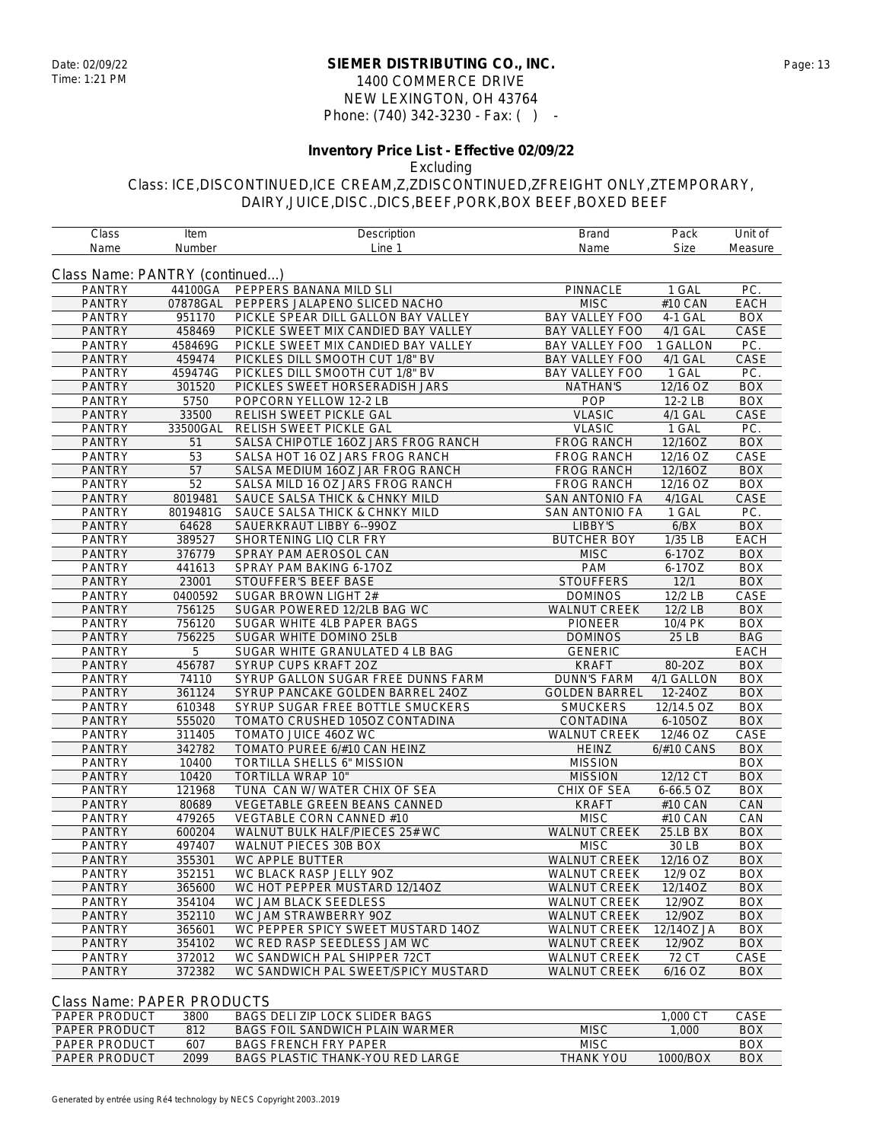#### **SIEMER DISTRIBUTING CO., INC.** Date: 02/09/22 Page: 13 1400 COMMERCE DRIVE NEW LEXINGTON, OH 43764 Phone: (740) 342-3230 - Fax: ( ) -

## **Inventory Price List - Effective 02/09/22**

Excluding

Class: ICE,DISCONTINUED,ICE CREAM,Z,ZDISCONTINUED,ZFREIGHT ONLY,ZTEMPORARY, DAIRY,JUICE,DISC.,DICS,BEEF,PORK,BOX BEEF,BOXED BEEF

| Class                          | Item     | Description                         | <b>Brand</b>          | Pack        | Unit of          |
|--------------------------------|----------|-------------------------------------|-----------------------|-------------|------------------|
| Name                           | Number   | Line 1                              | Name                  | <b>Size</b> | Measure          |
|                                |          |                                     |                       |             |                  |
| Class Name: PANTRY (continued) |          |                                     |                       |             |                  |
| <b>PANTRY</b>                  | 44100GA  | PEPPERS BANANA MILD SLI             | PINNACLE              | 1 GAL       | PC.              |
| <b>PANTRY</b>                  | 07878GAL | PEPPERS JALAPENO SLICED NACHO       | <b>MISC</b>           | #10 CAN     | <b>EACH</b>      |
| <b>PANTRY</b>                  | 951170   | PICKLE SPEAR DILL GALLON BAY VALLEY | BAY VALLEY FOO        | 4-1 GAL     | <b>BOX</b>       |
| <b>PANTRY</b>                  | 458469   | PICKLE SWEET MIX CANDIED BAY VALLEY | BAY VALLEY FOO        | 4/1 GAL     | CASE             |
| <b>PANTRY</b>                  | 458469G  | PICKLE SWEET MIX CANDIED BAY VALLEY | BAY VALLEY FOO        | 1 GALLON    | PC.              |
| <b>PANTRY</b>                  | 459474   | PICKLES DILL SMOOTH CUT 1/8" BV     | <b>BAY VALLEY FOO</b> | 4/1 GAL     | CASE             |
| <b>PANTRY</b>                  | 459474G  | PICKLES DILL SMOOTH CUT 1/8" BV     | BAY VALLEY FOO        | 1 GAL       | PC.              |
| <b>PANTRY</b>                  | 301520   | PICKLES SWEET HORSERADISH JARS      | <b>NATHAN'S</b>       | 12/16 OZ    | <b>BOX</b>       |
| <b>PANTRY</b>                  | 5750     | POPCORN YELLOW 12-2 LB              | POP                   | 12-2 LB     | <b>BOX</b>       |
| <b>PANTRY</b>                  | 33500    | RELISH SWEET PICKLE GAL             | <b>VLASIC</b>         | 4/1 GAL     | CASE             |
| <b>PANTRY</b>                  | 33500GAL | RELISH SWEET PICKLE GAL             | <b>VLASIC</b>         | 1 GAL       | PC.              |
| <b>PANTRY</b>                  | 51       | SALSA CHIPOTLE 16OZ JARS FROG RANCH | <b>FROG RANCH</b>     | 12/16OZ     | <b>BOX</b>       |
| <b>PANTRY</b>                  | 53       | SALSA HOT 16 OZ JARS FROG RANCH     | <b>FROG RANCH</b>     | 12/16 OZ    | CASE             |
| <b>PANTRY</b>                  | 57       | SALSA MEDIUM 16OZ JAR FROG RANCH    | <b>FROG RANCH</b>     | 12/16OZ     | <b>BOX</b>       |
| <b>PANTRY</b>                  | 52       | SALSA MILD 16 OZ JARS FROG RANCH    | <b>FROG RANCH</b>     | 12/16 OZ    | <b>BOX</b>       |
| <b>PANTRY</b>                  | 8019481  | SAUCE SALSA THICK & CHNKY MILD      | <b>SAN ANTONIO FA</b> | 4/1GAL      | CASE             |
| <b>PANTRY</b>                  | 8019481G | SAUCE SALSA THICK & CHNKY MILD      | <b>SAN ANTONIO FA</b> | 1 GAL       | PC.              |
| <b>PANTRY</b>                  | 64628    | SAUERKRAUT LIBBY 6--99OZ            | LIBBY'S               | 6/BX        | <b>BOX</b>       |
| <b>PANTRY</b>                  | 389527   | SHORTENING LIQ CLR FRY              | <b>BUTCHER BOY</b>    | 1/35 LB     | <b>EACH</b>      |
| <b>PANTRY</b>                  | 376779   | SPRAY PAM AEROSOL CAN               | <b>MISC</b>           | 6-17OZ      | <b>BOX</b>       |
| <b>PANTRY</b>                  | 441613   | SPRAY PAM BAKING 6-17OZ             | PAM                   | 6-17OZ      | <b>BOX</b>       |
| <b>PANTRY</b>                  | 23001    | STOUFFER'S BEEF BASE                | <b>STOUFFERS</b>      | 12/1        | <b>BOX</b>       |
| <b>PANTRY</b>                  | 0400592  | SUGAR BROWN LIGHT 2#                | <b>DOMINOS</b>        | 12/2 LB     | CASE             |
| <b>PANTRY</b>                  | 756125   | SUGAR POWERED 12/2LB BAG WC         | <b>WALNUT CREEK</b>   | 12/2 LB     | <b>BOX</b>       |
| <b>PANTRY</b>                  | 756120   | SUGAR WHITE 4LB PAPER BAGS          | <b>PIONEER</b>        | 10/4 PK     | <b>BOX</b>       |
| <b>PANTRY</b>                  | 756225   | SUGAR WHITE DOMINO 25LB             | <b>DOMINOS</b>        | 25 LB       | <b>BAG</b>       |
| <b>PANTRY</b>                  | 5        | SUGAR WHITE GRANULATED 4 LB BAG     | <b>GENERIC</b>        |             | <b>EACH</b>      |
| <b>PANTRY</b>                  | 456787   | SYRUP CUPS KRAFT 20Z                | <b>KRAFT</b>          | 80-2OZ      | <b>BOX</b>       |
| <b>PANTRY</b>                  | 74110    | SYRUP GALLON SUGAR FREE DUNNS FARM  | <b>DUNN'S FARM</b>    | 4/1 GALLON  | <b>BOX</b>       |
| <b>PANTRY</b>                  | 361124   | SYRUP PANCAKE GOLDEN BARREL 24OZ    | <b>GOLDEN BARREL</b>  | 12-24OZ     | <b>BOX</b>       |
| <b>PANTRY</b>                  | 610348   | SYRUP SUGAR FREE BOTTLE SMUCKERS    | <b>SMUCKERS</b>       | 12/14.5 OZ  | <b>BOX</b>       |
| <b>PANTRY</b>                  | 555020   | TOMATO CRUSHED 105OZ CONTADINA      | CONTADINA             | 6-105OZ     | <b>BOX</b>       |
| <b>PANTRY</b>                  | 311405   | TOMATO JUICE 46OZ WC                | WALNUT CREEK          | 12/46 OZ    | CASE             |
| <b>PANTRY</b>                  | 342782   | TOMATO PUREE 6/#10 CAN HEINZ        | <b>HEINZ</b>          | 6/#10 CANS  | <b>BOX</b>       |
| <b>PANTRY</b>                  | 10400    | TORTILLA SHELLS 6" MISSION          | <b>MISSION</b>        |             | $\overline{BOX}$ |
| <b>PANTRY</b>                  | 10420    | TORTILLA WRAP 10"                   | <b>MISSION</b>        | 12/12 CT    | <b>BOX</b>       |
| <b>PANTRY</b>                  | 121968   | TUNA CAN W/ WATER CHIX OF SEA       | CHIX OF SEA           | 6-66.5 OZ   | <b>BOX</b>       |
| <b>PANTRY</b>                  | 80689    | <b>VEGETABLE GREEN BEANS CANNED</b> | <b>KRAFT</b>          | #10 CAN     | CAN              |
| <b>PANTRY</b>                  | 479265   | VEGTABLE CORN CANNED #10            | <b>MISC</b>           | #10 CAN     | CAN              |
| <b>PANTRY</b>                  | 600204   | WALNUT BULK HALF/PIECES 25# WC      | WALNUT CREEK          | 25.LB BX    | <b>BOX</b>       |
| <b>PANTRY</b>                  | 497407   | WALNUT PIECES 30B BOX               | <b>MISC</b>           | 30 LB       | <b>BOX</b>       |
| <b>PANTRY</b>                  | 355301   | WC APPLE BUTTER                     | <b>WALNUT CREEK</b>   | 12/16 OZ    | <b>BOX</b>       |
| <b>PANTRY</b>                  | 352151   | WC BLACK RASP JELLY 90Z             | <b>WALNUT CREEK</b>   | 12/9 OZ     | <b>BOX</b>       |
| <b>PANTRY</b>                  | 365600   | WC HOT PEPPER MUSTARD 12/14OZ       | <b>WALNUT CREEK</b>   | 12/14OZ     | <b>BOX</b>       |
| <b>PANTRY</b>                  | 354104   | WC JAM BLACK SEEDLESS               | <b>WALNUT CREEK</b>   | 12/9OZ      | <b>BOX</b>       |
| <b>PANTRY</b>                  | 352110   | WC JAM STRAWBERRY 90Z               | <b>WALNUT CREEK</b>   | 12/9OZ      | <b>BOX</b>       |
| <b>PANTRY</b>                  | 365601   | WC PEPPER SPICY SWEET MUSTARD 14OZ  | <b>WALNUT CREEK</b>   | 12/14OZ JA  | <b>BOX</b>       |
| <b>PANTRY</b>                  | 354102   | WC RED RASP SEEDLESS JAM WC         | <b>WALNUT CREEK</b>   | 12/9OZ      | <b>BOX</b>       |
| <b>PANTRY</b>                  | 372012   | WC SANDWICH PAL SHIPPER 72CT        | <b>WALNUT CREEK</b>   | 72 CT       | CASE             |
| <b>PANTRY</b>                  | 372382   | WC SANDWICH PAL SWEET/SPICY MUSTARD | <b>WALNUT CREEK</b>   | $6/16$ OZ   | <b>BOX</b>       |
|                                |          |                                     |                       |             |                  |

#### Class Name: PAPER PRODUCTS

| <b>PAPER PRODUCT</b> | 3800 | BAGS DELLIZIP LOCK SLIDER BAGS   |                  | .000 CT  | CASE |
|----------------------|------|----------------------------------|------------------|----------|------|
| <b>PAPER PRODUCT</b> | 812  | BAGS FOIL SANDWICH PLAIN WARMER  | MISC             | .000     | BOX  |
| PAPER PRODUCT        | 607  | <b>BAGS FRENCH FRY PAPER</b>     | <b>MISC</b>      |          | BOX  |
| <b>PAPER PRODUCT</b> | 2099 | BAGS PLASTIC THANK-YOU RED LARGE | <b>THANK YOU</b> | 1000/BOX | BOX  |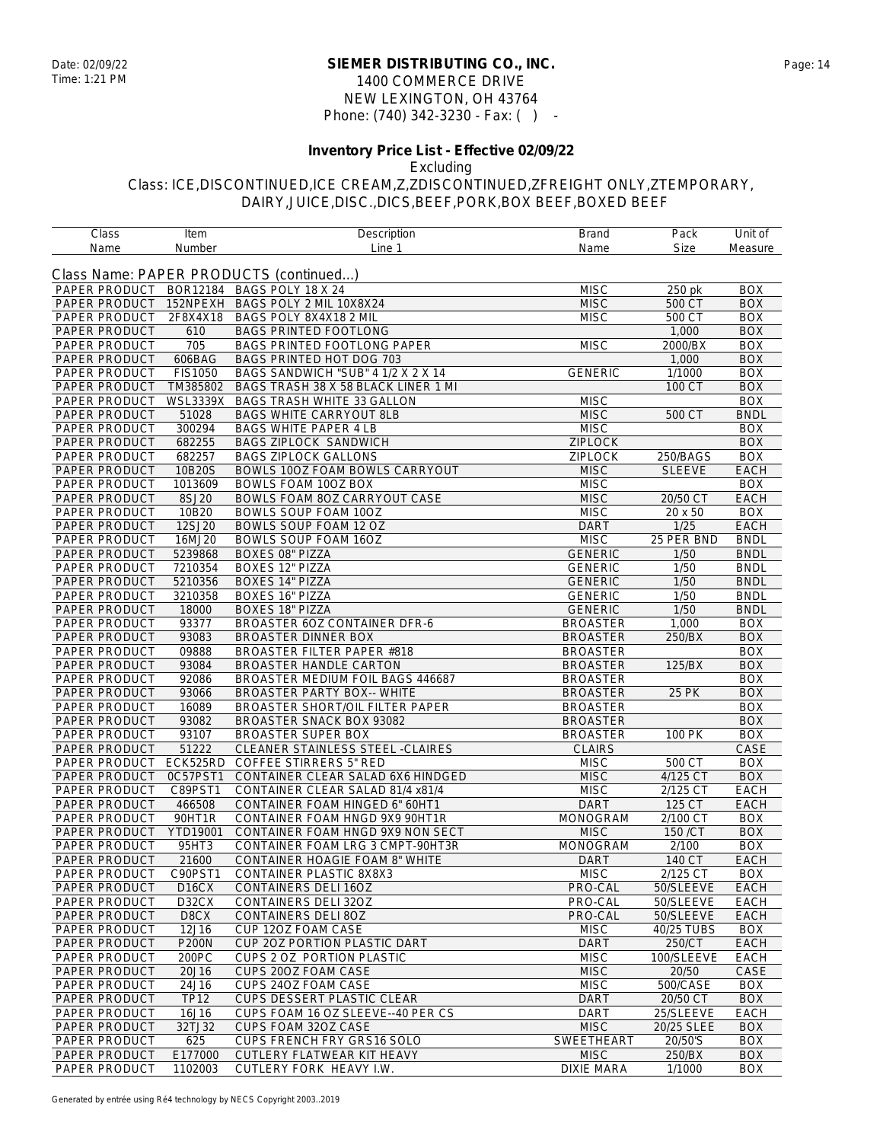#### **SIEMER DISTRIBUTING CO., INC.** Date: 02/09/22 Page: 14 1400 COMMERCE DRIVE NEW LEXINGTON, OH 43764 Phone: (740) 342-3230 - Fax: ( ) -

# **Inventory Price List - Effective 02/09/22**

Excluding

| Class         | Item               | Description                            | <b>Brand</b>      | Pack          | Unit of     |
|---------------|--------------------|----------------------------------------|-------------------|---------------|-------------|
| Name          | Number             | Line 1                                 | Name              | <b>Size</b>   | Measure     |
|               |                    |                                        |                   |               |             |
|               |                    | Class Name: PAPER PRODUCTS (continued) |                   |               |             |
| PAPER PRODUCT | BOR12184           | BAGS POLY 18 X 24                      | <b>MISC</b>       | 250 pk        | <b>BOX</b>  |
| PAPER PRODUCT | 152NPEXH           | BAGS POLY 2 MIL 10X8X24                | <b>MISC</b>       | 500 CT        | <b>BOX</b>  |
| PAPER PRODUCT | 2F8X4X18           | BAGS POLY 8X4X18 2 MIL                 | <b>MISC</b>       | 500 CT        | <b>BOX</b>  |
| PAPER PRODUCT | 610                | <b>BAGS PRINTED FOOTLONG</b>           |                   | 1,000         | <b>BOX</b>  |
| PAPER PRODUCT | 705                | BAGS PRINTED FOOTLONG PAPER            | <b>MISC</b>       | 2000/BX       | <b>BOX</b>  |
| PAPER PRODUCT | 606BAG             | BAGS PRINTED HOT DOG 703               |                   | 1,000         | <b>BOX</b>  |
| PAPER PRODUCT | <b>FIS1050</b>     | BAGS SANDWICH "SUB" 4 1/2 X 2 X 14     | <b>GENERIC</b>    | 1/1000        | <b>BOX</b>  |
| PAPER PRODUCT | TM385802           | BAGS TRASH 38 X 58 BLACK LINER 1 MI    |                   | 100 CT        | <b>BOX</b>  |
| PAPER PRODUCT | <b>WSL3339X</b>    | <b>BAGS TRASH WHITE 33 GALLON</b>      | <b>MISC</b>       |               | <b>BOX</b>  |
| PAPER PRODUCT | 51028              | <b>BAGS WHITE CARRYOUT 8LB</b>         | <b>MISC</b>       | 500 CT        | <b>BNDL</b> |
| PAPER PRODUCT | 300294             | <b>BAGS WHITE PAPER 4 LB</b>           | <b>MISC</b>       |               | <b>BOX</b>  |
| PAPER PRODUCT | 682255             | BAGS ZIPLOCK SANDWICH                  | <b>ZIPLOCK</b>    |               | <b>BOX</b>  |
| PAPER PRODUCT | 682257             | <b>BAGS ZIPLOCK GALLONS</b>            | <b>ZIPLOCK</b>    | 250/BAGS      | <b>BOX</b>  |
| PAPER PRODUCT | 10B20S             | BOWLS 100Z FOAM BOWLS CARRYOUT         | <b>MISC</b>       | <b>SLEEVE</b> | EACH        |
| PAPER PRODUCT | 1013609            | BOWLS FOAM 10OZ BOX                    | <b>MISC</b>       |               | <b>BOX</b>  |
| PAPER PRODUCT | 8SJ20              | <b>BOWLS FOAM 8OZ CARRYOUT CASE</b>    | <b>MISC</b>       | 20/50 CT      | <b>EACH</b> |
|               |                    |                                        | <b>MISC</b>       | 20 x 50       | <b>BOX</b>  |
| PAPER PRODUCT | 10B20              | BOWLS SOUP FOAM 10OZ                   |                   |               |             |
| PAPER PRODUCT | 12SJ20             | BOWLS SOUP FOAM 12 OZ                  | <b>DART</b>       | 1/25          | <b>EACH</b> |
| PAPER PRODUCT | 16MJ20             | BOWLS SOUP FOAM 16OZ                   | <b>MISC</b>       | 25 PER BND    | <b>BNDL</b> |
| PAPER PRODUCT | 5239868            | <b>BOXES 08" PIZZA</b>                 | <b>GENERIC</b>    | 1/50          | <b>BNDL</b> |
| PAPER PRODUCT | 7210354            | <b>BOXES 12" PIZZA</b>                 | <b>GENERIC</b>    | 1/50          | <b>BNDL</b> |
| PAPER PRODUCT | 5210356            | <b>BOXES 14" PIZZA</b>                 | <b>GENERIC</b>    | 1/50          | <b>BNDL</b> |
| PAPER PRODUCT | 3210358            | <b>BOXES 16" PIZZA</b>                 | <b>GENERIC</b>    | 1/50          | <b>BNDL</b> |
| PAPER PRODUCT | 18000              | <b>BOXES 18" PIZZA</b>                 | <b>GENERIC</b>    | 1/50          | <b>BNDL</b> |
| PAPER PRODUCT | 93377              | BROASTER 6OZ CONTAINER DFR-6           | <b>BROASTER</b>   | 1,000         | <b>BOX</b>  |
| PAPER PRODUCT | 93083              | BROASTER DINNER BOX                    | <b>BROASTER</b>   | 250/BX        | <b>BOX</b>  |
| PAPER PRODUCT | 09888              | <b>BROASTER FILTER PAPER #818</b>      | <b>BROASTER</b>   |               | <b>BOX</b>  |
| PAPER PRODUCT | 93084              | <b>BROASTER HANDLE CARTON</b>          | <b>BROASTER</b>   | 125/BX        | <b>BOX</b>  |
| PAPER PRODUCT | 92086              | BROASTER MEDIUM FOIL BAGS 446687       | <b>BROASTER</b>   |               | <b>BOX</b>  |
| PAPER PRODUCT | 93066              | <b>BROASTER PARTY BOX-- WHITE</b>      | <b>BROASTER</b>   | 25 PK         | <b>BOX</b>  |
| PAPER PRODUCT | 16089              | BROASTER SHORT/OIL FILTER PAPER        | <b>BROASTER</b>   |               | <b>BOX</b>  |
| PAPER PRODUCT | 93082              | <b>BROASTER SNACK BOX 93082</b>        | <b>BROASTER</b>   |               | <b>BOX</b>  |
| PAPER PRODUCT | 93107              | BROASTER SUPER BOX                     | <b>BROASTER</b>   | 100 PK        | <b>BOX</b>  |
| PAPER PRODUCT | 51222              | CLEANER STAINLESS STEEL - CLAIRES      | <b>CLAIRS</b>     |               | CASE        |
| PAPER PRODUCT | ECK525RD           | <b>COFFEE STIRRERS 5" RED</b>          | <b>MISC</b>       | 500 CT        | <b>BOX</b>  |
| PAPER PRODUCT | 0C57PST1           | CONTAINER CLEAR SALAD 6X6 HINDGED      | <b>MISC</b>       | 4/125 CT      | <b>BOX</b>  |
| PAPER PRODUCT | C89PST1            | CONTAINER CLEAR SALAD 81/4 x81/4       | <b>MISC</b>       | 2/125 CT      | <b>EACH</b> |
| PAPER PRODUCT | 466508             | CONTAINER FOAM HINGED 6" 60HT1         | <b>DART</b>       | 125 CT        | <b>EACH</b> |
| PAPER PRODUCT | 90HT1R             | CONTAINER FOAM HNGD 9X9 90HT1R         | <b>MONOGRAM</b>   | 2/100 CT      | <b>BOX</b>  |
| PAPER PRODUCT | YTD19001           | CONTAINER FOAM HNGD 9X9 NON SECT       | <b>MISC</b>       | 150 / CT      | <b>BOX</b>  |
| PAPER PRODUCT | 95HT3              | CONTAINER FOAM LRG 3 CMPT-90HT3R       | <b>MONOGRAM</b>   | 2/100         | <b>BOX</b>  |
| PAPER PRODUCT | 21600              | CONTAINER HOAGIE FOAM 8" WHITE         | DART              | 140 CT        | EACH        |
| PAPER PRODUCT |                    |                                        |                   |               |             |
|               | C90PST1            | <b>CONTAINER PLASTIC 8X8X3</b>         | <b>MISC</b>       | 2/125 CT      | <b>BOX</b>  |
| PAPER PRODUCT | D <sub>16</sub> CX | CONTAINERS DELI 16OZ                   | PRO-CAL           | 50/SLEEVE     | EACH        |
| PAPER PRODUCT | D32CX              | CONTAINERS DELI 32OZ                   | PRO-CAL           | 50/SLEEVE     | <b>EACH</b> |
| PAPER PRODUCT | D8CX               | CONTAINERS DELI 80Z                    | PRO-CAL           | 50/SLEEVE     | EACH        |
| PAPER PRODUCT | 12J16              | CUP 12OZ FOAM CASE                     | <b>MISC</b>       | 40/25 TUBS    | <b>BOX</b>  |
| PAPER PRODUCT | <b>P200N</b>       | <b>CUP 20Z PORTION PLASTIC DART</b>    | <b>DART</b>       | 250/CT        | EACH        |
| PAPER PRODUCT | 200PC              | CUPS 2 OZ PORTION PLASTIC              | <b>MISC</b>       | 100/SLEEVE    | <b>EACH</b> |
| PAPER PRODUCT | 20J16              | CUPS 200Z FOAM CASE                    | <b>MISC</b>       | 20/50         | CASE        |
| PAPER PRODUCT | 24J16              | CUPS 24OZ FOAM CASE                    | <b>MISC</b>       | 500/CASE      | <b>BOX</b>  |
| PAPER PRODUCT | <b>TP12</b>        | CUPS DESSERT PLASTIC CLEAR             | <b>DART</b>       | 20/50 CT      | <b>BOX</b>  |
| PAPER PRODUCT | 16J16              | CUPS FOAM 16 OZ SLEEVE--40 PER CS      | <b>DART</b>       | 25/SLEEVE     | EACH        |
| PAPER PRODUCT | 32TJ32             | CUPS FOAM 32OZ CASE                    | <b>MISC</b>       | 20/25 SLEE    | <b>BOX</b>  |
| PAPER PRODUCT | 625                | CUPS FRENCH FRY GRS16 SOLO             | SWEETHEART        | 20/50'S       | <b>BOX</b>  |
| PAPER PRODUCT | E177000            | CUTLERY FLATWEAR KIT HEAVY             | <b>MISC</b>       | 250/BX        | <b>BOX</b>  |
| PAPER PRODUCT | 1102003            | CUTLERY FORK HEAVY I.W.                | <b>DIXIE MARA</b> | 1/1000        | <b>BOX</b>  |
|               |                    |                                        |                   |               |             |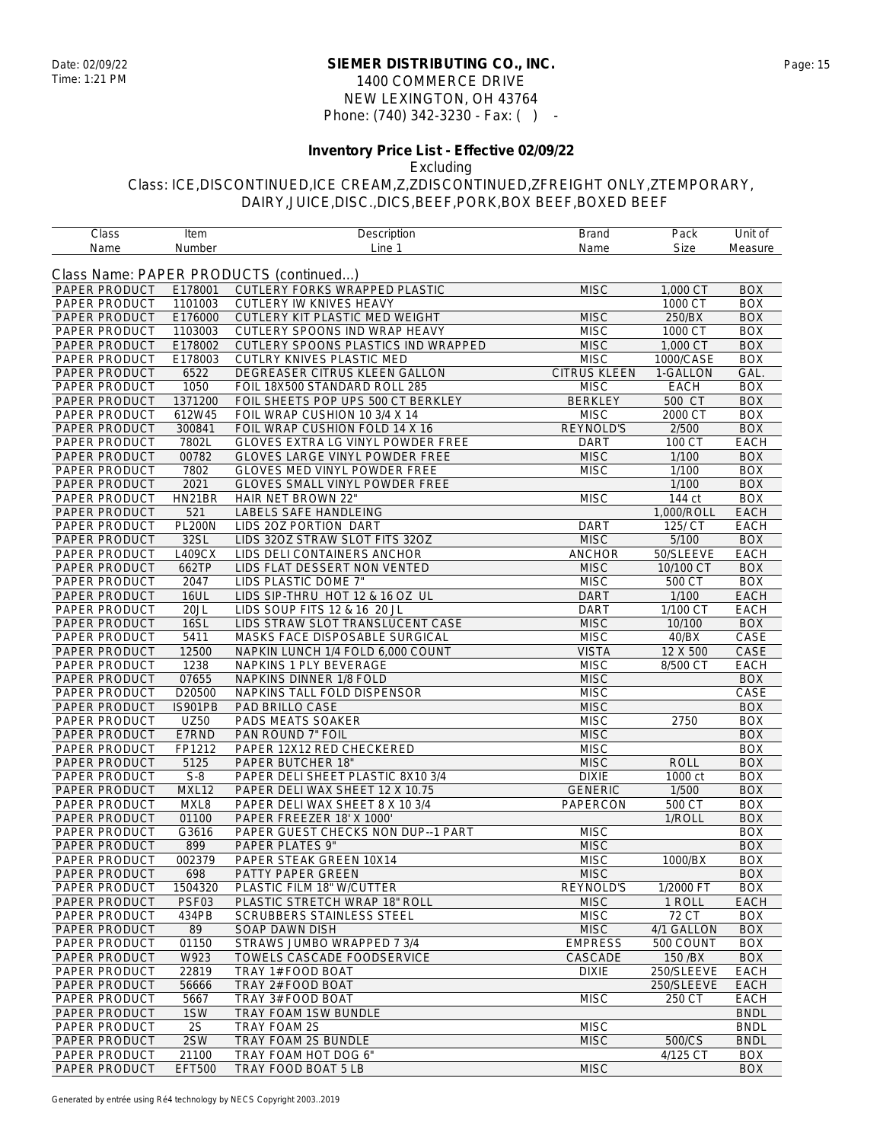#### **SIEMER DISTRIBUTING CO., INC.** Date: 02/09/22 Page: 15 1400 COMMERCE DRIVE NEW LEXINGTON, OH 43764 Phone: (740) 342-3230 - Fax: ( ) -

## **Inventory Price List - Effective 02/09/22**

Excluding

| Class         | Item           | Description                            | Brand          | Pack                           | Unit of     |
|---------------|----------------|----------------------------------------|----------------|--------------------------------|-------------|
| Name          | Number         | Line 1                                 | Name           | <b>Size</b>                    | Measure     |
|               |                |                                        |                |                                |             |
|               |                | Class Name: PAPER PRODUCTS (continued) |                |                                |             |
| PAPER PRODUCT | E178001        | CUTLERY FORKS WRAPPED PLASTIC          | <b>MISC</b>    | 1,000 CT                       | <b>BOX</b>  |
| PAPER PRODUCT | 1101003        | CUTLERY IW KNIVES HEAVY                |                | 1000 CT                        | <b>BOX</b>  |
| PAPER PRODUCT | E176000        | CUTLERY KIT PLASTIC MED WEIGHT         | <b>MISC</b>    | 250/BX                         | <b>BOX</b>  |
| PAPER PRODUCT | 1103003        | CUTLERY SPOONS IND WRAP HEAVY          | <b>MISC</b>    | 1000 CT                        | <b>BOX</b>  |
| PAPER PRODUCT | E178002        | CUTLERY SPOONS PLASTICS IND WRAPPED    | <b>MISC</b>    | 1,000 CT                       | <b>BOX</b>  |
| PAPER PRODUCT | E178003        | CUTLRY KNIVES PLASTIC MED              | <b>MISC</b>    | 1000/CASE                      | <b>BOX</b>  |
| PAPER PRODUCT | 6522           | DEGREASER CITRUS KLEEN GALLON          | CITRUS KLEEN   | 1-GALLON                       | GAL.        |
| PAPER PRODUCT | 1050           | FOIL 18X500 STANDARD ROLL 285          | <b>MISC</b>    | <b>EACH</b>                    | <b>BOX</b>  |
| PAPER PRODUCT | 1371200        | FOIL SHEETS POP UPS 500 CT BERKLEY     | <b>BERKLEY</b> | 500 CT                         | <b>BOX</b>  |
| PAPER PRODUCT | 612W45         | FOIL WRAP CUSHION 10 3/4 X 14          | <b>MISC</b>    | 2000 CT                        | <b>BOX</b>  |
| PAPER PRODUCT | 300841         | FOIL WRAP CUSHION FOLD 14 X 16         | REYNOLD'S      | 2/500                          | <b>BOX</b>  |
| PAPER PRODUCT | 7802L          | GLOVES EXTRA LG VINYL POWDER FREE      | <b>DART</b>    | 100 CT                         | EACH        |
| PAPER PRODUCT | 00782          | <b>GLOVES LARGE VINYL POWDER FREE</b>  | <b>MISC</b>    | 1/100                          | <b>BOX</b>  |
| PAPER PRODUCT | 7802           | GLOVES MED VINYL POWDER FREE           | <b>MISC</b>    | 1/100                          | <b>BOX</b>  |
|               |                |                                        |                |                                |             |
| PAPER PRODUCT | 2021           | <b>GLOVES SMALL VINYL POWDER FREE</b>  |                | 1/100                          | <b>BOX</b>  |
| PAPER PRODUCT | HN21BR         | HAIR NET BROWN 22"                     | <b>MISC</b>    | 144 ct                         | <b>BOX</b>  |
| PAPER PRODUCT | 521            | LABELS SAFE HANDLEING                  |                | 1,000/ROLL                     | <b>EACH</b> |
| PAPER PRODUCT | <b>PL200N</b>  | LIDS 20Z PORTION DART                  | DART           | 125/ CT                        | <b>EACH</b> |
| PAPER PRODUCT | 32SL           | LIDS 32OZ STRAW SLOT FITS 32OZ         | <b>MISC</b>    | 5/100                          | <b>BOX</b>  |
| PAPER PRODUCT | L409CX         | LIDS DELI CONTAINERS ANCHOR            | <b>ANCHOR</b>  | 50/SLEEVE                      | <b>EACH</b> |
| PAPER PRODUCT | 662TP          | LIDS FLAT DESSERT NON VENTED           | <b>MISC</b>    | 10/100 CT                      | <b>BOX</b>  |
| PAPER PRODUCT | 2047           | LIDS PLASTIC DOME 7"                   | <b>MISC</b>    | 500 CT                         | <b>BOX</b>  |
| PAPER PRODUCT | <b>16UL</b>    | LIDS SIP-THRU HOT 12 & 16 OZ UL        | <b>DART</b>    | 1/100                          | EACH        |
| PAPER PRODUCT | 20JL           | LIDS SOUP FITS 12 & 16 20 JL           | <b>DART</b>    | 1/100 CT                       | EACH        |
| PAPER PRODUCT | <b>16SL</b>    | LIDS STRAW SLOT TRANSLUCENT CASE       | <b>MISC</b>    | 10/100                         | <b>BOX</b>  |
| PAPER PRODUCT | 5411           | MASKS FACE DISPOSABLE SURGICAL         | <b>MISC</b>    | 40/BX                          | CASE        |
| PAPER PRODUCT | 12500          | NAPKIN LUNCH 1/4 FOLD 6,000 COUNT      | <b>VISTA</b>   | 12 X 500                       | CASE        |
| PAPER PRODUCT | 1238           | NAPKINS 1 PLY BEVERAGE                 | <b>MISC</b>    | 8/500 CT                       | EACH        |
| PAPER PRODUCT | 07655          | NAPKINS DINNER 1/8 FOLD                | <b>MISC</b>    |                                | <b>BOX</b>  |
| PAPER PRODUCT | D20500         | NAPKINS TALL FOLD DISPENSOR            | <b>MISC</b>    |                                | CASE        |
| PAPER PRODUCT | <b>IS901PB</b> | PAD BRILLO CASE                        | <b>MISC</b>    |                                | <b>BOX</b>  |
| PAPER PRODUCT | <b>UZ50</b>    | PADS MEATS SOAKER                      | <b>MISC</b>    | 2750                           | <b>BOX</b>  |
| PAPER PRODUCT | E7RND          | PAN ROUND 7" FOIL                      | <b>MISC</b>    |                                | <b>BOX</b>  |
| PAPER PRODUCT | FP1212         | PAPER 12X12 RED CHECKERED              | <b>MISC</b>    |                                | <b>BOX</b>  |
| PAPER PRODUCT | 5125           | PAPER BUTCHER 18"                      | <b>MISC</b>    | <b>ROLL</b>                    | <b>BOX</b>  |
|               |                |                                        |                |                                |             |
| PAPER PRODUCT | $S-8$          | PAPER DELI SHEET PLASTIC 8X10 3/4      | <b>DIXIE</b>   | 1000 ct                        | <b>BOX</b>  |
| PAPER PRODUCT | MXL12          | PAPER DELI WAX SHEET 12 X 10.75        | <b>GENERIC</b> | 1/500                          | <b>BOX</b>  |
| PAPER PRODUCT | MXL8           | PAPER DELI WAX SHEET 8 X 10 3/4        | PAPERCON       | 500 CT                         | <b>BOX</b>  |
| PAPER PRODUCT | 01100          | PAPER FREEZER 18' X 1000'              |                | 1/ROLL                         | <b>BOX</b>  |
| PAPER PRODUCT | G3616          | PAPER GUEST CHECKS NON DUP--1 PART     | <b>MISC</b>    |                                | <b>BOX</b>  |
| PAPER PRODUCT | 899            | PAPER PLATES 9"                        | <b>MISC</b>    |                                | <b>BOX</b>  |
| PAPER PRODUCT | 002379         | PAPER STEAK GREEN 10X14                | <b>MISC</b>    | 1000/BX                        | <b>BOX</b>  |
| PAPER PRODUCT | 698            | <b>PATTY PAPER GREEN</b>               | <b>MISC</b>    |                                | <b>BOX</b>  |
| PAPER PRODUCT | 1504320        | PLASTIC FILM 18" W/CUTTER              | REYNOLD'S      | 1/2000 FT                      | <b>BOX</b>  |
| PAPER PRODUCT | PSF03          | PLASTIC STRETCH WRAP 18" ROLL          | <b>MISC</b>    | 1 ROLL                         | <b>EACH</b> |
| PAPER PRODUCT | 434PB          | <b>SCRUBBERS STAINLESS STEEL</b>       | <b>MISC</b>    | $\overline{7}$ <sub>2</sub> CT | <b>BOX</b>  |
| PAPER PRODUCT | 89             | SOAP DAWN DISH                         | <b>MISC</b>    | 4/1 GALLON                     | <b>BOX</b>  |
| PAPER PRODUCT | 01150          | STRAWS JUMBO WRAPPED 7 3/4             | <b>EMPRESS</b> | 500 COUNT                      | <b>BOX</b>  |
| PAPER PRODUCT | W923           | TOWELS CASCADE FOODSERVICE             | CASCADE        | 150 / BX                       | <b>BOX</b>  |
| PAPER PRODUCT | 22819          | TRAY 1# FOOD BOAT                      | <b>DIXIE</b>   | 250/SLEEVE                     | EACH        |
| PAPER PRODUCT | 56666          | TRAY 2# FOOD BOAT                      |                | 250/SLEEVE                     | EACH        |
| PAPER PRODUCT | 5667           | TRAY 3# FOOD BOAT                      | <b>MISC</b>    | 250 CT                         | EACH        |
| PAPER PRODUCT | 1SW            | TRAY FOAM 1SW BUNDLE                   |                |                                | <b>BNDL</b> |
| PAPER PRODUCT | 2S             | TRAY FOAM 2S                           | <b>MISC</b>    |                                | <b>BNDL</b> |
|               |                |                                        |                |                                |             |
| PAPER PRODUCT | 2SW            | TRAY FOAM 2S BUNDLE                    | <b>MISC</b>    | 500/CS                         | <b>BNDL</b> |
| PAPER PRODUCT | 21100          | TRAY FOAM HOT DOG 6"                   |                | 4/125 CT                       | <b>BOX</b>  |
| PAPER PRODUCT | <b>EFT500</b>  | TRAY FOOD BOAT 5 LB                    | <b>MISC</b>    |                                | <b>BOX</b>  |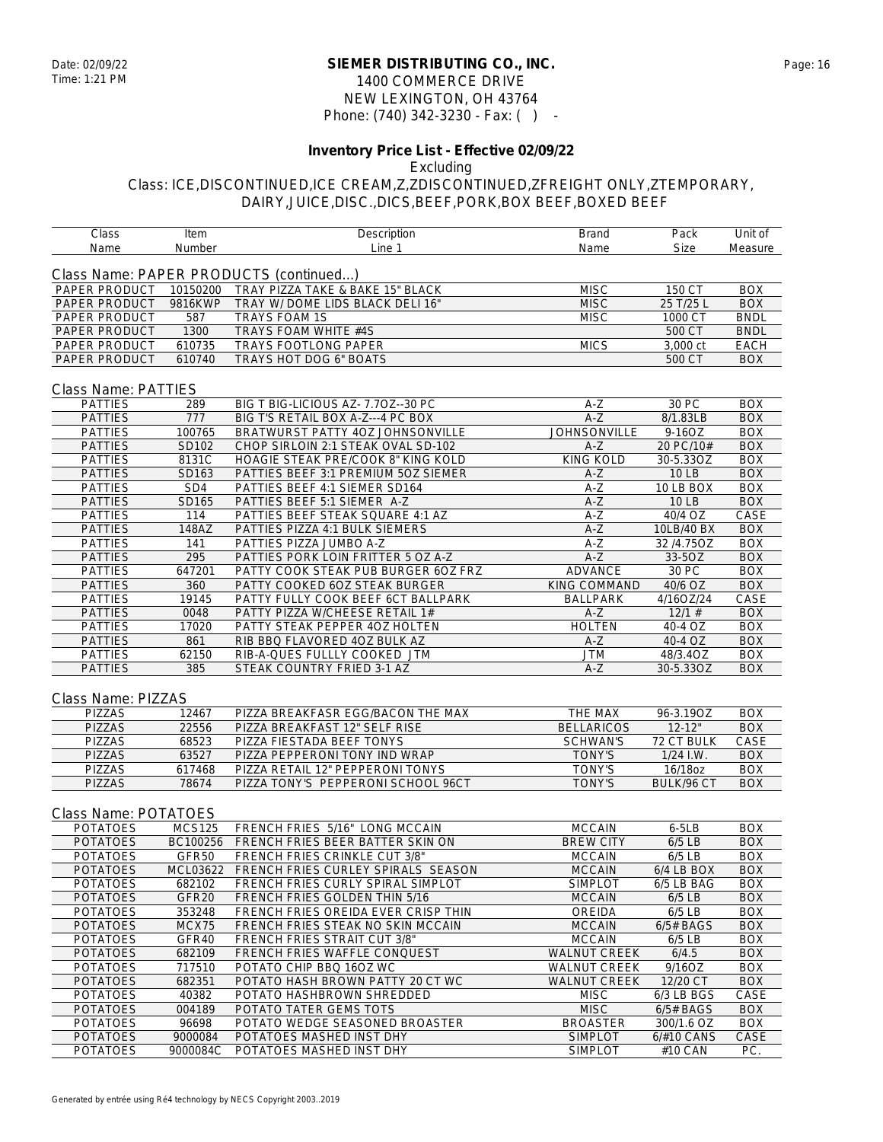#### **SIEMER DISTRIBUTING CO., INC.** Date: 02/09/22 Page: 16 1400 COMMERCE DRIVE NEW LEXINGTON, OH 43764 Phone: (740) 342-3230 - Fax: ( ) -

#### **Inventory Price List - Effective 02/09/22** Excluding

## Class: ICE,DISCONTINUED,ICE CREAM,Z,ZDISCONTINUED,ZFREIGHT ONLY,ZTEMPORARY, DAIRY,JUICE,DISC.,DICS,BEEF,PORK,BOX BEEF,BOXED BEEF

Class Item Description Brand Pack Unit of

| Name                             | Number                    | Line 1                                                               | Name                         | Size                    | Measure                  |
|----------------------------------|---------------------------|----------------------------------------------------------------------|------------------------------|-------------------------|--------------------------|
|                                  |                           |                                                                      |                              |                         |                          |
|                                  |                           | Class Name: PAPER PRODUCTS (continued)                               |                              |                         |                          |
| PAPER PRODUCT                    | 10150200                  | TRAY PIZZA TAKE & BAKE 15" BLACK                                     | <b>MISC</b>                  | 150 CT                  | <b>BOX</b>               |
| PAPER PRODUCT                    | 9816KWP                   | TRAY W/ DOME LIDS BLACK DELI 16"                                     | <b>MISC</b>                  | 25 T/25 L               | <b>BOX</b>               |
| PAPER PRODUCT                    | 587                       | <b>TRAYS FOAM 1S</b>                                                 | <b>MISC</b>                  | 1000 CT                 | <b>BNDL</b>              |
| PAPER PRODUCT                    | 1300                      | TRAYS FOAM WHITE #4S                                                 |                              | 500 CT                  | <b>BNDL</b>              |
| PAPER PRODUCT                    | 610735                    | <b>TRAYS FOOTLONG PAPER</b>                                          | <b>MICS</b>                  | 3,000 ct                | <b>EACH</b>              |
| PAPER PRODUCT                    | 610740                    | TRAYS HOT DOG 6" BOATS                                               |                              | 500 CT                  | <b>BOX</b>               |
|                                  |                           |                                                                      |                              |                         |                          |
| Class Name: PATTIES              |                           |                                                                      |                              |                         |                          |
| <b>PATTIES</b>                   | 289                       | BIG T BIG-LICIOUS AZ- 7.70Z--30 PC                                   | $A-Z$                        | 30 PC                   | <b>BOX</b>               |
| <b>PATTIES</b>                   | 777                       | BIG T'S RETAIL BOX A-Z---4 PC BOX                                    | $A-Z$                        | 8/1.83LB                | <b>BOX</b>               |
| <b>PATTIES</b>                   | 100765                    | BRATWURST PATTY 4OZ JOHNSONVILLE                                     | <b>JOHNSONVILLE</b>          | 9-16OZ                  | <b>BOX</b>               |
| <b>PATTIES</b>                   | SD102                     | CHOP SIRLOIN 2:1 STEAK OVAL SD-102                                   | $A-Z$                        | 20 PC/10#               | <b>BOX</b>               |
| <b>PATTIES</b>                   | 8131C                     | HOAGIE STEAK PRE/COOK 8" KING KOLD                                   | <b>KING KOLD</b>             | 30-5.33OZ               | <b>BOX</b>               |
| <b>PATTIES</b>                   | SD163                     | PATTIES BEEF 3:1 PREMIUM 5OZ SIEMER                                  | $A-Z$                        | <b>10 LB</b>            | <b>BOX</b>               |
| <b>PATTIES</b>                   | SD <sub>4</sub>           | PATTIES BEEF 4:1 SIEMER SD164                                        | A-Z                          | 10 LB BOX               | <b>BOX</b>               |
| <b>PATTIES</b>                   | SD165                     | PATTIES BEEF 5:1 SIEMER A-Z                                          | $A-Z$                        | 10 LB                   | <b>BOX</b>               |
| <b>PATTIES</b>                   | 114                       | PATTIES BEEF STEAK SQUARE 4:1 AZ                                     | A-Z                          | $\overline{40/4}$ OZ    | CASE                     |
| <b>PATTIES</b>                   | 148AZ                     | PATTIES PIZZA 4:1 BULK SIEMERS                                       | $A-Z$                        | 10LB/40 BX              | <b>BOX</b>               |
| <b>PATTIES</b>                   | 141                       | PATTIES PIZZA JUMBO A-Z                                              | $A-Z$                        | 32/4.75OZ               | <b>BOX</b>               |
| <b>PATTIES</b>                   | 295                       | PATTIES PORK LOIN FRITTER 5 OZ A-Z                                   | $A-Z$                        | 33-5OZ                  | <b>BOX</b>               |
| <b>PATTIES</b>                   | 647201                    | PATTY COOK STEAK PUB BURGER 60Z FRZ                                  | ADVANCE                      | 30 PC<br>40/6 OZ        | <b>BOX</b><br><b>BOX</b> |
| <b>PATTIES</b><br><b>PATTIES</b> | 360<br>19145              | PATTY COOKED 6OZ STEAK BURGER                                        | KING COMMAND                 | 4/16OZ/24               | CASE                     |
| <b>PATTIES</b>                   | 0048                      | PATTY FULLY COOK BEEF 6CT BALLPARK<br>PATTY PIZZA W/CHEESE RETAIL 1# | <b>BALLPARK</b><br>$A-Z$     | 12/1#                   | <b>BOX</b>               |
| <b>PATTIES</b>                   | 17020                     | PATTY STEAK PEPPER 40Z HOLTEN                                        | <b>HOLTEN</b>                | 40-4 OZ                 | <b>BOX</b>               |
| <b>PATTIES</b>                   | 861                       | RIB BBQ FLAVORED 4OZ BULK AZ                                         | $A-Z$                        | 40-4 OZ                 | <b>BOX</b>               |
| <b>PATTIES</b>                   | 62150                     | RIB-A-QUES FULLLY COOKED JTM                                         | JTM                          | 48/3.4OZ                | <b>BOX</b>               |
| <b>PATTIES</b>                   | 385                       | STEAK COUNTRY FRIED 3-1 AZ                                           | $A-Z$                        | 30-5.33OZ               | <b>BOX</b>               |
|                                  |                           |                                                                      |                              |                         |                          |
|                                  |                           |                                                                      |                              |                         |                          |
| Class Name: PIZZAS               |                           |                                                                      |                              |                         |                          |
| PIZZAS<br><b>PIZZAS</b>          | 12467<br>22556            | PIZZA BREAKFASR EGG/BACON THE MAX<br>PIZZA BREAKFAST 12" SELF RISE   | THE MAX<br><b>BELLARICOS</b> | 96-3.19OZ<br>$12 - 12"$ | <b>BOX</b><br><b>BOX</b> |
| <b>PIZZAS</b>                    | 68523                     | PIZZA FIESTADA BEEF TONYS                                            | <b>SCHWAN'S</b>              | 72 CT BULK              | CASE                     |
| PIZZAS                           | 63527                     | PIZZA PEPPERONI TONY IND WRAP                                        | <b>TONY'S</b>                | $1/24$ I.W.             | <b>BOX</b>               |
| <b>PIZZAS</b>                    | 617468                    | PIZZA RETAIL 12" PEPPERONI TONYS                                     | <b>TONY'S</b>                | 16/18oz                 | <b>BOX</b>               |
| <b>PIZZAS</b>                    | 78674                     | PIZZA TONY'S PEPPERONI SCHOOL 96CT                                   | <b>TONY'S</b>                | BULK/96 CT              | <b>BOX</b>               |
|                                  |                           |                                                                      |                              |                         |                          |
| Class Name: POTATOES             |                           |                                                                      |                              |                         |                          |
| <b>POTATOES</b>                  |                           | FRENCH FRIES 5/16" LONG MCCAIN                                       | <b>MCCAIN</b>                | $6 - 5LB$               | <b>BOX</b>               |
| <b>POTATOES</b>                  | <b>MCS125</b><br>BC100256 | FRENCH FRIES BEER BATTER SKIN ON                                     | <b>BREW CITY</b>             | $6/5$ LB                | <b>BOX</b>               |
| <b>POTATOES</b>                  | GFR50                     | FRENCH FRIES CRINKLE CUT 3/8"                                        | <b>MCCAIN</b>                | $6/5$ LB                | <b>BOX</b>               |
| <b>POTATOES</b>                  | MCL03622                  | FRENCH FRIES CURLEY SPIRALS SEASON                                   | <b>MCCAIN</b>                | 6/4 LB BOX              | <b>BOX</b>               |
| <b>POTATOES</b>                  | 682102                    | FRENCH FRIES CURLY SPIRAL SIMPLOT                                    | <b>SIMPLOT</b>               | 6/5 LB BAG              | <b>BOX</b>               |
| <b>POTATOES</b>                  | GFR <sub>20</sub>         | FRENCH FRIES GOLDEN THIN 5/16                                        | <b>MCCAIN</b>                | 6/5 LB                  | <b>BOX</b>               |
| <b>POTATOES</b>                  | 353248                    | FRENCH FRIES OREIDA EVER CRISP THIN                                  | OREIDA                       | $6/5$ LB                | <b>BOX</b>               |
| <b>POTATOES</b>                  | MCX75                     | FRENCH FRIES STEAK NO SKIN MCCAIN                                    | <b>MCCAIN</b>                | $6/5#$ BAGS             | <b>BOX</b>               |
| <b>POTATOES</b>                  | GFR40                     | FRENCH FRIES STRAIT CUT 3/8"                                         | <b>MCCAIN</b>                | $6/5$ LB                | <b>BOX</b>               |
| <b>POTATOES</b>                  | 682109                    | FRENCH FRIES WAFFLE CONQUEST                                         | <b>WALNUT CREEK</b>          | 6/4.5                   | <b>BOX</b>               |
| <b>POTATOES</b>                  | 717510                    | POTATO CHIP BBQ 16OZ WC                                              | WALNUT CREEK                 | 9/16OZ                  | <b>BOX</b>               |
| <b>POTATOES</b>                  | 682351                    | POTATO HASH BROWN PATTY 20 CT WC                                     | <b>WALNUT CREEK</b>          | 12/20 CT                | <b>BOX</b>               |
| <b>POTATOES</b>                  | 40382                     | POTATO HASHBROWN SHREDDED                                            | <b>MISC</b>                  | 6/3 LB BGS              | CASE                     |
| <b>POTATOES</b>                  | 004189                    | POTATO TATER GEMS TOTS                                               | <b>MISC</b>                  | $6/5#$ BAGS             | <b>BOX</b>               |
| <b>POTATOES</b>                  | 96698                     | POTATO WEDGE SEASONED BROASTER                                       | <b>BROASTER</b>              | 300/1.6 OZ              | <b>BOX</b>               |
| <b>POTATOES</b>                  | 9000084                   | POTATOES MASHED INST DHY                                             | <b>SIMPLOT</b>               | 6/#10 CANS              | CASE                     |
| <b>POTATOES</b>                  | 9000084C                  | POTATOES MASHED INST DHY                                             | <b>SIMPLOT</b>               | #10 CAN                 | PC.                      |
|                                  |                           |                                                                      |                              |                         |                          |
|                                  |                           |                                                                      |                              |                         |                          |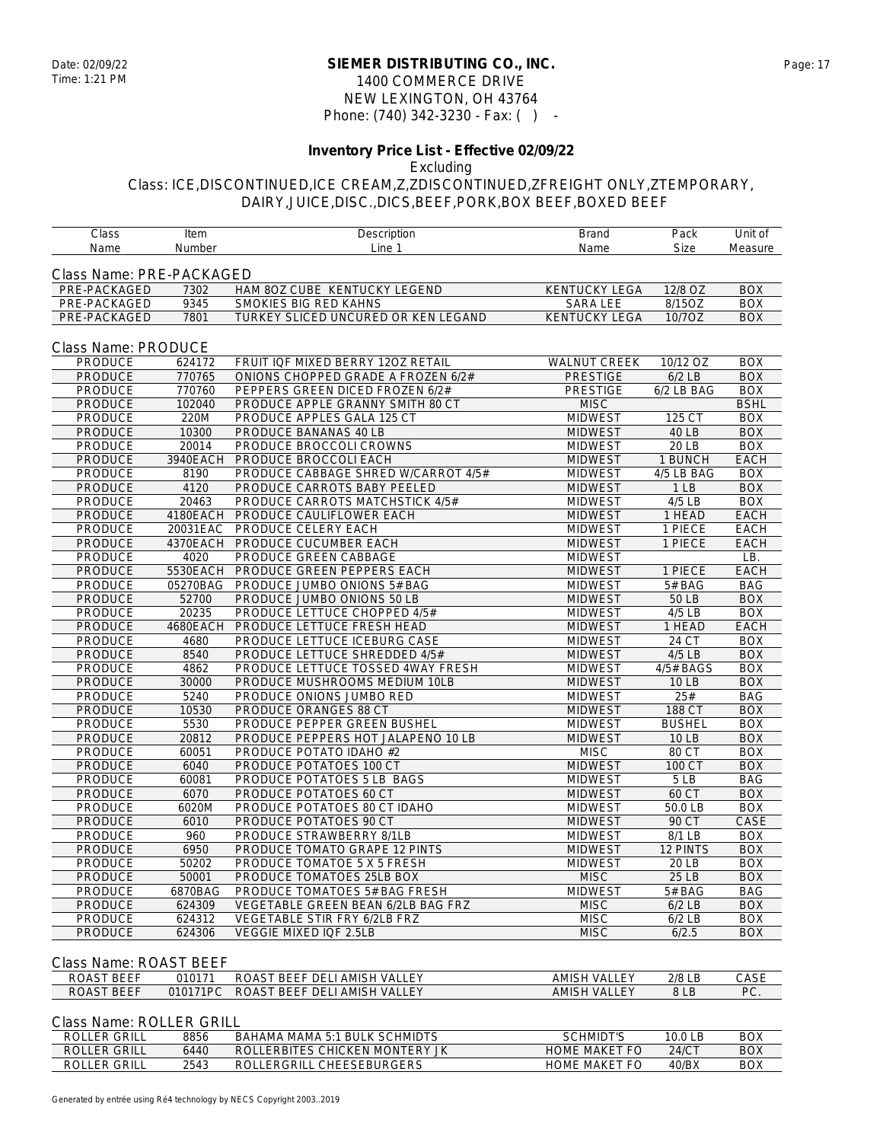### **SIEMER DISTRIBUTING CO., INC.** Date: 02/09/22 Page: 17 1400 COMMERCE DRIVE NEW LEXINGTON, OH 43764 Phone: (740) 342-3230 - Fax: ( ) -

#### **Inventory Price List - Effective 02/09/22** Excluding

# Class: ICE,DISCONTINUED,ICE CREAM,Z,ZDISCONTINUED,ZFREIGHT ONLY,ZTEMPORARY, DAIRY,JUICE,DISC.,DICS,BEEF,PORK,BOX BEEF,BOXED BEEF

| Class                    | Item     | Description                               | <b>Brand</b>         | Pack            | Unit of     |
|--------------------------|----------|-------------------------------------------|----------------------|-----------------|-------------|
| Name                     | Number   | Line 1                                    | Name                 | Size            | Measure     |
| Class Name: PRE-PACKAGED |          |                                           |                      |                 |             |
| PRE-PACKAGED             | 7302     | HAM 80Z CUBE KENTUCKY LEGEND              | <b>KENTUCKY LEGA</b> | 12/8 OZ         | <b>BOX</b>  |
| PRE-PACKAGED             | 9345     | SMOKIES BIG RED KAHNS                     | <b>SARA LEE</b>      | 8/15OZ          | <b>BOX</b>  |
| PRE-PACKAGED             | 7801     | TURKEY SLICED UNCURED OR KEN LEGAND       | <b>KENTUCKY LEGA</b> | 10/7OZ          | <b>BOX</b>  |
|                          |          |                                           |                      |                 |             |
| Class Name: PRODUCE      |          |                                           |                      |                 |             |
| PRODUCE                  | 624172   | FRUIT IQF MIXED BERRY 120Z RETAIL         | WALNUT CREEK         | 10/12 OZ        | <b>BOX</b>  |
| <b>PRODUCE</b>           | 770765   | ONIONS CHOPPED GRADE A FROZEN 6/2#        | <b>PRESTIGE</b>      | $6/2$ LB        | <b>BOX</b>  |
| PRODUCE                  | 770760   | PEPPERS GREEN DICED FROZEN 6/2#           | PRESTIGE             | 6/2 LB BAG      | <b>BOX</b>  |
| PRODUCE                  | 102040   | PRODUCE APPLE GRANNY SMITH 80 CT          | <b>MISC</b>          |                 | <b>BSHL</b> |
| PRODUCE                  | 220M     | PRODUCE APPLES GALA 125 CT                | <b>MIDWEST</b>       | 125 CT          | <b>BOX</b>  |
| PRODUCE                  | 10300    | PRODUCE BANANAS 40 LB                     | <b>MIDWEST</b>       | 40 LB           | <b>BOX</b>  |
| PRODUCE                  | 20014    | PRODUCE BROCCOLI CROWNS                   | <b>MIDWEST</b>       | 20 LB           | <b>BOX</b>  |
| PRODUCE                  | 3940EACH | PRODUCE BROCCOLI EACH                     | <b>MIDWEST</b>       | 1 BUNCH         | <b>EACH</b> |
| PRODUCE                  | 8190     | PRODUCE CABBAGE SHRED W/CARROT 4/5#       | <b>MIDWEST</b>       | 4/5 LB BAG      | <b>BOX</b>  |
| <b>PRODUCE</b>           | 4120     | PRODUCE CARROTS BABY PEELED               | <b>MIDWEST</b>       | 1 <sub>LB</sub> | <b>BOX</b>  |
| PRODUCE                  | 20463    | PRODUCE CARROTS MATCHSTICK 4/5#           | <b>MIDWEST</b>       | $4/5$ LB        | <b>BOX</b>  |
| PRODUCE                  | 4180EACH | PRODUCE CAULIFLOWER EACH                  | <b>MIDWEST</b>       | 1 HEAD          | <b>EACH</b> |
| PRODUCE                  | 20031EAC | PRODUCE CELERY EACH                       | <b>MIDWEST</b>       | 1 PIECE         | EACH        |
| PRODUCE                  | 4370EACH | PRODUCE CUCUMBER EACH                     | <b>MIDWEST</b>       | 1 PIECE         | EACH        |
| PRODUCE                  | 4020     | PRODUCE GREEN CABBAGE                     | <b>MIDWEST</b>       |                 | LB.         |
| <b>PRODUCE</b>           | 5530EACH | PRODUCE GREEN PEPPERS EACH                | <b>MIDWEST</b>       | 1 PIECE         | <b>EACH</b> |
| PRODUCE                  | 05270BAG | PRODUCE JUMBO ONIONS 5# BAG               | <b>MIDWEST</b>       | $5#$ BAG        | <b>BAG</b>  |
| PRODUCE                  | 52700    | PRODUCE JUMBO ONIONS 50 LB                | <b>MIDWEST</b>       | 50 LB           | <b>BOX</b>  |
| PRODUCE                  | 20235    | PRODUCE LETTUCE CHOPPED 4/5#              | <b>MIDWEST</b>       | $4/5$ LB        | <b>BOX</b>  |
| PRODUCE                  | 4680EACH | PRODUCE LETTUCE FRESH HEAD                | <b>MIDWEST</b>       | 1 HEAD          | <b>EACH</b> |
| PRODUCE                  | 4680     | PRODUCE LETTUCE ICEBURG CASE              | <b>MIDWEST</b>       | 24 CT           | <b>BOX</b>  |
| PRODUCE                  | 8540     | PRODUCE LETTUCE SHREDDED 4/5#             | <b>MIDWEST</b>       | $4/5$ LB        | <b>BOX</b>  |
| PRODUCE                  | 4862     | PRODUCE LETTUCE TOSSED 4WAY FRESH         | <b>MIDWEST</b>       | 4/5# BAGS       | <b>BOX</b>  |
| PRODUCE                  | 30000    | PRODUCE MUSHROOMS MEDIUM 10LB             | <b>MIDWEST</b>       | <b>10 LB</b>    | <b>BOX</b>  |
| <b>PRODUCE</b>           | 5240     | PRODUCE ONIONS JUMBO RED                  | <b>MIDWEST</b>       | 25#             | <b>BAG</b>  |
| PRODUCE                  | 10530    | PRODUCE ORANGES 88 CT                     | <b>MIDWEST</b>       | 188 CT          | <b>BOX</b>  |
| PRODUCE                  | 5530     | PRODUCE PEPPER GREEN BUSHEL               | <b>MIDWEST</b>       | <b>BUSHEL</b>   | <b>BOX</b>  |
| PRODUCE                  | 20812    | PRODUCE PEPPERS HOT JALAPENO 10 LB        | <b>MIDWEST</b>       | 10 LB           | <b>BOX</b>  |
| PRODUCE                  | 60051    | PRODUCE POTATO IDAHO #2                   | <b>MISC</b>          | 80 CT           | <b>BOX</b>  |
| <b>PRODUCE</b>           | 6040     | PRODUCE POTATOES 100 CT                   | <b>MIDWEST</b>       | 100 CT          | <b>BOX</b>  |
| PRODUCE                  | 60081    | PRODUCE POTATOES 5 LB BAGS                | <b>MIDWEST</b>       | 5 LB            | <b>BAG</b>  |
| PRODUCE                  | 6070     | PRODUCE POTATOES 60 CT                    | <b>MIDWEST</b>       | 60 CT           | <b>BOX</b>  |
| PRODUCE                  | 6020M    | PRODUCE POTATOES 80 CT IDAHO              | <b>MIDWEST</b>       | 50.0 LB         | <b>BOX</b>  |
| PRODUCE                  | 6010     | PRODUCE POTATOES 90 CT                    | <b>MIDWEST</b>       | 90 CT           | CASE        |
| PRODUCE                  | 960      | PRODUCE STRAWBERRY 8/1LB                  | <b>MIDWEST</b>       | 8/1 LB          | <b>BOX</b>  |
| PRODUCE                  | 6950     | PRODUCE TOMATO GRAPE 12 PINTS             | <b>MIDWEST</b>       | 12 PINTS        | <b>BOX</b>  |
| PRODUCE                  | 50202    | PRODUCE TOMATOE 5 X 5 FRESH               | <b>MIDWEST</b>       | 20 LB           | <b>BOX</b>  |
| PRODUCE                  | 50001    | PRODUCE TOMATOES 25LB BOX                 | <b>MISC</b>          | 25 LB           | <b>BOX</b>  |
| <b>PRODUCE</b>           | 6870BAG  | PRODUCE TOMATOES 5# BAG FRESH             | <b>MIDWEST</b>       | 5# BAG          | <b>BAG</b>  |
| PRODUCE                  | 624309   | <b>VEGETABLE GREEN BEAN 6/2LB BAG FRZ</b> | <b>MISC</b>          | $6/2$ LB        | <b>BOX</b>  |
| PRODUCE                  | 624312   | VEGETABLE STIR FRY 6/2LB FRZ              | <b>MISC</b>          | $6/2$ LB        | <b>BOX</b>  |
| PRODUCE                  | 624306   | VEGGIE MIXED IQF 2.5LB                    | <b>MISC</b>          | 6/2.5           | <b>BOX</b>  |
|                          |          |                                           |                      |                 |             |
| Class Name: ROAST BEEF   |          |                                           |                      |                 |             |
| ROAST BEEF               | 010171   | ROAST BEEF DELI AMISH VALLEY              | AMISH VALLEY         | $2/8$ LB $\,$   | CASE        |

# ROAST BEEF 010171PC ROAST BEEF DELI AMISH VALLEY AMISH VALLEY 8 LB PC.

#### Class Name: ROLLER GRILL

| ROLLER GRILL | 8856 | BAHAMA MAMA 5:1 BULK SCHMIDTS  | SCHMIDT'S     | 10.0 LB | BOX |
|--------------|------|--------------------------------|---------------|---------|-----|
| ROLLER GRILL | 6440 | ROLLERBITES CHICKEN MONTERY JK | HOME MAKET FO | 24/C    | BOX |
| ROLLER GRILL | 2543 | ROLLERGRILL CHEESEBURGERS      | HOME MAKET FO | 40/BX   | BOX |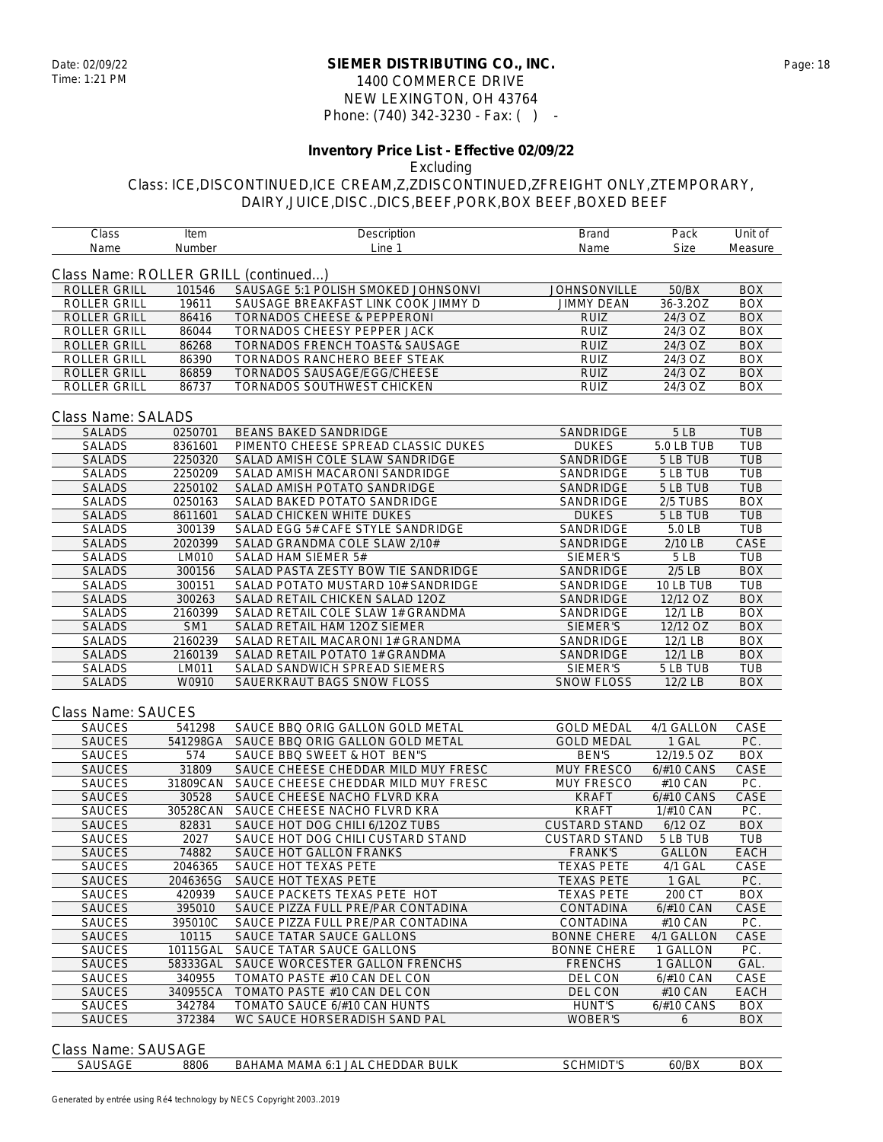### **SIEMER DISTRIBUTING CO., INC.** Date: 02/09/22 Page: 18 1400 COMMERCE DRIVE NEW LEXINGTON, OH 43764 Phone: (740) 342-3230 - Fax: ( ) -

# **Inventory Price List - Effective 02/09/22**

Excluding

| Class                                                | Item            | Description                         | Brand                | Pack          | Unit of     |
|------------------------------------------------------|-----------------|-------------------------------------|----------------------|---------------|-------------|
| Name                                                 | Number          | Line 1                              | Name                 | <b>Size</b>   | Measure     |
|                                                      |                 |                                     |                      |               |             |
| Class Name: ROLLER GRILL (continued)<br>ROLLER GRILL | 101546          | SAUSAGE 5:1 POLISH SMOKED JOHNSONVI | <b>JOHNSONVILLE</b>  | 50/BX         | <b>BOX</b>  |
| ROLLER GRILL                                         | 19611           | SAUSAGE BREAKFAST LINK COOK JIMMY D | <b>JIMMY DEAN</b>    | 36-3.2OZ      | <b>BOX</b>  |
| <b>ROLLER GRILL</b>                                  | 86416           | TORNADOS CHEESE & PEPPERONI         | RUIZ                 | 24/3 OZ       | <b>BOX</b>  |
| <b>ROLLER GRILL</b>                                  | 86044           | <b>TORNADOS CHEESY PEPPER JACK</b>  | <b>RUIZ</b>          | 24/3 OZ       | <b>BOX</b>  |
| <b>ROLLER GRILL</b>                                  | 86268           | TORNADOS FRENCH TOAST& SAUSAGE      | <b>RUIZ</b>          | 24/3 OZ       | <b>BOX</b>  |
| ROLLER GRILL                                         | 86390           | TORNADOS RANCHERO BEEF STEAK        | <b>RUIZ</b>          | 24/3 OZ       | <b>BOX</b>  |
| <b>ROLLER GRILL</b>                                  | 86859           | TORNADOS SAUSAGE/EGG/CHEESE         | <b>RUIZ</b>          | 24/3 OZ       | <b>BOX</b>  |
| <b>ROLLER GRILL</b>                                  | 86737           | TORNADOS SOUTHWEST CHICKEN          | <b>RUIZ</b>          | 24/3 OZ       | <b>BOX</b>  |
|                                                      |                 |                                     |                      |               |             |
| Class Name: SALADS                                   |                 |                                     |                      |               |             |
| <b>SALADS</b>                                        | 0250701         | <b>BEANS BAKED SANDRIDGE</b>        | SANDRIDGE            | 5LB           | <b>TUB</b>  |
| <b>SALADS</b>                                        | 8361601         | PIMENTO CHEESE SPREAD CLASSIC DUKES | <b>DUKES</b>         | 5.0 LB TUB    | <b>TUB</b>  |
| <b>SALADS</b>                                        | 2250320         | SALAD AMISH COLE SLAW SANDRIDGE     | SANDRIDGE            | 5 LB TUB      | <b>TUB</b>  |
| SALADS                                               | 2250209         | SALAD AMISH MACARONI SANDRIDGE      | SANDRIDGE            | 5 LB TUB      | <b>TUB</b>  |
| <b>SALADS</b>                                        | 2250102         | SALAD AMISH POTATO SANDRIDGE        | SANDRIDGE            | 5 LB TUB      | TUB         |
| <b>SALADS</b>                                        | 0250163         | SALAD BAKED POTATO SANDRIDGE        | SANDRIDGE            | 2/5 TUBS      | <b>BOX</b>  |
| <b>SALADS</b>                                        | 8611601         | SALAD CHICKEN WHITE DUKES           | <b>DUKES</b>         | 5 LB TUB      | <b>TUB</b>  |
| <b>SALADS</b>                                        | 300139          | SALAD EGG 5# CAFE STYLE SANDRIDGE   | SANDRIDGE            | 5.0 LB        | <b>TUB</b>  |
| <b>SALADS</b>                                        | 2020399         | SALAD GRANDMA COLE SLAW 2/10#       | SANDRIDGE            | 2/10 LB       | CASE        |
| <b>SALADS</b>                                        | LM010           | SALAD HAM SIEMER 5#                 | SIEMER'S             | 5 LB          | TUB         |
| <b>SALADS</b>                                        | 300156          | SALAD PASTA ZESTY BOW TIE SANDRIDGE | SANDRIDGE            | $2/5$ LB      | <b>BOX</b>  |
| <b>SALADS</b>                                        | 300151          | SALAD POTATO MUSTARD 10# SANDRIDGE  | SANDRIDGE            | 10 LB TUB     | <b>TUB</b>  |
| <b>SALADS</b>                                        | 300263          | SALAD RETAIL CHICKEN SALAD 12OZ     | SANDRIDGE            | 12/12 OZ      | <b>BOX</b>  |
| <b>SALADS</b>                                        | 2160399         | SALAD RETAIL COLE SLAW 1# GRANDMA   | SANDRIDGE            | 12/1 LB       | <b>BOX</b>  |
| <b>SALADS</b>                                        | SM <sub>1</sub> | SALAD RETAIL HAM 12OZ SIEMER        | SIEMER'S             | 12/12 OZ      | <b>BOX</b>  |
| <b>SALADS</b>                                        | 2160239         | SALAD RETAIL MACARONI 1# GRANDMA    | SANDRIDGE            | 12/1 LB       | <b>BOX</b>  |
| <b>SALADS</b>                                        | 2160139         | SALAD RETAIL POTATO 1# GRANDMA      | SANDRIDGE            | 12/1LB        | <b>BOX</b>  |
| SALADS                                               | LM011           | SALAD SANDWICH SPREAD SIEMERS       | SIEMER'S             | 5 LB TUB      | <b>TUB</b>  |
| <b>SALADS</b>                                        | W0910           | SAUERKRAUT BAGS SNOW FLOSS          | <b>SNOW FLOSS</b>    | 12/2 LB       | <b>BOX</b>  |
|                                                      |                 |                                     |                      |               |             |
| Class Name: SAUCES                                   |                 |                                     |                      |               |             |
| <b>SAUCES</b>                                        | 541298          | SAUCE BBQ ORIG GALLON GOLD METAL    | <b>GOLD MEDAL</b>    | 4/1 GALLON    | CASE        |
| <b>SAUCES</b>                                        | 541298GA        | SAUCE BBQ ORIG GALLON GOLD METAL    | <b>GOLD MEDAL</b>    | 1 GAL         | PC.         |
| <b>SAUCES</b>                                        | 574             | SAUCE BBQ SWEET & HOT BEN"S         | <b>BEN'S</b>         | 12/19.5 OZ    | <b>BOX</b>  |
| <b>SAUCES</b>                                        | 31809           | SAUCE CHEESE CHEDDAR MILD MUY FRESC | <b>MUY FRESCO</b>    | 6/#10 CANS    | CASE        |
| <b>SAUCES</b>                                        | 31809CAN        | SAUCE CHEESE CHEDDAR MILD MUY FRESC | MUY FRESCO           | #10 CAN       | PC.         |
| <b>SAUCES</b>                                        | 30528           | SAUCE CHEESE NACHO FLVRD KRA        | <b>KRAFT</b>         | 6/#10 CANS    | CASE        |
| SAUCES                                               | 30528CAN        | SAUCE CHEESE NACHO FLVRD KRA        | <b>KRAFT</b>         | 1/#10 CAN     | PC.         |
| <b>SAUCES</b>                                        | 82831           | SAUCE HOT DOG CHILI 6/12OZ TUBS     | <b>CUSTARD STAND</b> | 6/12 OZ       | <b>BOX</b>  |
| <b>SAUCES</b>                                        | 2027            | SAUCE HOT DOG CHILI CUSTARD STAND   | <b>CUSTARD STAND</b> | 5 LB TUB      | <b>TUB</b>  |
| <b>SAUCES</b>                                        | 74882           | SAUCE HOT GALLON FRANKS             | <b>FRANK'S</b>       | <b>GALLON</b> | <b>EACH</b> |
| <b>SAUCES</b>                                        | 2046365         | SAUCE HOT TEXAS PETE                | <b>TEXAS PETE</b>    | 4/1 GAL       | CASE        |
| <b>SAUCES</b>                                        | 2046365G        | SAUCE HOT TEXAS PETE                | <b>TEXAS PETE</b>    | 1 GAL         | PC.         |
| <b>SAUCES</b>                                        | 420939          | SAUCE PACKETS TEXAS PETE HOT        | <b>TEXAS PETE</b>    | 200 CT        | <b>BOX</b>  |
| <b>SAUCES</b>                                        | 395010          | SAUCE PIZZA FULL PRE/PAR CONTADINA  | CONTADINA            | 6/#10 CAN     | CASE        |
| <b>SAUCES</b>                                        | 395010C         | SAUCE PIZZA FULL PRE/PAR CONTADINA  | CONTADINA            | #10 CAN       | PC.         |
| <b>SAUCES</b>                                        | 10115           | SAUCE TATAR SAUCE GALLONS           | <b>BONNE CHERE</b>   | 4/1 GALLON    | CASE        |
| SAUCES                                               | 10115GAL        | SAUCE TATAR SAUCE GALLONS           | <b>BONNE CHERE</b>   | 1 GALLON      | PC.         |
| <b>SAUCES</b>                                        | 58333GAL        | SAUCE WORCESTER GALLON FRENCHS      | <b>FRENCHS</b>       | 1 GALLON      | GAL.        |
| SAUCES                                               | 340955          | TOMATO PASTE #10 CAN DEL CON        | DEL CON              | 6/#10 CAN     | CASE        |
| <b>SAUCES</b>                                        | 340955CA        | TOMATO PASTE #10 CAN DEL CON        | DEL CON              | #10 CAN       | EACH        |
| SAUCES                                               | 342784          | TOMATO SAUCE 6/#10 CAN HUNTS        | <b>HUNT'S</b>        | 6/#10 CANS    | <b>BOX</b>  |
| <b>SAUCES</b>                                        | 372384          | WC SAUCE HORSERADISH SAND PAL       | WOBER'S              | 6             | <b>BOX</b>  |
|                                                      |                 |                                     |                      |               |             |
| Class Name: SAUSAGE                                  |                 |                                     |                      |               |             |
| SAUSAGE                                              | 8806            | BAHAMA MAMA 6:1 JAL CHEDDAR BULK    | SCHMIDT'S            | 60/BX         | <b>BOX</b>  |
|                                                      |                 |                                     |                      |               |             |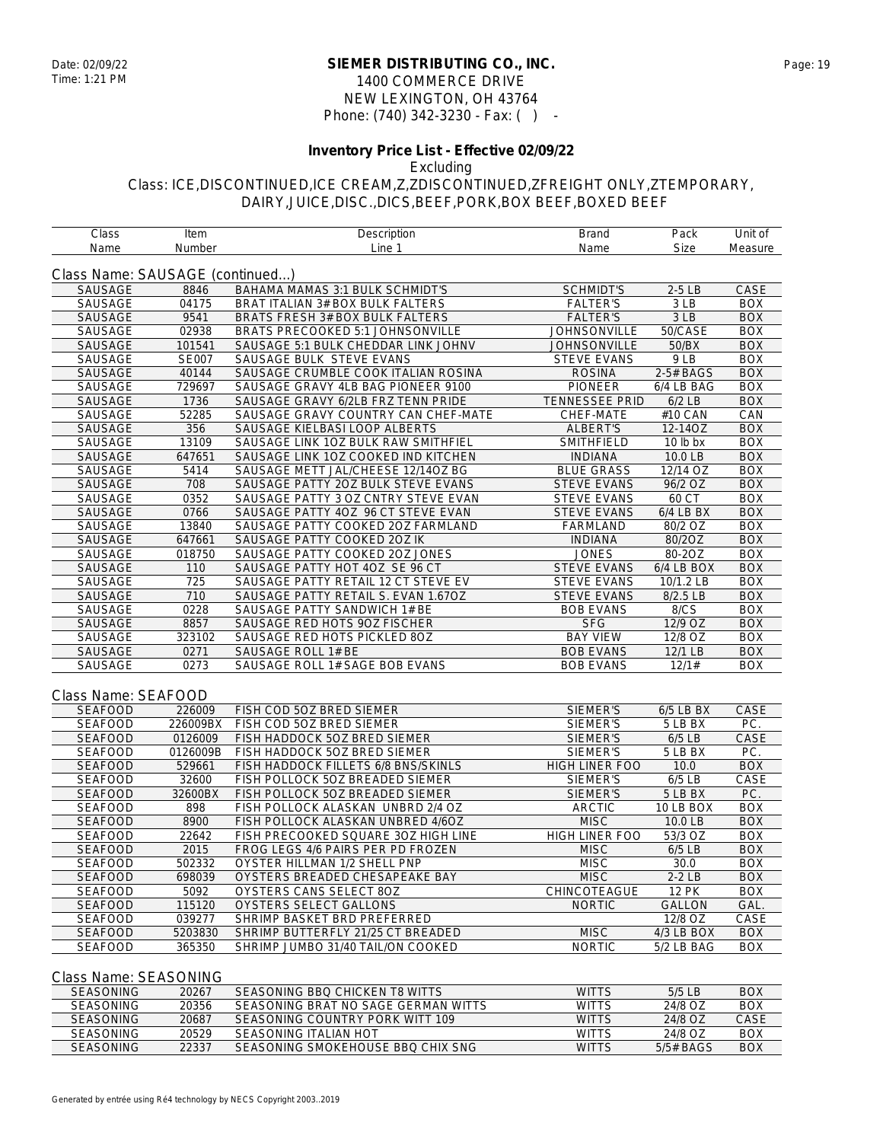### **SIEMER DISTRIBUTING CO., INC.** Date: 02/09/22 Page: 19 1400 COMMERCE DRIVE NEW LEXINGTON, OH 43764 Phone: (740) 342-3230 - Fax: ( ) -

## **Inventory Price List - Effective 02/09/22**

Excluding

Class: ICE,DISCONTINUED,ICE CREAM,Z,ZDISCONTINUED,ZFREIGHT ONLY,ZTEMPORARY, DAIRY,JUICE,DISC.,DICS,BEEF,PORK,BOX BEEF,BOXED BEEF

Class Item Description Brand Pack Unit of

| Name                            | Number       | Line 1                                 | Name                  | Size            | Measure    |
|---------------------------------|--------------|----------------------------------------|-----------------------|-----------------|------------|
| Class Name: SAUSAGE (continued) |              |                                        |                       |                 |            |
| <b>SAUSAGE</b>                  | 8846         | <b>BAHAMA MAMAS 3:1 BULK SCHMIDT'S</b> | <b>SCHMIDT'S</b>      | $2-5LB$         | CASE       |
| SAUSAGE                         | 04175        | BRAT ITALIAN 3# BOX BULK FALTERS       | <b>FALTER'S</b>       | 3 LB            | <b>BOX</b> |
| SAUSAGE                         | 9541         | BRATS FRESH 3# BOX BULK FALTERS        | <b>FALTER'S</b>       | 3 <sub>LB</sub> | <b>BOX</b> |
| SAUSAGE                         | 02938        | BRATS PRECOOKED 5:1 JOHNSONVILLE       | <b>JOHNSONVILLE</b>   | 50/CASE         | <b>BOX</b> |
| SAUSAGE                         | 101541       | SAUSAGE 5:1 BULK CHEDDAR LINK JOHNV    | <b>JOHNSONVILLE</b>   | 50/BX           | <b>BOX</b> |
| SAUSAGE                         | <b>SE007</b> | SAUSAGE BULK STEVE EVANS               | <b>STEVE EVANS</b>    | 9LB             | <b>BOX</b> |
| <b>SAUSAGE</b>                  | 40144        | SAUSAGE CRUMBLE COOK ITALIAN ROSINA    | <b>ROSINA</b>         | 2-5# BAGS       | <b>BOX</b> |
| SAUSAGE                         | 729697       | SAUSAGE GRAVY 4LB BAG PIONEER 9100     | <b>PIONEER</b>        | 6/4 LB BAG      | <b>BOX</b> |
| SAUSAGE                         | 1736         | SAUSAGE GRAVY 6/2LB FRZ TENN PRIDE     | <b>TENNESSEE PRID</b> | $6/2$ LB        | <b>BOX</b> |
| SAUSAGE                         | 52285        | SAUSAGE GRAVY COUNTRY CAN CHEF-MATE    | CHEF-MATE             | #10 CAN         | CAN        |
| <b>SAUSAGE</b>                  | 356          | SAUSAGE KIELBASI LOOP ALBERTS          | ALBERT'S              | 12-14OZ         | <b>BOX</b> |
| SAUSAGE                         | 13109        | SAUSAGE LINK 10Z BULK RAW SMITHFIEL    | SMITHFIELD            | 10 lb bx        | <b>BOX</b> |
| <b>SAUSAGE</b>                  | 647651       | SAUSAGE LINK 10Z COOKED IND KITCHEN    | <b>INDIANA</b>        | 10.0 LB         | <b>BOX</b> |
| <b>SAUSAGE</b>                  | 5414         | SAUSAGE METT JAL/CHEESE 12/14OZ BG     | <b>BLUE GRASS</b>     | 12/14 OZ        | <b>BOX</b> |
| <b>SAUSAGE</b>                  | 708          | SAUSAGE PATTY 20Z BULK STEVE EVANS     | <b>STEVE EVANS</b>    | 96/2 OZ         | <b>BOX</b> |
| SAUSAGE                         | 0352         | SAUSAGE PATTY 3 OZ CNTRY STEVE EVAN    | <b>STEVE EVANS</b>    | 60 CT           | <b>BOX</b> |
| <b>SAUSAGE</b>                  | 0766         | SAUSAGE PATTY 4OZ 96 CT STEVE EVAN     | <b>STEVE EVANS</b>    | 6/4 LB BX       | <b>BOX</b> |
| SAUSAGE                         | 13840        | SAUSAGE PATTY COOKED 20Z FARMLAND      | FARMLAND              | 80/2 OZ         | <b>BOX</b> |
| SAUSAGE                         | 647661       | SAUSAGE PATTY COOKED 20Z IK            | <b>INDIANA</b>        | 80/2OZ          | <b>BOX</b> |
| SAUSAGE                         | 018750       | SAUSAGE PATTY COOKED 20Z JONES         | <b>JONES</b>          | 80-20Z          | <b>BOX</b> |
| SAUSAGE                         | 110          | SAUSAGE PATTY HOT 4OZ SE 96 CT         | <b>STEVE EVANS</b>    | 6/4 LB BOX      | <b>BOX</b> |
| SAUSAGE                         | 725          | SAUSAGE PATTY RETAIL 12 CT STEVE EV    | <b>STEVE EVANS</b>    | 10/1.2 LB       | <b>BOX</b> |
| SAUSAGE                         | 710          | SAUSAGE PATTY RETAIL S. EVAN 1.67OZ    | <b>STEVE EVANS</b>    | 8/2.5 LB        | <b>BOX</b> |
| SAUSAGE                         | 0228         | SAUSAGE PATTY SANDWICH 1# BE           | <b>BOB EVANS</b>      | 8/CS            | <b>BOX</b> |
| <b>SAUSAGE</b>                  | 8857         | SAUSAGE RED HOTS 90Z FISCHER           | <b>SFG</b>            | 12/9 OZ         | <b>BOX</b> |
|                                 | 323102       | SAUSAGE RED HOTS PICKLED 80Z           | <b>BAY VIEW</b>       | 12/8 OZ         | <b>BOX</b> |
| SAUSAGE<br>SAUSAGE              | 0271         | SAUSAGE ROLL 1# BE                     | <b>BOB EVANS</b>      | 12/1 LB         | <b>BOX</b> |
| SAUSAGE                         | 0273         | SAUSAGE ROLL 1# SAGE BOB EVANS         | <b>BOB EVANS</b>      | 12/1#           | <b>BOX</b> |
|                                 |              |                                        |                       |                 |            |
| Class Name: SEAFOOD             | 226009       |                                        |                       |                 |            |
| <b>SEAFOOD</b>                  |              | FISH COD 50Z BRED SIEMER               | SIEMER'S              | 6/5 LB BX       | CASE       |
| <b>SEAFOOD</b>                  | 226009BX     | FISH COD 5OZ BRED SIEMER               | SIEMER'S              | 5 LB BX         | PC.        |
| <b>SEAFOOD</b>                  | 0126009      | FISH HADDOCK 5OZ BRED SIEMER           | SIEMER'S              | $6/5$ LB        | CASE       |
| <b>SEAFOOD</b>                  | 0126009B     | FISH HADDOCK 5OZ BRED SIEMER           | SIEMER'S              | 5 LB BX         | PC.        |
| <b>SEAFOOD</b>                  | 529661       | FISH HADDOCK FILLETS 6/8 BNS/SKINLS    | HIGH LINER FOO        | 10.0            | <b>BOX</b> |
| <b>SEAFOOD</b>                  | 32600        | FISH POLLOCK 50Z BREADED SIEMER        | SIEMER'S              | $6/5$ LB        | CASE       |
| <b>SEAFOOD</b>                  | 32600BX      | FISH POLLOCK 50Z BREADED SIEMER        | SIEMER'S              | 5 LB BX         | PC.        |
| <b>SEAFOOD</b>                  | 898          | FISH POLLOCK ALASKAN UNBRD 2/4 OZ      | <b>ARCTIC</b>         | 10 LB BOX       | <b>BOX</b> |
| <b>SEAFOOD</b>                  | 8900         | FISH POLLOCK ALASKAN UNBRED 4/6OZ      | <b>MISC</b>           | 10.0 LB         | <b>BOX</b> |
| <b>SEAFOOD</b>                  | 22642        | FISH PRECOOKED SQUARE 30Z HIGH LINE    | <b>HIGH LINER FOO</b> | 53/3 OZ         | <b>BOX</b> |
| <b>SEAFOOD</b>                  | 2015         | FROG LEGS 4/6 PAIRS PER PD FROZEN      | <b>MISC</b>           | $6/5$ LB        | <b>BOX</b> |
| <b>SEAFOOD</b>                  | 502332       | OYSTER HILLMAN 1/2 SHELL PNP           | <b>MISC</b>           | 30.0            | <b>BOX</b> |
| <b>SEAFOOD</b>                  | 698039       | OYSTERS BREADED CHESAPEAKE BAY         | MISC                  | $2-2LB$         | <b>BOX</b> |
| <b>SEAFOOD</b>                  | 5092         | OYSTERS CANS SELECT 80Z                | <b>CHINCOTEAGUE</b>   | <b>12 PK</b>    | <b>BOX</b> |
| <b>SEAFOOD</b>                  | 115120       | OYSTERS SELECT GALLONS                 | <b>NORTIC</b>         | <b>GALLON</b>   | GAL.       |
| <b>SEAFOOD</b>                  | 039277       | SHRIMP BASKET BRD PREFERRED            |                       | 12/8 OZ         | CASE       |
| <b>SEAFOOD</b>                  | 5203830      | SHRIMP BUTTERFLY 21/25 CT BREADED      | <b>MISC</b>           | 4/3 LB BOX      | <b>BOX</b> |
| <b>SEAFOOD</b>                  | 365350       | SHRIMP JUMBO 31/40 TAIL/ON COOKED      | <b>NORTIC</b>         | 5/2 LB BAG      | <b>BOX</b> |

#### Class Name: SEASONING

| <b>SEASONING</b> | 20267 | SEASONING BBO CHICKEN TR WITTS      | <b>WITTS</b> | $5/5$ IB    | <b>BOX</b> |
|------------------|-------|-------------------------------------|--------------|-------------|------------|
| <b>SEASONING</b> | 20356 | SEASONING BRAT NO SAGE GERMAN WITTS | <b>WITTS</b> | 24/8 OZ     | <b>BOX</b> |
| <b>SEASONING</b> | 20687 | SEASONING COUNTRY PORK WITT 109     | <b>WITTS</b> | 24/8 OZ     | CASE       |
| <b>SEASONING</b> | 20529 | SEASONING ITALIAN HOT               | <b>WITTS</b> | 24/8 OZ     | <b>BOX</b> |
| <b>SEASONING</b> | 22337 | SEASONING SMOKEHOUSE BBO CHIX SNG   | <b>WITTS</b> | $5/5#$ BAGS | <b>BOX</b> |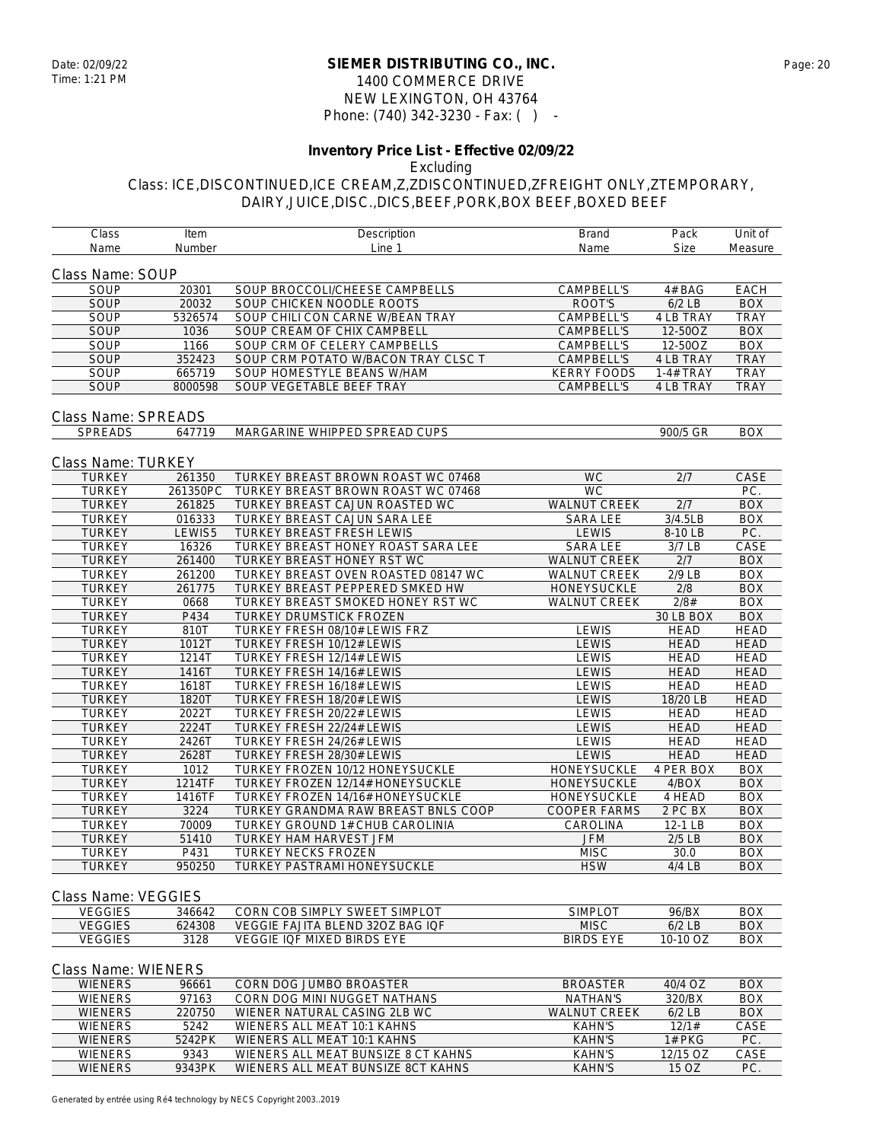#### **SIEMER DISTRIBUTING CO., INC.** Date: 02/09/22 Page: 20 1400 COMMERCE DRIVE NEW LEXINGTON, OH 43764 Phone: (740) 342-3230 - Fax: ( ) -

#### **Inventory Price List - Effective 02/09/22** Excluding

## Class: ICE,DISCONTINUED,ICE CREAM,Z,ZDISCONTINUED,ZFREIGHT ONLY,ZTEMPORARY, DAIRY,JUICE,DISC.,DICS,BEEF,PORK,BOX BEEF,BOXED BEEF

| Class                      | Item     | Description                         | <b>Brand</b>        | Pack             | Unit of           |  |  |
|----------------------------|----------|-------------------------------------|---------------------|------------------|-------------------|--|--|
| Name                       | Number   | Line 1                              | Name                | Size             | Measure           |  |  |
| Class Name: SOUP           |          |                                     |                     |                  |                   |  |  |
| SOUP                       | 20301    | SOUP BROCCOLI/CHEESE CAMPBELLS      | CAMPBELL'S          | 4# BAG           | <b>EACH</b>       |  |  |
| SOUP                       | 20032    | SOUP CHICKEN NOODLE ROOTS           | ROOT'S              | $6/2$ LB         | <b>BOX</b>        |  |  |
| <b>SOUP</b>                | 5326574  | SOUP CHILI CON CARNE W/BEAN TRAY    | CAMPBELL'S          | 4 LB TRAY        | <b>TRAY</b>       |  |  |
| SOUP                       | 1036     | SOUP CREAM OF CHIX CAMPBELL         | <b>CAMPBELL'S</b>   | 12-50OZ          | <b>BOX</b>        |  |  |
| SOUP                       | 1166     | SOUP CRM OF CELERY CAMPBELLS        | CAMPBELL'S          | 12-50OZ          | <b>BOX</b>        |  |  |
| <b>SOUP</b>                | 352423   | SOUP CRM POTATO W/BACON TRAY CLSC T | <b>CAMPBELL'S</b>   | 4 LB TRAY        | <b>TRAY</b>       |  |  |
| SOUP                       | 665719   | SOUP HOMESTYLE BEANS W/HAM          | <b>KERRY FOODS</b>  | 1-4# TRAY        | <b>TRAY</b>       |  |  |
| SOUP                       | 8000598  | SOUP VEGETABLE BEEF TRAY            | <b>CAMPBELL'S</b>   | 4 LB TRAY        | <b>TRAY</b>       |  |  |
| <b>Class Name: SPREADS</b> |          |                                     |                     |                  |                   |  |  |
| <b>SPREADS</b>             | 647719   | MARGARINE WHIPPED SPREAD CUPS       |                     | 900/5 GR         | <b>BOX</b>        |  |  |
|                            |          |                                     |                     |                  |                   |  |  |
| Class Name: TURKEY         |          |                                     |                     |                  |                   |  |  |
| <b>TURKEY</b>              | 261350   | TURKEY BREAST BROWN ROAST WC 07468  | <b>WC</b>           | 2/7              | CASE              |  |  |
| <b>TURKEY</b>              | 261350PC | TURKEY BREAST BROWN ROAST WC 07468  | $\overline{WC}$     |                  | PC.               |  |  |
| <b>TURKEY</b>              | 261825   | TURKEY BREAST CAJUN ROASTED WC      | <b>WALNUT CREEK</b> | 2/7              | <b>BOX</b>        |  |  |
| <b>TURKEY</b>              | 016333   | TURKEY BREAST CAJUN SARA LEE        | <b>SARA LEE</b>     | 3/4.5LB          | <b>BOX</b>        |  |  |
| <b>TURKEY</b>              | LEWIS5   | TURKEY BREAST FRESH LEWIS           | <b>LEWIS</b>        | 8-10 LB          | $\overline{PC}$ . |  |  |
| <b>TURKEY</b>              | 16326    | TURKEY BREAST HONEY ROAST SARA LEE  | <b>SARA LEE</b>     | $3/7$ LB         | CASE              |  |  |
| <b>TURKEY</b>              | 261400   | TURKEY BREAST HONEY RST WC          | <b>WALNUT CREEK</b> | $\overline{2/7}$ | <b>BOX</b>        |  |  |
| <b>TURKEY</b>              | 261200   | TURKEY BREAST OVEN ROASTED 08147 WC | <b>WALNUT CREEK</b> | 2/9 LB           | <b>BOX</b>        |  |  |
| <b>TURKEY</b>              | 261775   | TURKEY BREAST PEPPERED SMKED HW     | HONEYSUCKLE         | $\overline{2/8}$ | <b>BOX</b>        |  |  |
| <b>TURKEY</b>              | 0668     | TURKEY BREAST SMOKED HONEY RST WC   | <b>WALNUT CREEK</b> | 2/8#             | <b>BOX</b>        |  |  |
| <b>TURKEY</b>              | P434     | TURKEY DRUMSTICK FROZEN             |                     | 30 LB BOX        | <b>BOX</b>        |  |  |
| <b>TURKEY</b>              | 810T     | TURKEY FRESH 08/10# LEWIS FRZ       | <b>LEWIS</b>        | <b>HEAD</b>      | <b>HEAD</b>       |  |  |
| <b>TURKEY</b>              | 1012T    | TURKEY FRESH 10/12# LEWIS           | <b>LEWIS</b>        | <b>HEAD</b>      | <b>HEAD</b>       |  |  |
| <b>TURKEY</b>              | 1214T    | TURKEY FRESH 12/14# LEWIS           | <b>LEWIS</b>        | <b>HEAD</b>      | <b>HEAD</b>       |  |  |
| <b>TURKEY</b>              | 1416T    | TURKEY FRESH 14/16# LEWIS           | <b>LEWIS</b>        | <b>HEAD</b>      | <b>HEAD</b>       |  |  |
| <b>TURKEY</b>              | 1618T    | TURKEY FRESH 16/18# LEWIS           | <b>LEWIS</b>        | <b>HEAD</b>      | <b>HEAD</b>       |  |  |
| <b>TURKEY</b>              | 1820T    | TURKEY FRESH 18/20# LEWIS           | <b>LEWIS</b>        | 18/20 LB         | <b>HEAD</b>       |  |  |
| <b>TURKEY</b>              | 2022T    | TURKEY FRESH 20/22# LEWIS           | <b>LEWIS</b>        | <b>HEAD</b>      | <b>HEAD</b>       |  |  |
| <b>TURKEY</b>              | 2224T    | TURKEY FRESH 22/24# LEWIS           | <b>LEWIS</b>        | <b>HEAD</b>      | <b>HEAD</b>       |  |  |
| <b>TURKEY</b>              | 2426T    | TURKEY FRESH 24/26# LEWIS           | <b>LEWIS</b>        | <b>HEAD</b>      | <b>HEAD</b>       |  |  |
| <b>TURKEY</b>              | 2628T    | TURKEY FRESH 28/30# LEWIS           | <b>LEWIS</b>        | <b>HEAD</b>      | <b>HEAD</b>       |  |  |
| <b>TURKEY</b>              | 1012     | TURKEY FROZEN 10/12 HONEYSUCKLE     | HONEYSUCKLE         | 4 PER BOX        | <b>BOX</b>        |  |  |
| <b>TURKEY</b>              | 1214TF   | TURKEY FROZEN 12/14# HONEYSUCKLE    | HONEYSUCKLE         | 4/BOX            | <b>BOX</b>        |  |  |
| <b>TURKEY</b>              | 1416TF   | TURKEY FROZEN 14/16# HONEYSUCKLE    | HONEYSUCKLE         | 4 HEAD           | <b>BOX</b>        |  |  |
| <b>TURKEY</b>              | 3224     | TURKEY GRANDMA RAW BREAST BNLS COOP | <b>COOPER FARMS</b> | 2 PC BX          | <b>BOX</b>        |  |  |
| <b>TURKEY</b>              | 70009    | TURKEY GROUND 1# CHUB CAROLINIA     | CAROLINA            | 12-1 LB          | <b>BOX</b>        |  |  |
| <b>TURKEY</b>              | 51410    | TURKEY HAM HARVEST JFM              | <b>JFM</b>          | $2/5$ LB         | <b>BOX</b>        |  |  |
| <b>TURKEY</b>              | P431     | TURKEY NECKS FROZEN                 | <b>MISC</b>         | 30.0             | <b>BOX</b>        |  |  |
| <b>TURKEY</b>              | 950250   | TURKEY PASTRAMI HONEYSUCKLE         | <b>HSW</b>          | 4/4 LB           | <b>BOX</b>        |  |  |
| Class Name: VEGGIES        |          |                                     |                     |                  |                   |  |  |

#### VEGGIES 346642 CORN COB SIMPLY SWEET SIMPLOT SIMPLOT 96/BX BOX<br>VEGGIES 624308 VEGGIE FAJITA BLEND 32OZ BAG IQF MISC 6/2 LB BOX VEGGIE FAJITA BLEND 32OZ BAG IQF VEGGIES 3128 VEGGIE IQF MIXED BIRDS EYE BIRDS BIRDS EYE 10-10 OZ BOX

#### Class Name: WIENERS

| <b>WIENERS</b> | 96661  | CORN DOG JUMBO BROASTER             | <b>BROASTER</b> | $40/4$ OZ    | <b>BOX</b> |
|----------------|--------|-------------------------------------|-----------------|--------------|------------|
| <b>WIFNERS</b> | 97163  | CORN DOG MINI NUGGET NATHANS        | NATHAN'S        | 320/BX       | <b>BOX</b> |
| <b>WIFNERS</b> | 220750 | WIENER NATURAL CASING 2LB WC        | WAI NUT CREEK   | $6/2$ IB     | <b>BOX</b> |
| <b>WIFNFRS</b> | 5242   | WIENERS ALL MEAT 10:1 KAHNS         | KAHN'S          | 12/1#        | CASE       |
| <b>WIFNERS</b> | 5242PK | WIFNERS ALL MEAT 10:1 KAHNS         | KAHN'S          | $1#$ PKG     | PC.        |
| <b>WIFNERS</b> | 9343   | WIENERS ALL MEAT BUNSIZE 8 CT KAHNS | KAHN'S          | $12/15$ $OZ$ | CASE       |
| <b>WIFNERS</b> | 9343PK | WIENERS ALL MEAT BUNSIZE 8CT KAHNS  | KAHN'S          | 15 OZ        | PC.        |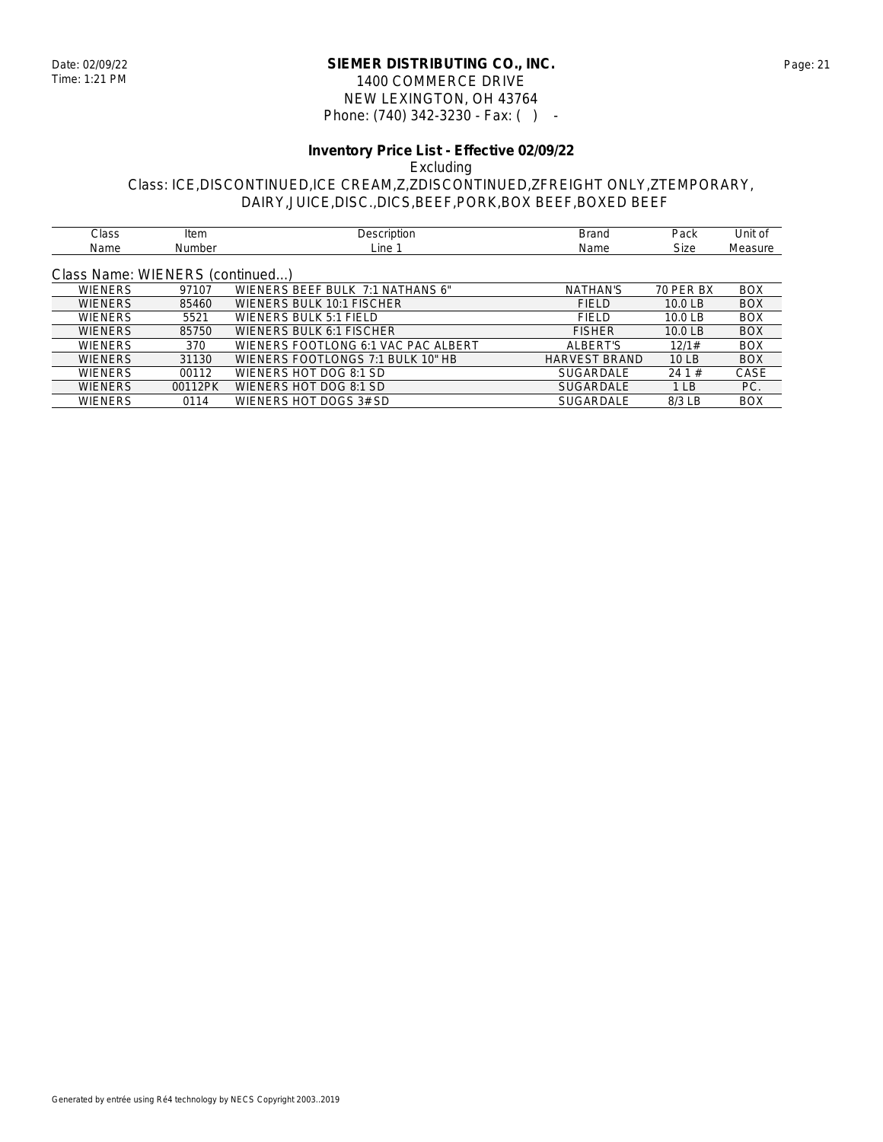### **SIEMER DISTRIBUTING CO., INC.** Date: 02/09/22 Page: 21 1400 COMMERCE DRIVE NEW LEXINGTON, OH 43764 Phone: (740) 342-3230 - Fax: ( ) -

### **Inventory Price List - Effective 02/09/22** Excluding Class: ICE,DISCONTINUED,ICE CREAM,Z,ZDISCONTINUED,ZFREIGHT ONLY,ZTEMPORARY, DAIRY,JUICE,DISC.,DICS,BEEF,PORK,BOX BEEF,BOXED BEEF

| Class          | Item                            | Description                         | <b>Brand</b>         | Pack               | Unit of    |  |  |
|----------------|---------------------------------|-------------------------------------|----------------------|--------------------|------------|--|--|
| Name           | <b>Number</b>                   | Line 1                              | Name                 | <b>Size</b>        | Measure    |  |  |
|                |                                 |                                     |                      |                    |            |  |  |
|                | Class Name: WIENERS (continued) |                                     |                      |                    |            |  |  |
| <b>WIENERS</b> | 97107                           | WIENERS BEEF BULK 7:1 NATHANS 6"    | <b>NATHAN'S</b>      | 70 PER BX          | <b>BOX</b> |  |  |
| <b>WIENERS</b> | 85460                           | WIENERS BULK 10:1 FISCHER           | <b>FIELD</b>         | 10.0 <sub>LB</sub> | <b>BOX</b> |  |  |
| <b>WIENERS</b> | 5521                            | WIENERS BULK 5:1 FIELD              | <b>FIELD</b>         | 10.0 <sub>LB</sub> | <b>BOX</b> |  |  |
| <b>WIENERS</b> | 85750                           | WIENERS BULK 6:1 FISCHER            | <b>FISHER</b>        | 10.0 <sub>LB</sub> | <b>BOX</b> |  |  |
| <b>WIENERS</b> | 370                             | WIENERS FOOTLONG 6:1 VAC PAC ALBERT | ALBERT'S             | 12/1#              | <b>BOX</b> |  |  |
| <b>WIENERS</b> | 31130                           | WIENERS FOOTLONGS 7:1 BULK 10" HB   | <b>HARVEST BRAND</b> | 10 LB              | <b>BOX</b> |  |  |
| <b>WIENERS</b> | 00112                           | WIENERS HOT DOG 8:1 SD              | <b>SUGARDALE</b>     | 241#               | CASE       |  |  |
| <b>WIENERS</b> | 00112PK                         | WIENERS HOT DOG 8:1 SD              | <b>SUGARDALE</b>     | 1 <sub>LB</sub>    | PC.        |  |  |
| <b>WIENERS</b> | 0114                            | WIENERS HOT DOGS 3# SD              | <b>SUGARDALE</b>     | $8/3$ LB           | <b>BOX</b> |  |  |